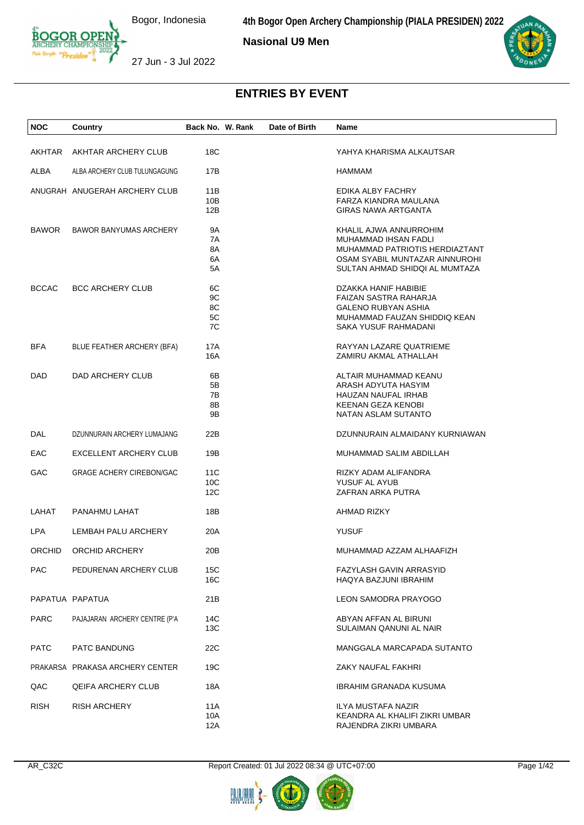**4th Bogor Open Archery Championship (PIALA PRESIDEN) 2022**

**Nasional U9 Men**



27 Jun - 3 Jul 2022

| <b>NOC</b>      | Country                         | Back No. W. Rank | Date of Birth | Name                                                             |  |
|-----------------|---------------------------------|------------------|---------------|------------------------------------------------------------------|--|
|                 |                                 |                  |               |                                                                  |  |
| AKHTAR          | AKHTAR ARCHERY CLUB             | 18C              |               | YAHYA KHARISMA ALKAUTSAR                                         |  |
| ALBA            | ALBA ARCHERY CLUB TULUNGAGUNG   | 17B              |               | HAMMAM                                                           |  |
|                 | ANUGRAH ANUGERAH ARCHERY CLUB   | 11B              |               | EDIKA ALBY FACHRY                                                |  |
|                 |                                 | 10B              |               | FARZA KIANDRA MAULANA                                            |  |
|                 |                                 | 12B              |               | <b>GIRAS NAWA ARTGANTA</b>                                       |  |
|                 |                                 |                  |               |                                                                  |  |
| <b>BAWOR</b>    | <b>BAWOR BANYUMAS ARCHERY</b>   | 9Α               |               | KHALIL AJWA ANNURROHIM                                           |  |
|                 |                                 | 7A               |               | MUHAMMAD IHSAN FADLI                                             |  |
|                 |                                 | 8A               |               | MUHAMMAD PATRIOTIS HERDIAZTANT                                   |  |
|                 |                                 | 6A<br>5A         |               | OSAM SYABIL MUNTAZAR AINNUROHI<br>SULTAN AHMAD SHIDQI AL MUMTAZA |  |
|                 |                                 |                  |               |                                                                  |  |
| <b>BCCAC</b>    | <b>BCC ARCHERY CLUB</b>         | 6C               |               | DZAKKA HANIF HABIBIE                                             |  |
|                 |                                 | 9C               |               | FAIZAN SASTRA RAHARJA                                            |  |
|                 |                                 | 8C               |               | <b>GALENO RUBYAN ASHIA</b>                                       |  |
|                 |                                 | 5C               |               | MUHAMMAD FAUZAN SHIDDIQ KEAN                                     |  |
|                 |                                 | 7C               |               | SAKA YUSUF RAHMADANI                                             |  |
| <b>BFA</b>      | BLUE FEATHER ARCHERY (BFA)      | 17A              |               | RAYYAN LAZARE QUATRIEME                                          |  |
|                 |                                 | 16A              |               | ZAMIRU AKMAL ATHALLAH                                            |  |
|                 |                                 |                  |               |                                                                  |  |
| <b>DAD</b>      | DAD ARCHERY CLUB                | 6В               |               | ALTAIR MUHAMMAD KEANU                                            |  |
|                 |                                 | 5Β               |               | ARASH ADYUTA HASYIM                                              |  |
|                 |                                 | 7В<br>8B         |               | HAUZAN NAUFAL IRHAB<br>KEENAN GEZA KENOBI                        |  |
|                 |                                 | 9Β               |               | NATAN ASLAM SUTANTO                                              |  |
|                 |                                 |                  |               |                                                                  |  |
| DAL             | DZUNNURAIN ARCHERY LUMAJANG     | 22B              |               | DZUNNURAIN ALMAIDANY KURNIAWAN                                   |  |
| EAC             | EXCELLENT ARCHERY CLUB          | 19B              |               | MUHAMMAD SALIM ABDILLAH                                          |  |
|                 |                                 |                  |               |                                                                  |  |
| GAC             | <b>GRAGE ACHERY CIREBON/GAC</b> | 11C              |               | RIZKY ADAM ALIFANDRA                                             |  |
|                 |                                 | 10C              |               | YUSUF AL AYUB                                                    |  |
|                 |                                 | 12C              |               | ZAFRAN ARKA PUTRA                                                |  |
| LAHAT           | PANAHMU LAHAT                   | 18B              |               | AHMAD RIZKY                                                      |  |
|                 |                                 |                  |               |                                                                  |  |
| LPA             | LEMBAH PALU ARCHERY             | 20A              |               | <b>YUSUF</b>                                                     |  |
| <b>ORCHID</b>   | ORCHID ARCHERY                  | 20B              |               | MUHAMMAD AZZAM ALHAAFIZH                                         |  |
|                 |                                 |                  |               |                                                                  |  |
| <b>PAC</b>      | PEDURENAN ARCHERY CLUB          | 15C<br>16C       |               | FAZYLASH GAVIN ARRASYID<br>HAQYA BAZJUNI IBRAHIM                 |  |
|                 |                                 |                  |               |                                                                  |  |
| PAPATUA PAPATUA |                                 | 21B              |               | <b>LEON SAMODRA PRAYOGO</b>                                      |  |
|                 |                                 |                  |               |                                                                  |  |
| <b>PARC</b>     | PAJAJARAN ARCHERY CENTRE (P'A   | 14C              |               | ABYAN AFFAN AL BIRUNI                                            |  |
|                 |                                 | 13C              |               | SULAIMAN QANUNI AL NAIR                                          |  |
| <b>PATC</b>     | <b>PATC BANDUNG</b>             | 22C              |               | MANGGALA MARCAPADA SUTANTO                                       |  |
|                 |                                 |                  |               |                                                                  |  |
|                 | PRAKARSA PRAKASA ARCHERY CENTER | 19C              |               | ZAKY NAUFAL FAKHRI                                               |  |
|                 |                                 |                  |               |                                                                  |  |
| QAC             | <b>QEIFA ARCHERY CLUB</b>       | 18A              |               | IBRAHIM GRANADA KUSUMA                                           |  |
| <b>RISH</b>     | <b>RISH ARCHERY</b>             | 11A              |               | ILYA MUSTAFA NAZIR                                               |  |
|                 |                                 | 10A              |               | KEANDRA AL KHALIFI ZIKRI UMBAR                                   |  |
|                 |                                 | 12A              |               | RAJENDRA ZIKRI UMBARA                                            |  |



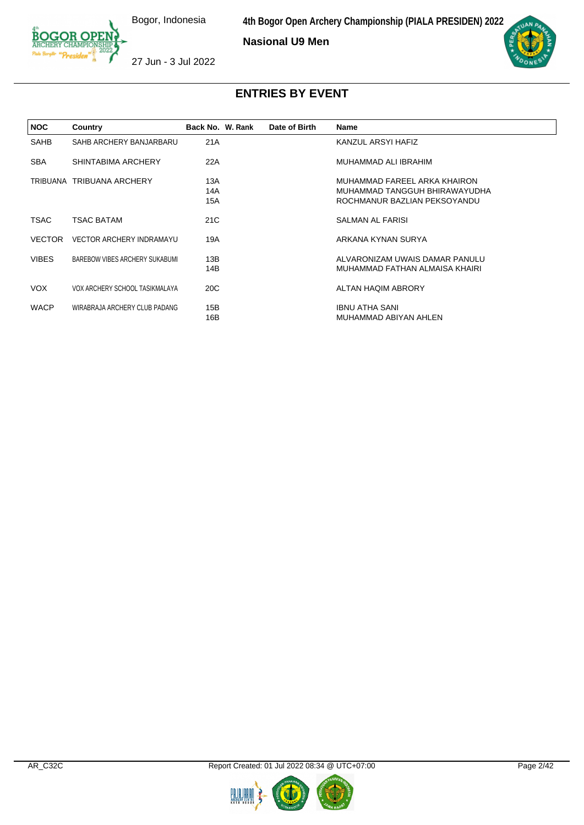**Nasional U9 Men**



27 Jun - 3 Jul 2022

| <b>NOC</b>    | Country                         | Back No. W. Rank  | Date of Birth | <b>Name</b>                                                                                   |
|---------------|---------------------------------|-------------------|---------------|-----------------------------------------------------------------------------------------------|
| SAHB          | SAHB ARCHERY BANJARBARU         | 21A               |               | KANZUL ARSYI HAFIZ                                                                            |
| <b>SBA</b>    | SHINTABIMA ARCHERY              | 22A               |               | MUHAMMAD ALI IBRAHIM                                                                          |
|               | TRIBUANA TRIBUANA ARCHERY       | 13A<br>14A<br>15A |               | MUHAMMAD FAREEL ARKA KHAIRON<br>MUHAMMAD TANGGUH BHIRAWAYUDHA<br>ROCHMANUR BAZLIAN PEKSOYANDU |
| TSAC          | <b>TSAC BATAM</b>               | 21C               |               | <b>SALMAN AL FARISI</b>                                                                       |
| <b>VECTOR</b> | <b>VECTOR ARCHERY INDRAMAYU</b> | 19A               |               | ARKANA KYNAN SURYA                                                                            |
| <b>VIBES</b>  | BAREBOW VIBES ARCHERY SUKABUMI  | 13B<br>14B        |               | ALVARONIZAM UWAIS DAMAR PANULU<br>MUHAMMAD FATHAN ALMAISA KHAIRI                              |
| VOX.          | VOX ARCHERY SCHOOL TASIKMALAYA  | 20 <sub>C</sub>   |               | ALTAN HAQIM ABRORY                                                                            |
| <b>WACP</b>   | WIRABRAJA ARCHERY CLUB PADANG   | 15B<br>16B        |               | <b>IBNU ATHA SANI</b><br>MUHAMMAD ABIYAN AHLEN                                                |

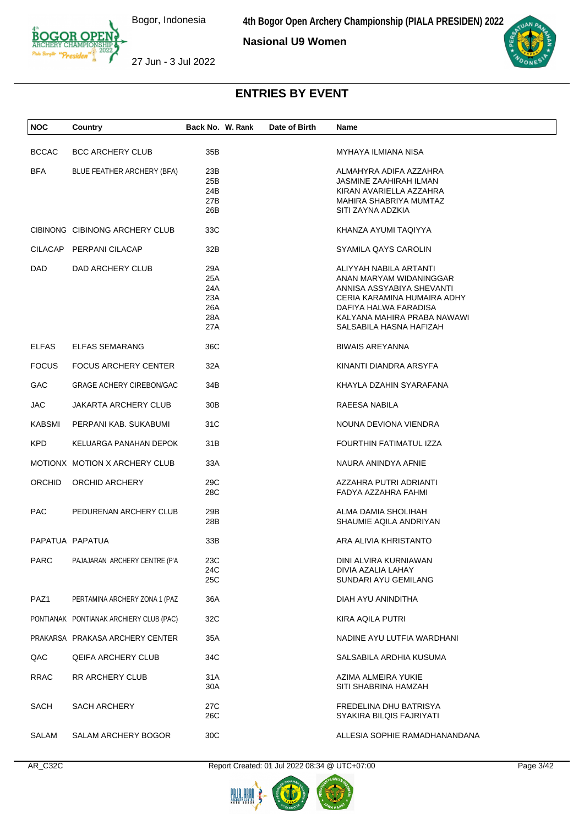**4th Bogor Open Archery Championship (PIALA PRESIDEN) 2022**

**Nasional U9 Women**



27 Jun - 3 Jul 2022

# **ENTRIES BY EVENT**

| <b>NOC</b>    | Country                                 | Back No. W. Rank                              | Date of Birth | Name                                                                                                                                                                                             |
|---------------|-----------------------------------------|-----------------------------------------------|---------------|--------------------------------------------------------------------------------------------------------------------------------------------------------------------------------------------------|
| <b>BCCAC</b>  | <b>BCC ARCHERY CLUB</b>                 | 35B                                           |               | MYHAYA ILMIANA NISA                                                                                                                                                                              |
| <b>BFA</b>    | BLUE FEATHER ARCHERY (BFA)              | 23B<br>25B<br>24B<br>27B<br>26B               |               | ALMAHYRA ADIFA AZZAHRA<br>JASMINE ZAAHIRAH ILMAN<br>KIRAN AVARIELLA AZZAHRA<br>MAHIRA SHABRIYA MUMTAZ<br>SITI ZAYNA ADZKIA                                                                       |
|               | CIBINONG CIBINONG ARCHERY CLUB          | 33C                                           |               | KHANZA AYUMI TAQIYYA                                                                                                                                                                             |
|               | CILACAP PERPANI CILACAP                 | 32B                                           |               | SYAMILA QAYS CAROLIN                                                                                                                                                                             |
| <b>DAD</b>    | DAD ARCHERY CLUB                        | 29A<br>25A<br>24A<br>23A<br>26A<br>28A<br>27A |               | ALIYYAH NABILA ARTANTI<br>ANAN MARYAM WIDANINGGAR<br>ANNISA ASSYABIYA SHEVANTI<br>CERIA KARAMINA HUMAIRA ADHY<br>DAFIYA HALWA FARADISA<br>KALYANA MAHIRA PRABA NAWAWI<br>SALSABILA HASNA HAFIZAH |
| <b>ELFAS</b>  | <b>ELFAS SEMARANG</b>                   | 36C                                           |               | <b>BIWAIS AREYANNA</b>                                                                                                                                                                           |
| <b>FOCUS</b>  | <b>FOCUS ARCHERY CENTER</b>             | 32A                                           |               | KINANTI DIANDRA ARSYFA                                                                                                                                                                           |
| GAC           | <b>GRAGE ACHERY CIREBON/GAC</b>         | 34B                                           |               | KHAYLA DZAHIN SYARAFANA                                                                                                                                                                          |
| <b>JAC</b>    | <b>JAKARTA ARCHERY CLUB</b>             | 30 <sub>B</sub>                               |               | RAEESA NABILA                                                                                                                                                                                    |
| <b>KABSMI</b> | PERPANI KAB. SUKABUMI                   | 31C                                           |               | NOUNA DEVIONA VIENDRA                                                                                                                                                                            |
| <b>KPD</b>    | KELUARGA PANAHAN DEPOK                  | 31B                                           |               | FOURTHIN FATIMATUL IZZA                                                                                                                                                                          |
|               | MOTIONX MOTION X ARCHERY CLUB           | 33A                                           |               | NAURA ANINDYA AFNIE                                                                                                                                                                              |
| <b>ORCHID</b> | ORCHID ARCHERY                          | 29C<br>28C                                    |               | AZZAHRA PUTRI ADRIANTI<br>FADYA AZZAHRA FAHMI                                                                                                                                                    |
| <b>PAC</b>    | PEDURENAN ARCHERY CLUB                  | 29B<br>28B                                    |               | ALMA DAMIA SHOLIHAH<br>SHAUMIE AQILA ANDRIYAN                                                                                                                                                    |
|               | PAPATUA PAPATUA                         | 33B                                           |               | ARA ALIVIA KHRISTANTO                                                                                                                                                                            |
| PARC          | PAJAJARAN ARCHERY CENTRE (P'A           | 23C<br>24C<br>25C                             |               | DINI ALVIRA KURNIAWAN<br>DIVIA AZALIA LAHAY<br>SUNDARI AYU GEMILANG                                                                                                                              |
| PAZ1          | PERTAMINA ARCHERY ZONA 1 (PAZ           | 36A                                           |               | DIAH AYU ANINDITHA                                                                                                                                                                               |
|               | PONTIANAK PONTIANAK ARCHIERY CLUB (PAC) | 32C                                           |               | KIRA AQILA PUTRI                                                                                                                                                                                 |
|               | PRAKARSA PRAKASA ARCHERY CENTER         | 35A                                           |               | NADINE AYU LUTFIA WARDHANI                                                                                                                                                                       |
| QAC           | <b>QEIFA ARCHERY CLUB</b>               | 34C                                           |               | SALSABILA ARDHIA KUSUMA                                                                                                                                                                          |
| <b>RRAC</b>   | RR ARCHERY CLUB                         | 31A<br>30A                                    |               | AZIMA ALMEIRA YUKIE<br>SITI SHABRINA HAMZAH                                                                                                                                                      |
| SACH          | <b>SACH ARCHERY</b>                     | 27C<br>26C                                    |               | FREDELINA DHU BATRISYA<br>SYAKIRA BILQIS FAJRIYATI                                                                                                                                               |
| SALAM         | SALAM ARCHERY BOGOR                     | 30C                                           |               | ALLESIA SOPHIE RAMADHANANDANA                                                                                                                                                                    |

AR\_C32C Report Created: 01 Jul 2022 08:34 @ UTC+07:00 Page 3/42

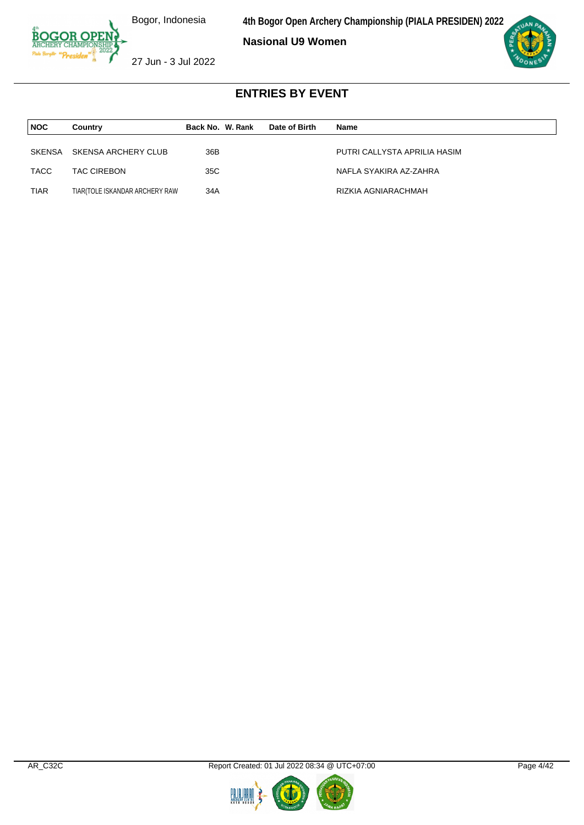**4th Bogor Open Archery Championship (PIALA PRESIDEN) 2022**

**Nasional U9 Women**



27 Jun - 3 Jul 2022

| <b>NOC</b>  | Country                        | Back No. W. Rank | Date of Birth | Name                         |
|-------------|--------------------------------|------------------|---------------|------------------------------|
| SKENSA      | SKENSA ARCHERY CLUB            | 36B              |               | PUTRI CALLYSTA APRILIA HASIM |
| TACC        | <b>TAC CIREBON</b>             | 35C              |               | NAFLA SYAKIRA AZ-ZAHRA       |
|             |                                |                  |               |                              |
| <b>TIAR</b> | TIAR(TOLE ISKANDAR ARCHERY RAW | 34A              |               | RIZKIA AGNIARACHMAH          |



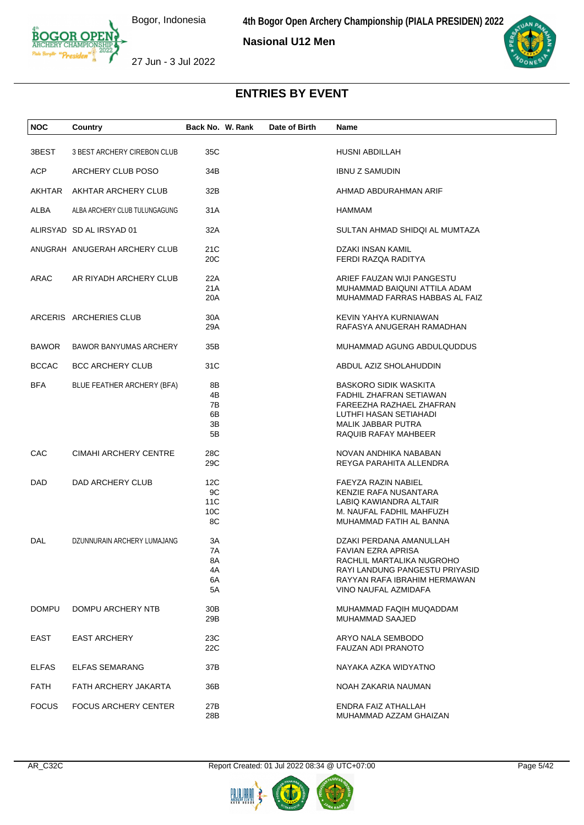**Nasional U12 Men**



27 Jun - 3 Jul 2022

| <b>NOC</b>   | Country                       | Back No. W. Rank | Date of Birth | Name                           |
|--------------|-------------------------------|------------------|---------------|--------------------------------|
|              |                               |                  |               |                                |
| 3BEST        | 3 BEST ARCHERY CIREBON CLUB   | 35C              |               | <b>HUSNI ABDILLAH</b>          |
| ACP.         | ARCHERY CLUB POSO             | 34B              |               | <b>IBNU Z SAMUDIN</b>          |
| AKHTAR       | AKHTAR ARCHERY CLUB           | 32B              |               | AHMAD ABDURAHMAN ARIF          |
| ALBA         | ALBA ARCHERY CLUB TULUNGAGUNG | 31A              |               | HAMMAM                         |
|              | ALIRSYAD SD AL IRSYAD 01      | 32A              |               | SULTAN AHMAD SHIDQI AL MUMTAZA |
|              | ANUGRAH ANUGERAH ARCHERY CLUB | 21C              |               | DZAKI INSAN KAMIL              |
|              |                               | 20C              |               | FERDI RAZQA RADITYA            |
| ARAC         | AR RIYADH ARCHERY CLUB        | 22A              |               | ARIEF FAUZAN WIJI PANGESTU     |
|              |                               | 21A              |               | MUHAMMAD BAIQUNI ATTILA ADAM   |
|              |                               | 20A              |               | MUHAMMAD FARRAS HABBAS AL FAIZ |
|              | ARCERIS ARCHERIES CLUB        | 30A              |               | KEVIN YAHYA KURNIAWAN          |
|              |                               | 29A              |               | RAFASYA ANUGERAH RAMADHAN      |
| <b>BAWOR</b> | <b>BAWOR BANYUMAS ARCHERY</b> | 35B              |               | MUHAMMAD AGUNG ABDULQUDDUS     |
| <b>BCCAC</b> | <b>BCC ARCHERY CLUB</b>       | 31C              |               | ABDUL AZIZ SHOLAHUDDIN         |
| <b>BFA</b>   | BLUE FEATHER ARCHERY (BFA)    | 8B               |               | <b>BASKORO SIDIK WASKITA</b>   |
|              |                               | 4B               |               | FADHIL ZHAFRAN SETIAWAN        |
|              |                               | 7В               |               | FAREEZHA RAZHAEL ZHAFRAN       |
|              |                               | 6B               |               | LUTHFI HASAN SETIAHADI         |
|              |                               | 3B               |               | MALIK JABBAR PUTRA             |
|              |                               | 5B               |               | RAQUIB RAFAY MAHBEER           |
| CAC          | CIMAHI ARCHERY CENTRE         | 28C              |               | NOVAN ANDHIKA NABABAN          |
|              |                               | 29C              |               | REYGA PARAHITA ALLENDRA        |
| DAD          | DAD ARCHERY CLUB              | 12C              |               | FAEYZA RAZIN NABIEL            |
|              |                               | 9C               |               | KENZIE RAFA NUSANTARA          |
|              |                               | 11C              |               | LABIQ KAWIANDRA ALTAIR         |
|              |                               | 10C              |               | M. NAUFAL FADHIL MAHFUZH       |
|              |                               | 8C               |               | MUHAMMAD FATIH AL BANNA        |
| DAL          | DZUNNURAIN ARCHERY LUMAJANG   | 3A               |               | DZAKI PERDANA AMANULLAH        |
|              |                               | 7A               |               | <b>FAVIAN EZRA APRISA</b>      |
|              |                               | 8A               |               | RACHLIL MARTALIKA NUGROHO      |
|              |                               | 4A               |               | RAYI LANDUNG PANGESTU PRIYASID |
|              |                               | 6A               |               | RAYYAN RAFA IBRAHIM HERMAWAN   |
|              |                               | 5A               |               | VINO NAUFAL AZMIDAFA           |
| <b>DOMPU</b> | DOMPU ARCHERY NTB             | 30B              |               | MUHAMMAD FAQIH MUQADDAM        |
|              |                               | 29B              |               | MUHAMMAD SAAJED                |
| EAST         | <b>EAST ARCHERY</b>           | 23C              |               | ARYO NALA SEMBODO              |
|              |                               | 22C              |               | <b>FAUZAN ADI PRANOTO</b>      |
| <b>ELFAS</b> | <b>ELFAS SEMARANG</b>         | 37B              |               | NAYAKA AZKA WIDYATNO           |
| <b>FATH</b>  | FATH ARCHERY JAKARTA          | 36B              |               | NOAH ZAKARIA NAUMAN            |
| <b>FOCUS</b> | <b>FOCUS ARCHERY CENTER</b>   | 27B              |               | ENDRA FAIZ ATHALLAH            |
|              |                               | 28B              |               | MUHAMMAD AZZAM GHAIZAN         |
|              |                               |                  |               |                                |



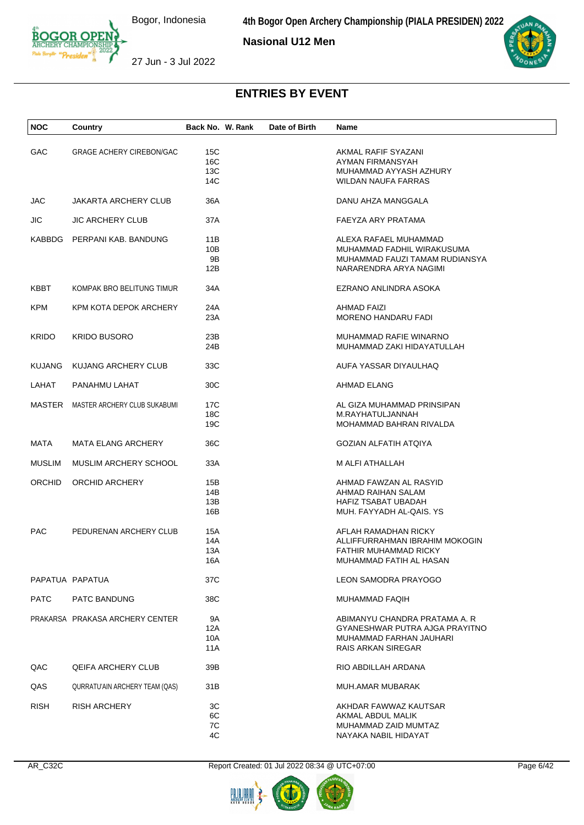**4th Bogor Open Archery Championship (PIALA PRESIDEN) 2022**

**Nasional U12 Men**





27 Jun - 3 Jul 2022

| <b>NOC</b>    | Country                         | Back No. W. Rank         | Date of Birth | Name                                                                                                                    |
|---------------|---------------------------------|--------------------------|---------------|-------------------------------------------------------------------------------------------------------------------------|
| GAC           | <b>GRAGE ACHERY CIREBON/GAC</b> | 15C<br>16C<br>13C<br>14C |               | AKMAL RAFIF SYAZANI<br>AYMAN FIRMANSYAH<br>MUHAMMAD AYYASH AZHURY<br><b>WILDAN NAUFA FARRAS</b>                         |
| JAC           | <b>JAKARTA ARCHERY CLUB</b>     | 36A                      |               | DANU AHZA MANGGALA                                                                                                      |
| <b>JIC</b>    | <b>JIC ARCHERY CLUB</b>         | 37A                      |               | FAEYZA ARY PRATAMA                                                                                                      |
|               | KABBDG PERPANI KAB. BANDUNG     | 11B<br>10B<br>9Β<br>12B  |               | ALEXA RAFAEL MUHAMMAD<br>MUHAMMAD FADHIL WIRAKUSUMA<br>MUHAMMAD FAUZI TAMAM RUDIANSYA<br>NARARENDRA ARYA NAGIMI         |
| KBBT          | KOMPAK BRO BELITUNG TIMUR       | 34A                      |               | EZRANO ANLINDRA ASOKA                                                                                                   |
| <b>KPM</b>    | KPM KOTA DEPOK ARCHERY          | 24A<br>23A               |               | AHMAD FAIZI<br><b>MORENO HANDARU FADI</b>                                                                               |
| <b>KRIDO</b>  | <b>KRIDO BUSORO</b>             | 23B<br>24B               |               | MUHAMMAD RAFIE WINARNO<br>MUHAMMAD ZAKI HIDAYATULLAH                                                                    |
| <b>KUJANG</b> | KUJANG ARCHERY CLUB             | 33C                      |               | AUFA YASSAR DIYAULHAQ                                                                                                   |
| LAHAT         | PANAHMU LAHAT                   | 30C                      |               | AHMAD ELANG                                                                                                             |
| MASTER        | MASTER ARCHERY CLUB SUKABUMI    | 17C<br>18C<br>19C        |               | AL GIZA MUHAMMAD PRINSIPAN<br>M.RAYHATULJANNAH<br>MOHAMMAD BAHRAN RIVALDA                                               |
| MATA          | <b>MATA ELANG ARCHERY</b>       | 36C                      |               | GOZIAN ALFATIH ATQIYA                                                                                                   |
| <b>MUSLIM</b> | MUSLIM ARCHERY SCHOOL           | 33A                      |               | M ALFI ATHALLAH                                                                                                         |
| <b>ORCHID</b> | ORCHID ARCHERY                  | 15B<br>14B<br>13B<br>16B |               | AHMAD FAWZAN AL RASYID<br>AHMAD RAIHAN SALAM<br>HAFIZ TSABAT UBADAH<br>MUH. FAYYADH AL-QAIS. YS                         |
| <b>PAC</b>    | PEDURENAN ARCHERY CLUB          | 15A<br>14A<br>13A<br>16A |               | AFLAH RAMADHAN RICKY<br>ALLIFFURRAHMAN IBRAHIM MOKOGIN<br>FATHIR MUHAMMAD RICKY<br>MUHAMMAD FATIH AL HASAN              |
|               | PAPATUA PAPATUA                 | 37C                      |               | LEON SAMODRA PRAYOGO                                                                                                    |
| <b>PATC</b>   | PATC BANDUNG                    | 38C                      |               | MUHAMMAD FAQIH                                                                                                          |
|               | PRAKARSA PRAKASA ARCHERY CENTER | 9A<br>12A<br>10A<br>11A  |               | ABIMANYU CHANDRA PRATAMA A. R<br>GYANESHWAR PUTRA AJGA PRAYITNO<br>MUHAMMAD FARHAN JAUHARI<br><b>RAIS ARKAN SIREGAR</b> |
| QAC           | <b>QEIFA ARCHERY CLUB</b>       | 39B                      |               | RIO ABDILLAH ARDANA                                                                                                     |
| QAS           | QURRATU'AIN ARCHERY TEAM (QAS)  | 31B                      |               | MUH.AMAR MUBARAK                                                                                                        |
| <b>RISH</b>   | <b>RISH ARCHERY</b>             | 3C<br>6C<br>7C<br>4C     |               | AKHDAR FAWWAZ KAUTSAR<br>AKMAL ABDUL MALIK<br>MUHAMMAD ZAID MUMTAZ<br>NAYAKA NABIL HIDAYAT                              |

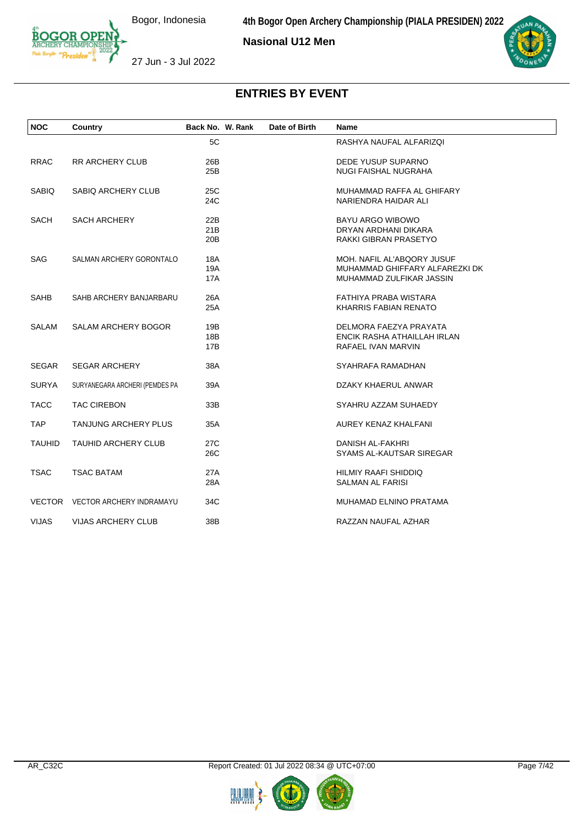

**Nasional U12 Men**



27 Jun - 3 Jul 2022

| <b>NOC</b>    | Country                         | Back No. W. Rank | Date of Birth | <b>Name</b>                    |  |
|---------------|---------------------------------|------------------|---------------|--------------------------------|--|
|               |                                 | 5C               |               | RASHYA NAUFAL ALFARIZQI        |  |
| <b>RRAC</b>   | <b>RR ARCHERY CLUB</b>          | 26B              |               | DEDE YUSUP SUPARNO             |  |
|               |                                 | 25B              |               | <b>NUGI FAISHAL NUGRAHA</b>    |  |
| <b>SABIQ</b>  | <b>SABIQ ARCHERY CLUB</b>       | 25C              |               | MUHAMMAD RAFFA AL GHIFARY      |  |
|               |                                 | 24C              |               | NARIENDRA HAIDAR ALI           |  |
| SACH          | <b>SACH ARCHERY</b>             | 22B              |               | <b>BAYU ARGO WIBOWO</b>        |  |
|               |                                 | 21B              |               | DRYAN ARDHANI DIKARA           |  |
|               |                                 | 20B              |               | RAKKI GIBRAN PRASETYO          |  |
| <b>SAG</b>    | SALMAN ARCHERY GORONTALO        | 18A              |               | MOH. NAFIL AL'ABQORY JUSUF     |  |
|               |                                 | 19A              |               | MUHAMMAD GHIFFARY ALFAREZKI DK |  |
|               |                                 | 17A              |               | MUHAMMAD ZULFIKAR JASSIN       |  |
| SAHB          | SAHB ARCHERY BANJARBARU         | 26A              |               | FATHIYA PRABA WISTARA          |  |
|               |                                 | 25A              |               | KHARRIS FABIAN RENATO          |  |
| <b>SALAM</b>  | SALAM ARCHERY BOGOR             | 19B              |               | DELMORA FAEZYA PRAYATA         |  |
|               |                                 | 18B              |               | ENCIK RASHA ATHAILLAH IRLAN    |  |
|               |                                 | 17B              |               | RAFAEL IVAN MARVIN             |  |
| <b>SEGAR</b>  | <b>SEGAR ARCHERY</b>            | 38A              |               | SYAHRAFA RAMADHAN              |  |
| <b>SURYA</b>  | SURYANEGARA ARCHERI (PEMDES PA  | 39A              |               | DZAKY KHAERUL ANWAR            |  |
| <b>TACC</b>   | <b>TAC CIREBON</b>              | 33B              |               | SYAHRU AZZAM SUHAEDY           |  |
| <b>TAP</b>    | <b>TANJUNG ARCHERY PLUS</b>     | 35A              |               | AUREY KENAZ KHALFANI           |  |
| <b>TAUHID</b> | <b>TAUHID ARCHERY CLUB</b>      | 27C              |               | DANISH AL-FAKHRI               |  |
|               |                                 | 26C              |               | SYAMS AL-KAUTSAR SIREGAR       |  |
| <b>TSAC</b>   | <b>TSAC BATAM</b>               | 27A              |               | <b>HILMIY RAAFI SHIDDIQ</b>    |  |
|               |                                 | 28A              |               | SALMAN AL FARISI               |  |
|               | VECTOR VECTOR ARCHERY INDRAMAYU | 34C              |               | MUHAMAD ELNINO PRATAMA         |  |
| <b>VIJAS</b>  | <b>VIJAS ARCHERY CLUB</b>       | 38B              |               | RAZZAN NAUFAL AZHAR            |  |



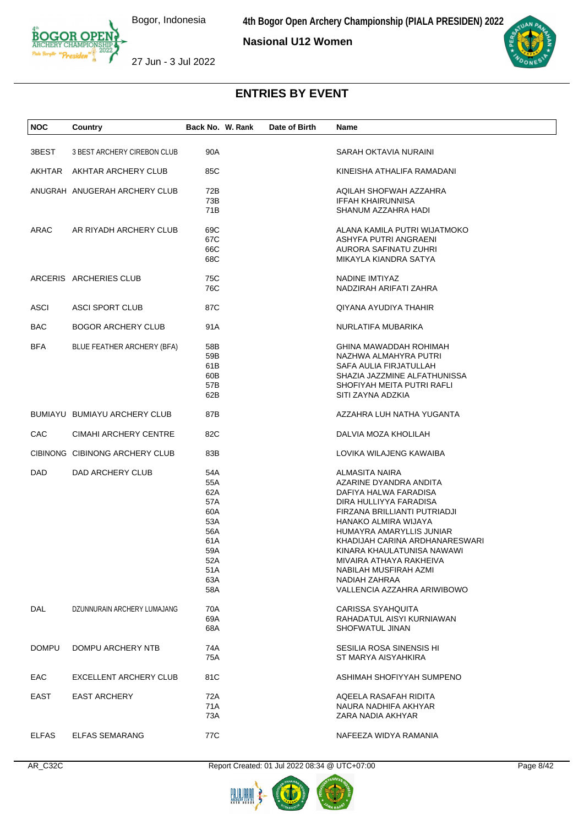**4th Bogor Open Archery Championship (PIALA PRESIDEN) 2022**

**Nasional U12 Women**



27 Jun - 3 Jul 2022

| <b>NOC</b>   | Country                        | Back No. W. Rank | Date of Birth | Name                           |
|--------------|--------------------------------|------------------|---------------|--------------------------------|
| 3BEST        | 3 BEST ARCHERY CIREBON CLUB    | 90A              |               | SARAH OKTAVIA NURAINI          |
|              |                                |                  |               |                                |
| AKHTAR       | AKHTAR ARCHERY CLUB            | 85C              |               | KINEISHA ATHALIFA RAMADANI     |
|              | ANUGRAH ANUGERAH ARCHERY CLUB  | 72B              |               | AQILAH SHOFWAH AZZAHRA         |
|              |                                | 73B              |               | <b>IFFAH KHAIRUNNISA</b>       |
|              |                                | 71B              |               | SHANUM AZZAHRA HADI            |
| ARAC         | AR RIYADH ARCHERY CLUB         | 69C              |               | ALANA KAMILA PUTRI WIJATMOKO   |
|              |                                | 67C              |               | ASHYFA PUTRI ANGRAENI          |
|              |                                | 66C              |               | AURORA SAFINATU ZUHRI          |
|              |                                | 68C              |               | MIKAYLA KIANDRA SATYA          |
|              | ARCERIS ARCHERIES CLUB         | 75C              |               | NADINE IMTIYAZ                 |
|              |                                | 76C              |               | NADZIRAH ARIFATI ZAHRA         |
|              |                                |                  |               |                                |
| <b>ASCI</b>  | <b>ASCI SPORT CLUB</b>         | 87C              |               | QIYANA AYUDIYA THAHIR          |
| BAC          | <b>BOGOR ARCHERY CLUB</b>      | 91A              |               | NURLATIFA MUBARIKA             |
| <b>BFA</b>   | BLUE FEATHER ARCHERY (BFA)     | 58B              |               | GHINA MAWADDAH ROHIMAH         |
|              |                                | 59B              |               | NAZHWA ALMAHYRA PUTRI          |
|              |                                | 61B              |               | SAFA AULIA FIRJATULLAH         |
|              |                                | 60B              |               | SHAZIA JAZZMINE ALFATHUNISSA   |
|              |                                | 57B              |               | SHOFIYAH MEITA PUTRI RAFLI     |
|              |                                | 62B              |               | SITI ZAYNA ADZKIA              |
|              | BUMIAYU BUMIAYU ARCHERY CLUB   | 87B              |               | AZZAHRA LUH NATHA YUGANTA      |
| CAC          | CIMAHI ARCHERY CENTRE          | 82C              |               | DALVIA MOZA KHOLILAH           |
|              | CIBINONG CIBINONG ARCHERY CLUB | 83B              |               | LOVIKA WILAJENG KAWAIBA        |
| DAD          | DAD ARCHERY CLUB               | 54A              |               | ALMASITA NAIRA                 |
|              |                                | 55A              |               | AZARINE DYANDRA ANDITA         |
|              |                                | 62A              |               | DAFIYA HALWA FARADISA          |
|              |                                | 57A              |               | DIRA HULLIYYA FARADISA         |
|              |                                | 60A              |               | FIRZANA BRILLIANTI PUTRIADJI   |
|              |                                | 53A              |               | HANAKO ALMIRA WIJAYA           |
|              |                                | 56A              |               | HUMAYRA AMARYLLIS JUNIAR       |
|              |                                | 61 A             |               | KHADIJAH CARINA ARDHANARESWARI |
|              |                                | 59A              |               | KINARA KHAULATUNISA NAWAWI     |
|              |                                | 52A              |               | MIVAIRA ATHAYA RAKHEIVA        |
|              |                                | 51 A             |               | NABILAH MUSFIRAH AZMI          |
|              |                                | 63A              |               | NADIAH ZAHRAA                  |
|              |                                | 58A              |               | VALLENCIA AZZAHRA ARIWIBOWO    |
| DAL          | DZUNNURAIN ARCHERY LUMAJANG    | 70A              |               | CARISSA SYAHQUITA              |
|              |                                | 69A              |               | RAHADATUL AISYI KURNIAWAN      |
|              |                                | 68A              |               | SHOFWATUL JINAN                |
| <b>DOMPU</b> | DOMPU ARCHERY NTB              | 74A              |               | SESILIA ROSA SINENSIS HI       |
|              |                                | 75A              |               | ST MARYA AISYAHKIRA            |
| EAC          | EXCELLENT ARCHERY CLUB         | 81C              |               | ASHIMAH SHOFIYYAH SUMPENO      |
| EAST         | <b>EAST ARCHERY</b>            | 72A              |               | AQEELA RASAFAH RIDITA          |
|              |                                | 71A              |               | NAURA NADHIFA AKHYAR           |
|              |                                | 73A              |               | ZARA NADIA AKHYAR              |
| <b>ELFAS</b> | <b>ELFAS SEMARANG</b>          | 77C              |               | NAFEEZA WIDYA RAMANIA          |

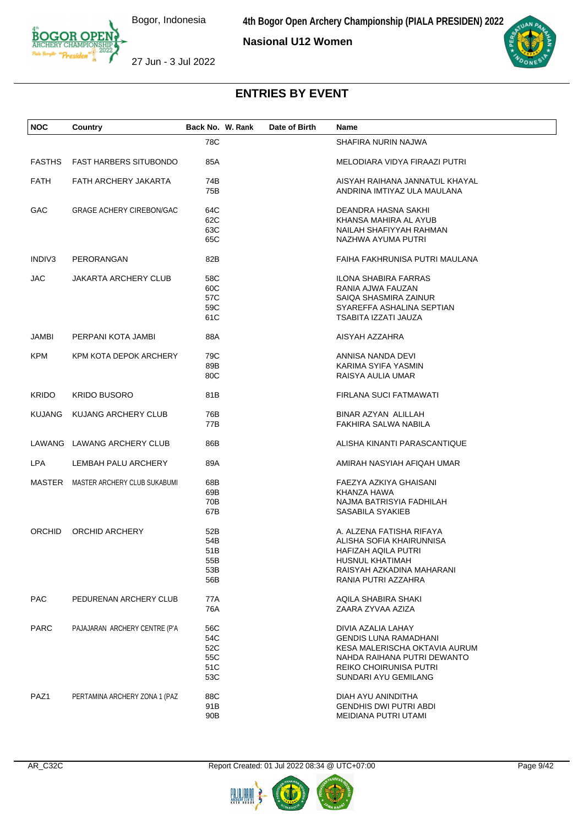**Nasional U12 Women**



27 Jun - 3 Jul 2022

| <b>NOC</b>    | Country                             | Back No. W. Rank | Date of Birth | <b>Name</b>                    |
|---------------|-------------------------------------|------------------|---------------|--------------------------------|
|               |                                     | 78C              |               | SHAFIRA NURIN NAJWA            |
| <b>FASTHS</b> | <b>FAST HARBERS SITUBONDO</b>       | 85A              |               | MELODIARA VIDYA FIRAAZI PUTRI  |
| <b>FATH</b>   | FATH ARCHERY JAKARTA                | 74B              |               | AISYAH RAIHANA JANNATUL KHAYAL |
|               |                                     | 75B              |               | ANDRINA IMTIYAZ ULA MAULANA    |
| GAC           | <b>GRAGE ACHERY CIREBON/GAC</b>     | 64C              |               | DEANDRA HASNA SAKHI            |
|               |                                     | 62C              |               | KHANSA MAHIRA AL AYUB          |
|               |                                     | 63C              |               | NAILAH SHAFIYYAH RAHMAN        |
|               |                                     | 65C              |               | NAZHWA AYUMA PUTRI             |
| INDIV3        | PERORANGAN                          | 82B              |               | FAIHA FAKHRUNISA PUTRI MAULANA |
| JAC           | <b>JAKARTA ARCHERY CLUB</b>         | 58C              |               | <b>ILONA SHABIRA FARRAS</b>    |
|               |                                     | 60C              |               | RANIA AJWA FAUZAN              |
|               |                                     | 57C              |               | SAIQA SHASMIRA ZAINUR          |
|               |                                     | 59C              |               | SYAREFFA ASHALINA SEPTIAN      |
|               |                                     | 61C              |               | TSABITA IZZATI JAUZA           |
| JAMBI         | PERPANI KOTA JAMBI                  | 88A              |               | AISYAH AZZAHRA                 |
| <b>KPM</b>    | KPM KOTA DEPOK ARCHERY              | 79C              |               | ANNISA NANDA DEVI              |
|               |                                     | 89B              |               | KARIMA SYIFA YASMIN            |
|               |                                     | 80C              |               | RAISYA AULIA UMAR              |
| <b>KRIDO</b>  | <b>KRIDO BUSORO</b>                 | 81B              |               | FIRLANA SUCI FATMAWATI         |
| <b>KUJANG</b> | KUJANG ARCHERY CLUB                 | 76B              |               | <b>BINAR AZYAN ALILLAH</b>     |
|               |                                     | 77B              |               | FAKHIRA SALWA NABILA           |
|               | LAWANG LAWANG ARCHERY CLUB          | 86B              |               | ALISHA KINANTI PARASCANTIQUE   |
| <b>LPA</b>    | LEMBAH PALU ARCHERY                 | 89A              |               | AMIRAH NASYIAH AFIQAH UMAR     |
|               | MASTER MASTER ARCHERY CLUB SUKABUMI | 68B              |               | FAEZYA AZKIYA GHAISANI         |
|               |                                     | 69B              |               | KHANZA HAWA                    |
|               |                                     | 70B              |               | NAJMA BATRISYIA FADHILAH       |
|               |                                     | 67B              |               | SASABILA SYAKIEB               |
| <b>ORCHID</b> | ORCHID ARCHERY                      | 52B              |               | A. ALZENA FATISHA RIFAYA       |
|               |                                     | 54B              |               | ALISHA SOFIA KHAIRUNNISA       |
|               |                                     | 51B              |               | HAFIZAH AQILA PUTRI            |
|               |                                     | 55B              |               | HUSNUL KHATIMAH                |
|               |                                     | 53B              |               | RAISYAH AZKADINA MAHARANI      |
|               |                                     | 56B              |               | RANIA PUTRI AZZAHRA            |
| <b>PAC</b>    | PEDURENAN ARCHERY CLUB              | 77A              |               | AQILA SHABIRA SHAKI            |
|               |                                     | 76A              |               | ZAARA ZYVAA AZIZA              |
| <b>PARC</b>   | PAJAJARAN ARCHERY CENTRE (P'A       | 56C              |               | DIVIA AZALIA LAHAY             |
|               |                                     | 54C              |               | <b>GENDIS LUNA RAMADHANI</b>   |
|               |                                     | 52C              |               | KESA MALERISCHA OKTAVIA AURUM  |
|               |                                     | 55C              |               | NAHDA RAIHANA PUTRI DEWANTO    |
|               |                                     | 51C              |               | REIKO CHOIRUNISA PUTRI         |
|               |                                     | 53C              |               | SUNDARI AYU GEMILANG           |
| PAZ1          | PERTAMINA ARCHERY ZONA 1 (PAZ       | 88C              |               | DIAH AYU ANINDITHA             |
|               |                                     | 91B              |               | <b>GENDHIS DWI PUTRI ABDI</b>  |
|               |                                     | 90B              |               | MEIDIANA PUTRI UTAMI           |



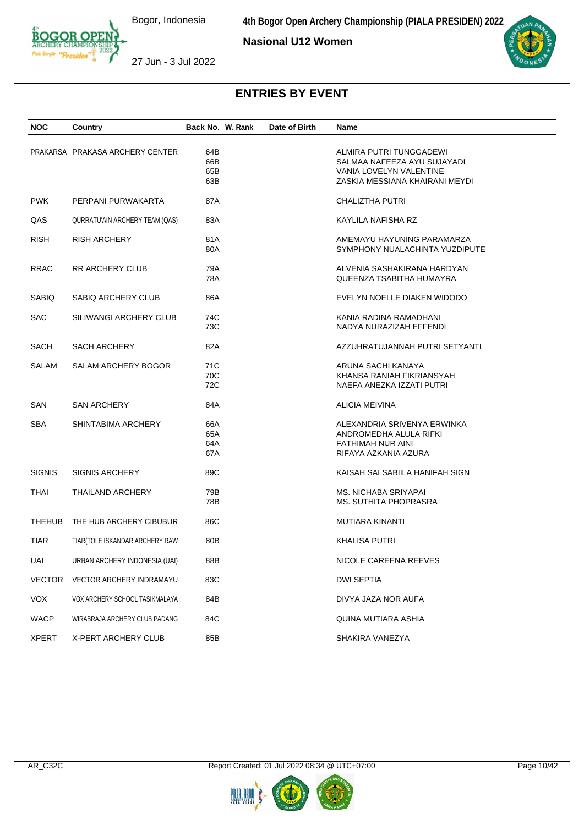**Nasional U12 Women**



27 Jun - 3 Jul 2022

| <b>NOC</b>    | Country                         | Back No. W. Rank         | Date of Birth | Name                                                                                                                |
|---------------|---------------------------------|--------------------------|---------------|---------------------------------------------------------------------------------------------------------------------|
|               | PRAKARSA PRAKASA ARCHERY CENTER | 64B<br>66B<br>65B<br>63B |               | ALMIRA PUTRI TUNGGADEWI<br>SALMAA NAFEEZA AYU SUJAYADI<br>VANIA LOVELYN VALENTINE<br>ZASKIA MESSIANA KHAIRANI MEYDI |
| <b>PWK</b>    | PERPANI PURWAKARTA              | 87A                      |               | CHALIZTHA PUTRI                                                                                                     |
| QAS           | QURRATU'AIN ARCHERY TEAM (QAS)  | 83A                      |               | KAYLILA NAFISHA RZ                                                                                                  |
| <b>RISH</b>   | RISH ARCHERY                    | 81A<br>80A               |               | AMEMAYU HAYUNING PARAMARZA<br>SYMPHONY NUALACHINTA YUZDIPUTE                                                        |
| <b>RRAC</b>   | RR ARCHERY CLUB                 | 79A<br>78A               |               | ALVENIA SASHAKIRANA HARDYAN<br>QUEENZA TSABITHA HUMAYRA                                                             |
| SABIQ         | SABIQ ARCHERY CLUB              | 86A                      |               | EVELYN NOELLE DIAKEN WIDODO                                                                                         |
| <b>SAC</b>    | SILIWANGI ARCHERY CLUB          | 74C<br>73C               |               | KANIA RADINA RAMADHANI<br>NADYA NURAZIZAH EFFENDI                                                                   |
| SACH          | <b>SACH ARCHERY</b>             | 82A                      |               | AZZUHRATUJANNAH PUTRI SETYANTI                                                                                      |
| SALAM         | SALAM ARCHERY BOGOR             | 71C<br>70C<br>72C        |               | ARUNA SACHI KANAYA<br>KHANSA RANIAH FIKRIANSYAH<br>NAEFA ANEZKA IZZATI PUTRI                                        |
| SAN           | <b>SAN ARCHERY</b>              | 84A                      |               | <b>ALICIA MEIVINA</b>                                                                                               |
| <b>SBA</b>    | SHINTABIMA ARCHERY              | 66A<br>65A<br>64A<br>67A |               | ALEXANDRIA SRIVENYA ERWINKA<br>ANDROMEDHA ALULA RIFKI<br>FATHIMAH NUR AINI<br>RIFAYA AZKANIA AZURA                  |
| <b>SIGNIS</b> | <b>SIGNIS ARCHERY</b>           | 89C                      |               | KAISAH SALSABIILA HANIFAH SIGN                                                                                      |
| THAI          | THAILAND ARCHERY                | 79B<br>78B               |               | MS. NICHABA SRIYAPAI<br>MS. SUTHITA PHOPRASRA                                                                       |
| <b>THEHUB</b> | THE HUB ARCHERY CIBUBUR         | 86C                      |               | <b>MUTIARA KINANTI</b>                                                                                              |
| TIAR          | TIAR(TOLE ISKANDAR ARCHERY RAW  | 80B                      |               | KHALISA PUTRI                                                                                                       |
| UAI           | URBAN ARCHERY INDONESIA (UAI)   | 88B                      |               | NICOLE CAREENA REEVES                                                                                               |
|               | VECTOR VECTOR ARCHERY INDRAMAYU | 83C                      |               | <b>DWI SEPTIA</b>                                                                                                   |
| <b>VOX</b>    | VOX ARCHERY SCHOOL TASIKMALAYA  | 84B                      |               | DIVYA JAZA NOR AUFA                                                                                                 |
| <b>WACP</b>   | WIRABRAJA ARCHERY CLUB PADANG   | 84C                      |               | QUINA MUTIARA ASHIA                                                                                                 |
| <b>XPERT</b>  | X-PERT ARCHERY CLUB             | 85B                      |               | SHAKIRA VANEZYA                                                                                                     |



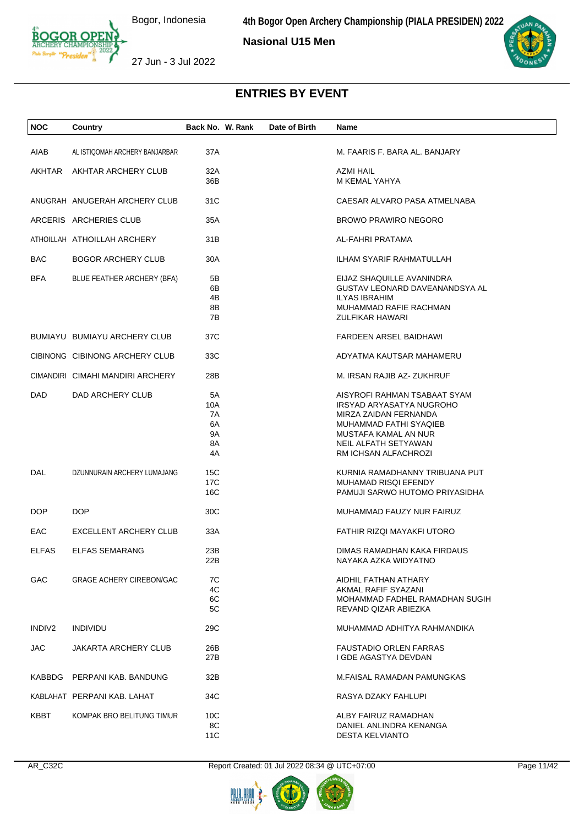**Nasional U15 Men**



27 Jun - 3 Jul 2022

| <b>NOC</b>   | Country                          | Back No. W. Rank                        | Date of Birth | Name                                                                                                                                                                                       |
|--------------|----------------------------------|-----------------------------------------|---------------|--------------------------------------------------------------------------------------------------------------------------------------------------------------------------------------------|
| AIAB         | AL ISTIQOMAH ARCHERY BANJARBAR   | 37A                                     |               | M. FAARIS F. BARA AL. BANJARY                                                                                                                                                              |
|              |                                  |                                         |               |                                                                                                                                                                                            |
| AKHTAR       | AKHTAR ARCHERY CLUB              | 32A<br>36B                              |               | AZMI HAIL<br>M KEMAL YAHYA                                                                                                                                                                 |
|              | ANUGRAH ANUGERAH ARCHERY CLUB    | 31C                                     |               | CAESAR ALVARO PASA ATMELNABA                                                                                                                                                               |
|              | ARCERIS ARCHERIES CLUB           | 35A                                     |               | <b>BROWO PRAWIRO NEGORO</b>                                                                                                                                                                |
|              | ATHOILLAH ATHOILLAH ARCHERY      | 31B                                     |               | AL-FAHRI PRATAMA                                                                                                                                                                           |
| <b>BAC</b>   | <b>BOGOR ARCHERY CLUB</b>        | 30A                                     |               | ILHAM SYARIF RAHMATULLAH                                                                                                                                                                   |
| <b>BFA</b>   | BLUE FEATHER ARCHERY (BFA)       | 5B<br>6B<br>4B<br>8Β<br>7B              |               | EIJAZ SHAQUILLE AVANINDRA<br>GUSTAV LEONARD DAVEANANDSYA AL<br><b>ILYAS IBRAHIM</b><br>MUHAMMAD RAFIE RACHMAN<br><b>ZULFIKAR HAWARI</b>                                                    |
|              | BUMIAYU BUMIAYU ARCHERY CLUB     | 37C                                     |               | FARDEEN ARSEL BAIDHAWI                                                                                                                                                                     |
|              | CIBINONG CIBINONG ARCHERY CLUB   | 33C                                     |               | ADYATMA KAUTSAR MAHAMERU                                                                                                                                                                   |
|              | CIMANDIRI CIMAHI MANDIRI ARCHERY | 28B                                     |               | M. IRSAN RAJIB AZ-ZUKHRUF                                                                                                                                                                  |
| DAD          | DAD ARCHERY CLUB                 | 5A<br>10A<br>7A<br>6A<br>9Α<br>8A<br>4A |               | AISYROFI RAHMAN TSABAAT SYAM<br><b>IRSYAD ARYASATYA NUGROHO</b><br>MIRZA ZAIDAN FERNANDA<br>MUHAMMAD FATHI SYAQIEB<br>MUSTAFA KAMAL AN NUR<br>NEIL ALFATH SETYAWAN<br>RM ICHSAN ALFACHROZI |
| DAL          | DZUNNURAIN ARCHERY LUMAJANG      | 15C<br>17C<br>16C                       |               | KURNIA RAMADHANNY TRIBUANA PUT<br>MUHAMAD RISQI EFENDY<br>PAMUJI SARWO HUTOMO PRIYASIDHA                                                                                                   |
| DOP          | <b>DOP</b>                       | 30C                                     |               | MUHAMMAD FAUZY NUR FAIRUZ                                                                                                                                                                  |
| <b>EAC</b>   | <b>EXCELLENT ARCHERY CLUB</b>    | 33A                                     |               | FATHIR RIZQI MAYAKFI UTORO                                                                                                                                                                 |
| <b>ELFAS</b> | <b>ELFAS SEMARANG</b>            | 23B<br>22B                              |               | DIMAS RAMADHAN KAKA FIRDAUS<br>NAYAKA AZKA WIDYATNO                                                                                                                                        |
| <b>GAC</b>   | <b>GRAGE ACHERY CIREBON/GAC</b>  | 7C<br>4C<br>6C<br>5C                    |               | AIDHIL FATHAN ATHARY<br>AKMAL RAFIF SYAZANI<br>MOHAMMAD FADHEL RAMADHAN SUGIH<br>REVAND QIZAR ABIEZKA                                                                                      |
| INDIV2       | <b>INDIVIDU</b>                  | 29C                                     |               | MUHAMMAD ADHITYA RAHMANDIKA                                                                                                                                                                |
| JAC.         | JAKARTA ARCHERY CLUB             | 26B<br>27B                              |               | <b>FAUSTADIO ORLEN FARRAS</b><br>I GDE AGASTYA DEVDAN                                                                                                                                      |
|              | KABBDG PERPANI KAB. BANDUNG      | 32B                                     |               | M.FAISAL RAMADAN PAMUNGKAS                                                                                                                                                                 |
|              | KABLAHAT PERPANI KAB. LAHAT      | 34C                                     |               | RASYA DZAKY FAHLUPI                                                                                                                                                                        |
| KBBT         | KOMPAK BRO BELITUNG TIMUR        | 10C<br>8C<br>11C                        |               | ALBY FAIRUZ RAMADHAN<br>DANIEL ANLINDRA KENANGA<br><b>DESTA KELVIANTO</b>                                                                                                                  |

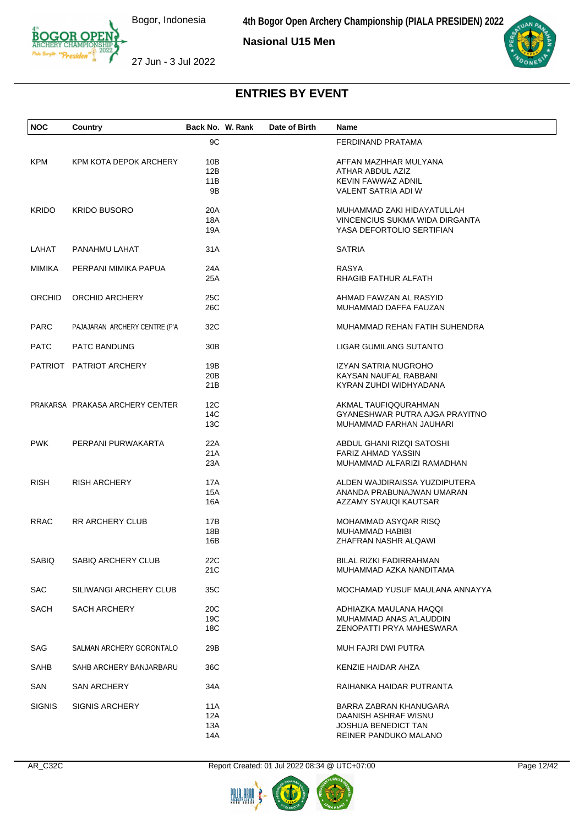**4th Bogor Open Archery Championship (PIALA PRESIDEN) 2022**

**Nasional U15 Men**





27 Jun - 3 Jul 2022

| <b>NOC</b>    | Country                         | Back No. W. Rank              | Date of Birth | Name                                                                                                  |
|---------------|---------------------------------|-------------------------------|---------------|-------------------------------------------------------------------------------------------------------|
|               |                                 | 9C                            |               | FERDINAND PRATAMA                                                                                     |
| <b>KPM</b>    | KPM KOTA DEPOK ARCHERY          | 10B<br>12B<br>11B<br>9B       |               | AFFAN MAZHHAR MULYANA<br>ATHAR ABDUL AZIZ<br>KEVIN FAWWAZ ADNIL<br><b>VALENT SATRIA ADI W</b>         |
| <b>KRIDO</b>  | <b>KRIDO BUSORO</b>             | 20A<br>18A<br>19A             |               | MUHAMMAD ZAKI HIDAYATULLAH<br>VINCENCIUS SUKMA WIDA DIRGANTA<br>YASA DEFORTOLIO SERTIFIAN             |
| LAHAT         | PANAHMU LAHAT                   | 31A                           |               | <b>SATRIA</b>                                                                                         |
| MIMIKA        | PERPANI MIMIKA PAPUA            | 24A<br>25A                    |               | <b>RASYA</b><br>RHAGIB FATHUR ALFATH                                                                  |
| ORCHID        | ORCHID ARCHERY                  | 25C<br>26C                    |               | AHMAD FAWZAN AL RASYID<br>MUHAMMAD DAFFA FAUZAN                                                       |
| <b>PARC</b>   | PAJAJARAN ARCHERY CENTRE (P'A   | 32C                           |               | MUHAMMAD REHAN FATIH SUHENDRA                                                                         |
| <b>PATC</b>   | PATC BANDUNG                    | 30B                           |               | <b>LIGAR GUMILANG SUTANTO</b>                                                                         |
|               | PATRIOT PATRIOT ARCHERY         | 19B<br>20 <sub>B</sub><br>21B |               | IZYAN SATRIA NUGROHO<br>KAYSAN NAUFAL RABBANI<br>KYRAN ZUHDI WIDHYADANA                               |
|               | PRAKARSA PRAKASA ARCHERY CENTER | 12C<br>14C<br>13C             |               | AKMAL TAUFIQQURAHMAN<br>GYANESHWAR PUTRA AJGA PRAYITNO<br>MUHAMMAD FARHAN JAUHARI                     |
| <b>PWK</b>    | PERPANI PURWAKARTA              | 22A<br>21A<br>23A             |               | ABDUL GHANI RIZQI SATOSHI<br><b>FARIZ AHMAD YASSIN</b><br>MUHAMMAD ALFARIZI RAMADHAN                  |
| <b>RISH</b>   | <b>RISH ARCHERY</b>             | 17A<br>15A<br>16A             |               | ALDEN WAJDIRAISSA YUZDIPUTERA<br>ANANDA PRABUNAJWAN UMARAN<br>AZZAMY SYAUQI KAUTSAR                   |
| <b>RRAC</b>   | RR ARCHERY CLUB                 | 17B<br>18B<br>16B             |               | MOHAMMAD ASYQAR RISQ<br>MUHAMMAD HABIBI<br>ZHAFRAN NASHR ALQAWI                                       |
| SABIQ         | SABIQ ARCHERY CLUB              | 22C<br>21C                    |               | BILAL RIZKI FADIRRAHMAN<br>MUHAMMAD AZKA NANDITAMA                                                    |
| <b>SAC</b>    | SILIWANGI ARCHERY CLUB          | 35C                           |               | MOCHAMAD YUSUF MAULANA ANNAYYA                                                                        |
| <b>SACH</b>   | SACH ARCHERY                    | 20C<br>19C<br>18C             |               | ADHIAZKA MAULANA HAQQI<br>MUHAMMAD ANAS A'LAUDDIN<br>ZENOPATTI PRYA MAHESWARA                         |
| SAG           | SALMAN ARCHERY GORONTALO        | 29B                           |               | <b>MUH FAJRI DWI PUTRA</b>                                                                            |
| SAHB          | SAHB ARCHERY BANJARBARU         | 36C                           |               | KENZIE HAIDAR AHZA                                                                                    |
| SAN           | SAN ARCHERY                     | 34A                           |               | RAIHANKA HAIDAR PUTRANTA                                                                              |
| <b>SIGNIS</b> | <b>SIGNIS ARCHERY</b>           | 11A<br>12A<br>13A<br>14A      |               | BARRA ZABRAN KHANUGARA<br>DAANISH ASHRAF WISNU<br><b>JOSHUA BENEDICT TAN</b><br>REINER PANDUKO MALANO |

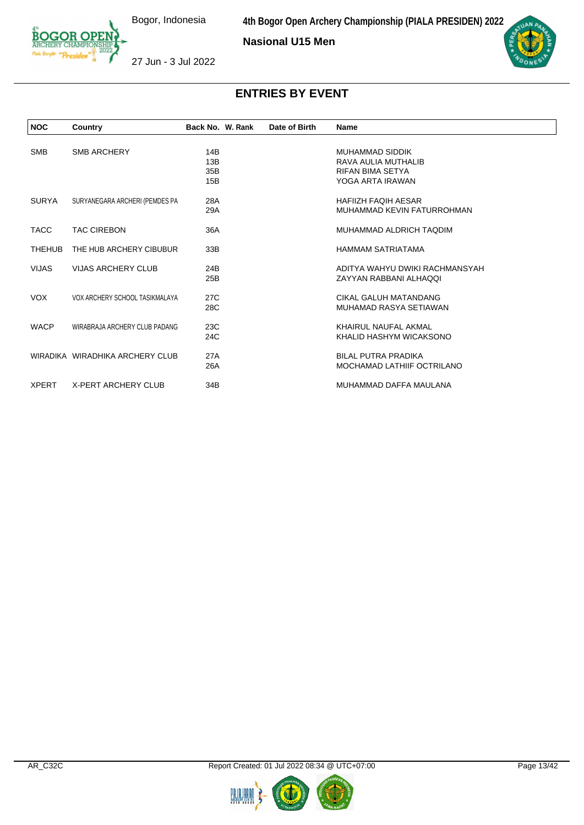**Nasional U15 Men**



27 Jun - 3 Jul 2022

| <b>NOC</b>    | Country                         | Back No. W. Rank | Date of Birth | <b>Name</b>                    |
|---------------|---------------------------------|------------------|---------------|--------------------------------|
|               |                                 |                  |               |                                |
| <b>SMB</b>    | <b>SMB ARCHERY</b>              | 14B              |               | <b>MUHAMMAD SIDDIK</b>         |
|               |                                 | 13B              |               | RAVA AULIA MUTHALIB            |
|               |                                 | 35 <sub>B</sub>  |               | <b>RIFAN BIMA SETYA</b>        |
|               |                                 | 15B              |               | YOGA ARTA IRAWAN               |
| <b>SURYA</b>  | SURYANEGARA ARCHERI (PEMDES PA  | 28A              |               | <b>HAFIIZH FAOIH AESAR</b>     |
|               |                                 | 29A              |               | MUHAMMAD KEVIN FATURROHMAN     |
| <b>TACC</b>   | <b>TAC CIREBON</b>              | 36A              |               | MUHAMMAD ALDRICH TAODIM        |
| <b>THEHUB</b> | THE HUB ARCHERY CIBUBUR         | 33B              |               | <b>HAMMAM SATRIATAMA</b>       |
| <b>VIJAS</b>  | <b>VIJAS ARCHERY CLUB</b>       | 24B              |               | ADITYA WAHYU DWIKI RACHMANSYAH |
|               |                                 | 25B              |               | ZAYYAN RABBANI ALHAQQI         |
| VOX.          | VOX ARCHERY SCHOOL TASIKMALAYA  | 27C              |               | CIKAL GALUH MATANDANG          |
|               |                                 | 28C              |               | MUHAMAD RASYA SETIAWAN         |
| <b>WACP</b>   | WIRABRAJA ARCHERY CLUB PADANG   | 23C              |               | KHAIRUL NAUFAL AKMAL           |
|               |                                 | 24C              |               | KHALID HASHYM WICAKSONO        |
|               |                                 |                  |               |                                |
|               | WIRADIKA WIRADHIKA ARCHERY CLUB | 27A              |               | <b>BILAL PUTRA PRADIKA</b>     |
|               |                                 | 26A              |               | MOCHAMAD LATHIIF OCTRILANO     |
| <b>XPERT</b>  | <b>X-PERT ARCHERY CLUB</b>      | 34B              |               | MUHAMMAD DAFFA MAULANA         |



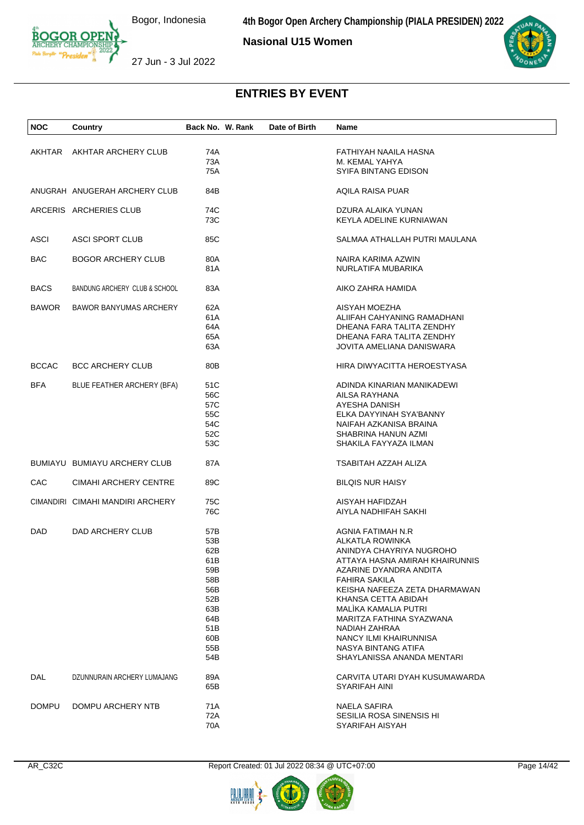**4th Bogor Open Archery Championship (PIALA PRESIDEN) 2022**

**Nasional U15 Women**



27 Jun - 3 Jul 2022

| <b>NOC</b>   | Country                          | Back No. W. Rank                                                                                | Date of Birth | Name                                                                                                                                                                                                                                                                                                                                                             |
|--------------|----------------------------------|-------------------------------------------------------------------------------------------------|---------------|------------------------------------------------------------------------------------------------------------------------------------------------------------------------------------------------------------------------------------------------------------------------------------------------------------------------------------------------------------------|
| AKHTAR       | AKHTAR ARCHERY CLUB              | 74A<br>73A<br>75A                                                                               |               | FATHIYAH NAAILA HASNA<br>M. KEMAL YAHYA<br>SYIFA BINTANG EDISON                                                                                                                                                                                                                                                                                                  |
|              | ANUGRAH ANUGERAH ARCHERY CLUB    | 84B                                                                                             |               | AQILA RAISA PUAR                                                                                                                                                                                                                                                                                                                                                 |
|              | ARCERIS ARCHERIES CLUB           | 74C<br>73C                                                                                      |               | DZURA ALAIKA YUNAN<br>KEYLA ADELINE KURNIAWAN                                                                                                                                                                                                                                                                                                                    |
| ASCI         | <b>ASCI SPORT CLUB</b>           | 85C                                                                                             |               | SALMAA ATHALLAH PUTRI MAULANA                                                                                                                                                                                                                                                                                                                                    |
| BAC          | <b>BOGOR ARCHERY CLUB</b>        | 80A<br>81A                                                                                      |               | NAIRA KARIMA AZWIN<br>NURLATIFA MUBARIKA                                                                                                                                                                                                                                                                                                                         |
| <b>BACS</b>  | BANDUNG ARCHERY CLUB & SCHOOL    | 83A                                                                                             |               | AIKO ZAHRA HAMIDA                                                                                                                                                                                                                                                                                                                                                |
| <b>BAWOR</b> | <b>BAWOR BANYUMAS ARCHERY</b>    | 62A<br>61A<br>64A<br>65A<br>63A                                                                 |               | AISYAH MOEZHA<br>ALIIFAH CAHYANING RAMADHANI<br>DHEANA FARA TALITA ZENDHY<br>DHEANA FARA TALITA ZENDHY<br>JOVITA AMELIANA DANISWARA                                                                                                                                                                                                                              |
| <b>BCCAC</b> | <b>BCC ARCHERY CLUB</b>          | 80B                                                                                             |               | HIRA DIWYACITTA HEROESTYASA                                                                                                                                                                                                                                                                                                                                      |
| <b>BFA</b>   | BLUE FEATHER ARCHERY (BFA)       | 51C<br>56C<br>57C<br>55C<br>54C<br>52C<br>53C                                                   |               | ADINDA KINARIAN MANIKADEWI<br>AILSA RAYHANA<br>AYESHA DANISH<br>ELKA DAYYINAH SYA'BANNY<br>NAIFAH AZKANISA BRAINA<br>SHABRINA HANUN AZMI<br>SHAKILA FAYYAZA ILMAN                                                                                                                                                                                                |
|              | BUMIAYU BUMIAYU ARCHERY CLUB     | 87A                                                                                             |               | TSABITAH AZZAH ALIZA                                                                                                                                                                                                                                                                                                                                             |
| <b>CAC</b>   | CIMAHI ARCHERY CENTRE            | 89C                                                                                             |               | <b>BILQIS NUR HAISY</b>                                                                                                                                                                                                                                                                                                                                          |
|              | CIMANDIRI CIMAHI MANDIRI ARCHERY | 75C<br>76C                                                                                      |               | AISYAH HAFIDZAH<br>AIYLA NADHIFAH SAKHI                                                                                                                                                                                                                                                                                                                          |
| DAD          | DAD ARCHERY CLUB                 | 57B<br>53B<br>62B<br>61 B<br>59B<br>58B<br>56B<br>52B<br>63B<br>64B<br>51B<br>60B<br>55B<br>54B |               | AGNIA FATIMAH N.R<br>ALKATLA ROWINKA<br>ANINDYA CHAYRIYA NUGROHO<br>ATTAYA HASNA AMIRAH KHAIRUNNIS<br>AZARINE DYANDRA ANDITA<br><b>FAHIRA SAKILA</b><br>KEISHA NAFEEZA ZETA DHARMAWAN<br>KHANSA CETTA ABIDAH<br>MALÌKA KAMALIA PUTRI<br>MARITZA FATHINA SYAZWANA<br>NADIAH ZAHRAA<br>NANCY ILMI KHAIRUNNISA<br>NASYA BINTANG ATIFA<br>SHAYLANISSA ANANDA MENTARI |
| DAL          | DZUNNURAIN ARCHERY LUMAJANG      | 89A<br>65B                                                                                      |               | CARVITA UTARI DYAH KUSUMAWARDA<br>SYARIFAH AINI                                                                                                                                                                                                                                                                                                                  |
| <b>DOMPU</b> | DOMPU ARCHERY NTB                | 71A<br>72A<br>70A                                                                               |               | <b>NAELA SAFIRA</b><br>SESILIA ROSA SINENSIS HI<br>SYARIFAH AISYAH                                                                                                                                                                                                                                                                                               |



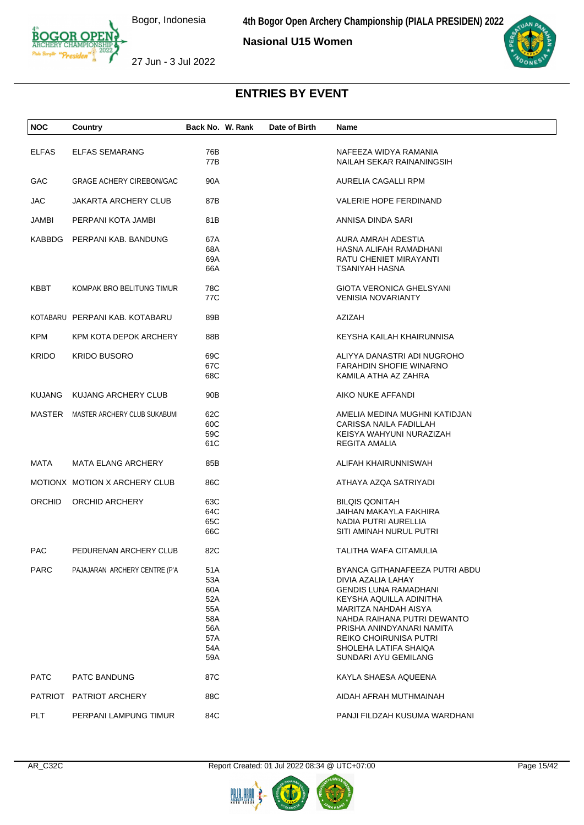**Nasional U15 Women**



27 Jun - 3 Jul 2022

| <b>NOC</b>    | Country                             | Back No. W. Rank | Date of Birth | Name                            |
|---------------|-------------------------------------|------------------|---------------|---------------------------------|
| <b>ELFAS</b>  | <b>ELFAS SEMARANG</b>               | 76B              |               | NAFEEZA WIDYA RAMANIA           |
|               |                                     | 77B              |               | NAILAH SEKAR RAINANINGSIH       |
| GAC.          | <b>GRAGE ACHERY CIREBON/GAC</b>     | 90A              |               | AURELIA CAGALLI RPM             |
| <b>JAC</b>    | JAKARTA ARCHERY CLUB                | 87B              |               | VALERIE HOPE FERDINAND          |
| JAMBI         | PERPANI KOTA JAMBI                  | 81B              |               | ANNISA DINDA SARI               |
|               | KABBDG PERPANI KAB. BANDUNG         | 67A              |               | AURA AMRAH ADESTIA              |
|               |                                     | 68A              |               | HASNA ALIFAH RAMADHANI          |
|               |                                     | 69A              |               | RATU CHENIET MIRAYANTI          |
|               |                                     | 66A              |               | TSANIYAH HASNA                  |
| KBBT          | KOMPAK BRO BELITUNG TIMUR           | 78C              |               | <b>GIOTA VERONICA GHELSYANI</b> |
|               |                                     | 77C              |               | <b>VENISIA NOVARIANTY</b>       |
|               | KOTABARU PERPANI KAB, KOTABARU      | 89B              |               | AZIZAH                          |
| KPM           | KPM KOTA DEPOK ARCHERY              | 88B              |               | KEYSHA KAILAH KHAIRUNNISA       |
| <b>KRIDO</b>  | <b>KRIDO BUSORO</b>                 | 69C              |               | ALIYYA DANASTRI ADI NUGROHO     |
|               |                                     | 67C              |               | <b>FARAHDIN SHOFIE WINARNO</b>  |
|               |                                     | 68C              |               | KAMILA ATHA AZ ZAHRA            |
| <b>KUJANG</b> | KUJANG ARCHERY CLUB                 | 90B              |               | AIKO NUKE AFFANDI               |
|               | MASTER MASTER ARCHERY CLUB SUKABUMI | 62C              |               | AMELIA MEDINA MUGHNI KATIDJAN   |
|               |                                     | 60C              |               | CARISSA NAILA FADILLAH          |
|               |                                     | 59C              |               | KEISYA WAHYUNI NURAZIZAH        |
|               |                                     | 61C              |               | REGITA AMALIA                   |
| MATA          | <b>MATA ELANG ARCHERY</b>           | 85B              |               | ALIFAH KHAIRUNNISWAH            |
|               | MOTIONX MOTION X ARCHERY CLUB       | 86C              |               | ATHAYA AZQA SATRIYADI           |
| <b>ORCHID</b> | ORCHID ARCHERY                      | 63C              |               | <b>BILQIS QONITAH</b>           |
|               |                                     | 64C              |               | JAIHAN MAKAYLA FAKHIRA          |
|               |                                     | 65C              |               | NADIA PUTRI AURELLIA            |
|               |                                     | 66C              |               | SITI AMINAH NURUL PUTRI         |
| <b>PAC</b>    | PEDURENAN ARCHERY CLUB              | 82C              |               | <b>TALITHA WAFA CITAMULIA</b>   |
| <b>PARC</b>   | PAJAJARAN ARCHERY CENTRE (P'A       | 51 A             |               | BYANCA GITHANAFEEZA PUTRI ABDU  |
|               |                                     | 53A              |               | DIVIA AZALIA LAHAY              |
|               |                                     | 60A              |               | <b>GENDIS LUNA RAMADHANI</b>    |
|               |                                     | 52A              |               | KEYSHA AQUILLA ADINITHA         |
|               |                                     | 55A              |               | MARITZA NAHDAH AISYA            |
|               |                                     | 58A              |               | NAHDA RAIHANA PUTRI DEWANTO     |
|               |                                     | 56A              |               | PRISHA ANINDYANARI NAMITA       |
|               |                                     | 57A              |               | <b>REIKO CHOIRUNISA PUTRI</b>   |
|               |                                     | 54A              |               | SHOLEHA LATIFA SHAIQA           |
|               |                                     | 59A              |               | SUNDARI AYU GEMILANG            |
| <b>PATC</b>   | PATC BANDUNG                        | 87C              |               | KAYLA SHAESA AQUEENA            |
|               | PATRIOT PATRIOT ARCHERY             | 88C              |               | AIDAH AFRAH MUTHMAINAH          |
| <b>PLT</b>    | PERPANI LAMPUNG TIMUR               | 84C              |               | PANJI FILDZAH KUSUMA WARDHANI   |



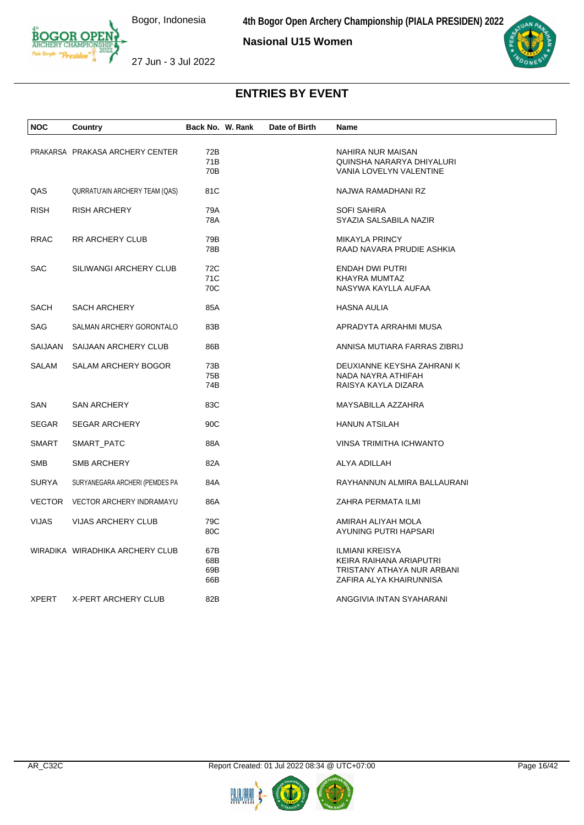

**Nasional U15 Women**



27 Jun - 3 Jul 2022

| NOC          | Country                         | Back No. W. Rank | Date of Birth | Name                         |
|--------------|---------------------------------|------------------|---------------|------------------------------|
|              | PRAKARSA PRAKASA ARCHERY CENTER | 72B              |               | NAHIRA NUR MAISAN            |
|              |                                 | 71B              |               | QUINSHA NARARYA DHIYALURI    |
|              |                                 | 70B              |               | VANIA LOVELYN VALENTINE      |
| QAS          | QURRATU'AIN ARCHERY TEAM (QAS)  | 81C              |               | NAJWA RAMADHANI RZ           |
| <b>RISH</b>  | <b>RISH ARCHERY</b>             | 79A              |               | <b>SOFI SAHIRA</b>           |
|              |                                 | 78A              |               | SYAZIA SALSABILA NAZIR       |
| <b>RRAC</b>  | RR ARCHERY CLUB                 | 79B              |               | <b>MIKAYLA PRINCY</b>        |
|              |                                 | 78B              |               | RAAD NAVARA PRUDIE ASHKIA    |
| <b>SAC</b>   | SILIWANGI ARCHERY CLUB          | 72C              |               | <b>ENDAH DWI PUTRI</b>       |
|              |                                 | 71C              |               | KHAYRA MUMTAZ                |
|              |                                 | 70C              |               | NASYWA KAYLLA AUFAA          |
| SACH         | <b>SACH ARCHERY</b>             | 85A              |               | HASNA AULIA                  |
| <b>SAG</b>   | SALMAN ARCHERY GORONTALO        | 83B              |               | APRADYTA ARRAHMI MUSA        |
| SAIJAAN      | SAIJAAN ARCHERY CLUB            | 86B              |               | ANNISA MUTIARA FARRAS ZIBRIJ |
| SALAM        | SALAM ARCHERY BOGOR             | 73B              |               | DEUXIANNE KEYSHA ZAHRANI K   |
|              |                                 | 75B              |               | NADA NAYRA ATHIFAH           |
|              |                                 | 74B              |               | RAISYA KAYLA DIZARA          |
| <b>SAN</b>   | <b>SAN ARCHERY</b>              | 83C              |               | MAYSABILLA AZZAHRA           |
| <b>SEGAR</b> | <b>SEGAR ARCHERY</b>            | 90C              |               | <b>HANUN ATSILAH</b>         |
| <b>SMART</b> | SMART_PATC                      | 88A              |               | VINSA TRIMITHA ICHWANTO      |
| <b>SMB</b>   | <b>SMB ARCHERY</b>              | 82A              |               | ALYA ADILLAH                 |
| <b>SURYA</b> | SURYANEGARA ARCHERI (PEMDES PA  | 84A              |               | RAYHANNUN ALMIRA BALLAURANI  |
|              | VECTOR VECTOR ARCHERY INDRAMAYU | 86A              |               | ZAHRA PERMATA ILMI           |
| <b>VIJAS</b> | VIJAS ARCHERY CLUB              | 79C              |               | AMIRAH ALIYAH MOLA           |
|              |                                 | 80C              |               | AYUNING PUTRI HAPSARI        |
|              | WIRADIKA WIRADHIKA ARCHERY CLUB | 67B              |               | <b>ILMIANI KREISYA</b>       |
|              |                                 | 68B              |               | KEIRA RAIHANA ARIAPUTRI      |
|              |                                 | 69B              |               | TRISTANY ATHAYA NUR ARBANI   |
|              |                                 | 66B              |               | ZAFIRA ALYA KHAIRUNNISA      |
| <b>XPERT</b> | X-PERT ARCHERY CLUB             | 82B              |               | ANGGIVIA INTAN SYAHARANI     |



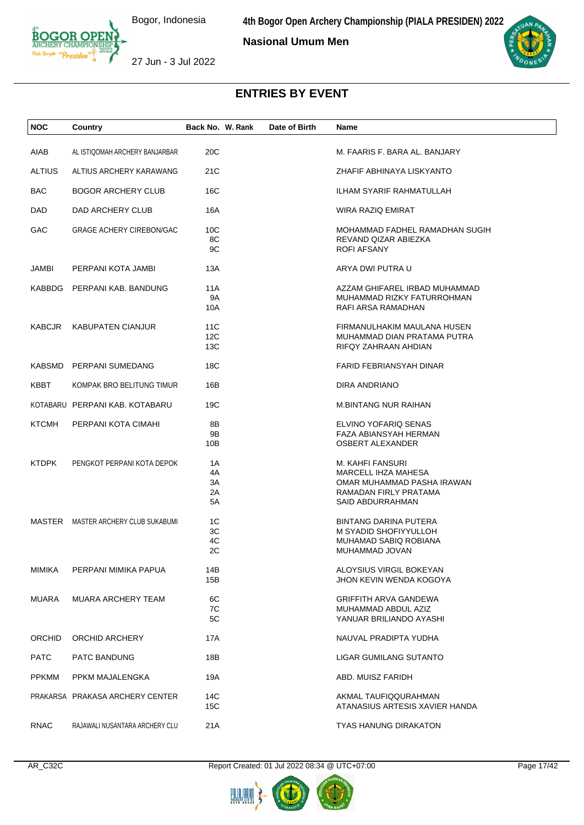**4th Bogor Open Archery Championship (PIALA PRESIDEN) 2022**

**Nasional Umum Men**



27 Jun - 3 Jul 2022

| <b>NOC</b>    | Country                             | Back No. W. Rank           | Date of Birth | Name                                                                                                               |
|---------------|-------------------------------------|----------------------------|---------------|--------------------------------------------------------------------------------------------------------------------|
|               |                                     |                            |               |                                                                                                                    |
| AIAB          | AL ISTIQOMAH ARCHERY BANJARBAR      | 20C                        |               | M. FAARIS F. BARA AL. BANJARY                                                                                      |
| <b>ALTIUS</b> | ALTIUS ARCHERY KARAWANG             | 21C                        |               | ZHAFIF ABHINAYA LISKYANTO                                                                                          |
| <b>BAC</b>    | <b>BOGOR ARCHERY CLUB</b>           | 16C                        |               | <b>ILHAM SYARIF RAHMATULLAH</b>                                                                                    |
| DAD           | DAD ARCHERY CLUB                    | 16A                        |               | WIRA RAZIQ EMIRAT                                                                                                  |
| GAC           | <b>GRAGE ACHERY CIREBON/GAC</b>     | 10C<br>8C<br>9C            |               | MOHAMMAD FADHEL RAMADHAN SUGIH<br>REVAND QIZAR ABIEZKA<br>ROFI AFSANY                                              |
| <b>JAMBI</b>  | PERPANI KOTA JAMBI                  | 13A                        |               | ARYA DWI PUTRA U                                                                                                   |
|               | KABBDG PERPANI KAB. BANDUNG         | 11A<br><b>9A</b><br>10A    |               | AZZAM GHIFAREL IRBAD MUHAMMAD<br>MUHAMMAD RIZKY FATURROHMAN<br>RAFI ARSA RAMADHAN                                  |
| <b>KABCJR</b> | <b>KABUPATEN CIANJUR</b>            | 11C<br>12C<br>13C          |               | FIRMANULHAKIM MAULANA HUSEN<br>MUHAMMAD DIAN PRATAMA PUTRA<br>RIFQY ZAHRAAN AHDIAN                                 |
|               | KABSMD PERPANI SUMEDANG             | 18C                        |               | FARID FEBRIANSYAH DINAR                                                                                            |
| KBBT          | KOMPAK BRO BELITUNG TIMUR           | 16B                        |               | DIRA ANDRIANO                                                                                                      |
|               | KOTABARU PERPANI KAB. KOTABARU      | 19C                        |               | <b>M.BINTANG NUR RAIHAN</b>                                                                                        |
| <b>KTCMH</b>  | PERPANI KOTA CIMAHI                 | 8Β<br>9Β<br>10B            |               | ELVINO YOFARIQ SENAS<br>FAZA ABIANSYAH HERMAN<br>OSBERT ALEXANDER                                                  |
| <b>KTDPK</b>  | PENGKOT PERPANI KOTA DEPOK          | 1A<br>4A<br>3A<br>2A<br>5A |               | M. KAHFI FANSURI<br>MARCELL IHZA MAHESA<br>OMAR MUHAMMAD PASHA IRAWAN<br>RAMADAN FIRLY PRATAMA<br>SAID ABDURRAHMAN |
|               | MASTER MASTER ARCHERY CLUB SUKABUMI | 1C<br>3C<br>4C<br>2C       |               | <b>BINTANG DARINA PUTERA</b><br>M SYADID SHOFIYYULLOH<br><b>MUHAMAD SABIQ ROBIANA</b><br>MUHAMMAD JOVAN            |
| MIMIKA        | PERPANI MIMIKA PAPUA                | 14B<br>15B                 |               | ALOYSIUS VIRGIL BOKEYAN<br>JHON KEVIN WENDA KOGOYA                                                                 |
| <b>MUARA</b>  | <b>MUARA ARCHERY TEAM</b>           | 6C<br>7C<br>5C             |               | <b>GRIFFITH ARVA GANDEWA</b><br>MUHAMMAD ABDUL AZIZ<br>YANUAR BRILIANDO AYASHI                                     |
| <b>ORCHID</b> | ORCHID ARCHERY                      | 17A                        |               | NAUVAL PRADIPTA YUDHA                                                                                              |
| <b>PATC</b>   | PATC BANDUNG                        | 18B                        |               | LIGAR GUMILANG SUTANTO                                                                                             |
| <b>PPKMM</b>  | PPKM MAJALENGKA                     | 19A                        |               | ABD. MUISZ FARIDH                                                                                                  |
|               | PRAKARSA PRAKASA ARCHERY CENTER     | 14C<br>15C                 |               | AKMAL TAUFIQQURAHMAN<br>ATANASIUS ARTESIS XAVIER HANDA                                                             |
| <b>RNAC</b>   | RAJAWALI NUSANTARA ARCHERY CLU      | 21A                        |               | <b>TYAS HANUNG DIRAKATON</b>                                                                                       |

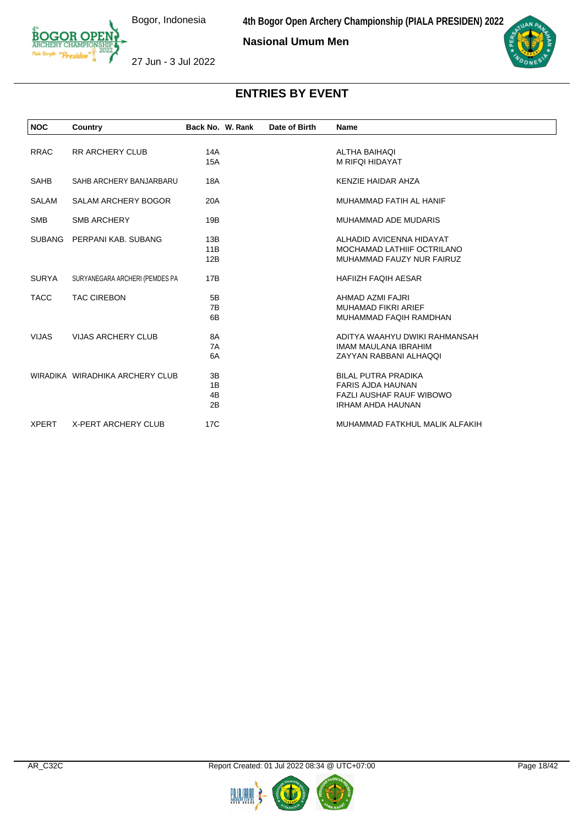**Nasional Umum Men**



27 Jun - 3 Jul 2022

| <b>NOC</b>   | Country                         | Back No. W. Rank | Date of Birth | <b>Name</b>                     |  |
|--------------|---------------------------------|------------------|---------------|---------------------------------|--|
|              |                                 |                  |               |                                 |  |
| <b>RRAC</b>  | <b>RR ARCHERY CLUB</b>          | 14A              |               | <b>ALTHA BAIHAQI</b>            |  |
|              |                                 | <b>15A</b>       |               | M RIFQI HIDAYAT                 |  |
| SAHB         | SAHB ARCHERY BANJARBARU         | 18A              |               | KENZIE HAIDAR AHZA              |  |
| <b>SALAM</b> | <b>SALAM ARCHERY BOGOR</b>      | 20A              |               | MUHAMMAD FATIH AL HANIF         |  |
| <b>SMB</b>   | <b>SMB ARCHERY</b>              | 19B              |               | MUHAMMAD ADE MUDARIS            |  |
|              | SUBANG PERPANI KAB, SUBANG      | 13B              |               | ALHADID AVICENNA HIDAYAT        |  |
|              |                                 | 11B              |               | MOCHAMAD LATHIIF OCTRILANO      |  |
|              |                                 | 12B              |               | MUHAMMAD FAUZY NUR FAIRUZ       |  |
| <b>SURYA</b> | SURYANEGARA ARCHERI (PEMDES PA  | 17B              |               | <b>HAFIIZH FAQIH AESAR</b>      |  |
| <b>TACC</b>  | <b>TAC CIREBON</b>              | 5B               |               | AHMAD AZMI FAJRI                |  |
|              |                                 | 7B               |               | <b>MUHAMAD FIKRI ARIEF</b>      |  |
|              |                                 | 6B               |               | MUHAMMAD FAQIH RAMDHAN          |  |
| <b>VIJAS</b> | <b>VIJAS ARCHERY CLUB</b>       | 8A               |               | ADITYA WAAHYU DWIKI RAHMANSAH   |  |
|              |                                 | 7A               |               | IMAM MAULANA IBRAHIM            |  |
|              |                                 | 6A               |               | ZAYYAN RABBANI ALHAQQI          |  |
|              | WIRADIKA WIRADHIKA ARCHERY CLUB | 3B               |               | <b>BILAL PUTRA PRADIKA</b>      |  |
|              |                                 | 1B               |               | <b>FARIS AJDA HAUNAN</b>        |  |
|              |                                 | 4B               |               | <b>FAZLI AUSHAF RAUF WIBOWO</b> |  |
|              |                                 | 2B               |               | IRHAM AHDA HAUNAN               |  |
| <b>XPERT</b> | X-PERT ARCHERY CLUB             | 17C              |               | MUHAMMAD FATKHUL MALIK ALFAKIH  |  |



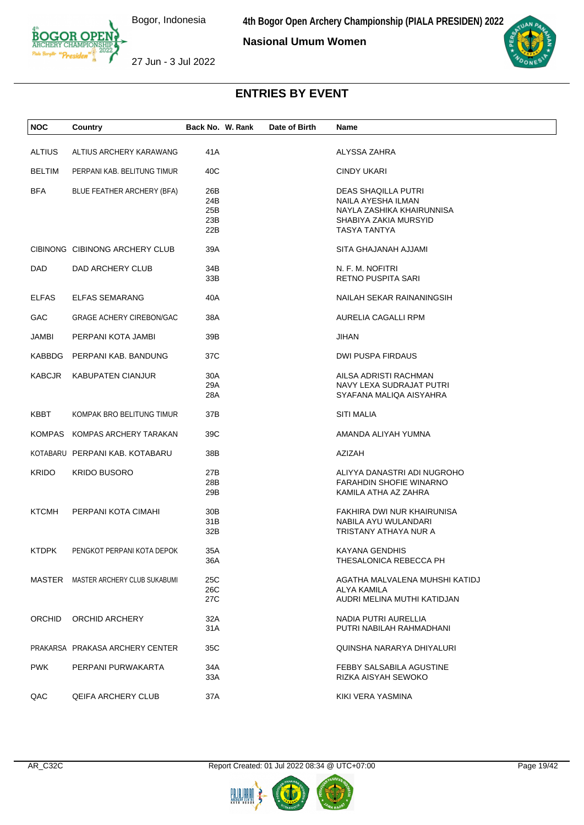**Nasional Umum Women**



27 Jun - 3 Jul 2022

| <b>NOC</b>    | Country                             | Back No. W. Rank | Date of Birth | Name                           |  |
|---------------|-------------------------------------|------------------|---------------|--------------------------------|--|
| <b>ALTIUS</b> | ALTIUS ARCHERY KARAWANG             | 41A              |               | ALYSSA ZAHRA                   |  |
|               |                                     |                  |               |                                |  |
| <b>BELTIM</b> | PERPANI KAB. BELITUNG TIMUR         | 40C              |               | <b>CINDY UKARI</b>             |  |
| <b>BFA</b>    | BLUE FEATHER ARCHERY (BFA)          | 26B              |               | DEAS SHAQILLA PUTRI            |  |
|               |                                     | 24B              |               | NAILA AYESHA ILMAN             |  |
|               |                                     | 25B              |               | NAYLA ZASHIKA KHAIRUNNISA      |  |
|               |                                     | 23B              |               | SHABIYA ZAKIA MURSYID          |  |
|               |                                     | 22B              |               | TASYA TANTYA                   |  |
|               | CIBINONG CIBINONG ARCHERY CLUB      | 39A              |               | SITA GHAJANAH AJJAMI           |  |
| DAD.          | DAD ARCHERY CLUB                    | 34B              |               | N. F. M. NOFITRI               |  |
|               |                                     | 33B              |               | <b>RETNO PUSPITA SARI</b>      |  |
|               |                                     |                  |               |                                |  |
| <b>ELFAS</b>  | <b>ELFAS SEMARANG</b>               | 40A              |               | NAILAH SEKAR RAINANINGSIH      |  |
| GAC.          | <b>GRAGE ACHERY CIREBON/GAC</b>     | 38A              |               | AURELIA CAGALLI RPM            |  |
| <b>JAMBI</b>  | PERPANI KOTA JAMBI                  | 39B              |               | <b>JIHAN</b>                   |  |
|               |                                     |                  |               |                                |  |
|               | KABBDG PERPANI KAB, BANDUNG         | 37C              |               | <b>DWI PUSPA FIRDAUS</b>       |  |
| KABCJR        | <b>KABUPATEN CIANJUR</b>            | 30A              |               | AILSA ADRISTI RACHMAN          |  |
|               |                                     | 29A              |               | NAVY LEXA SUDRAJAT PUTRI       |  |
|               |                                     | 28A              |               | SYAFANA MALIQA AISYAHRA        |  |
| KBBT          | KOMPAK BRO BELITUNG TIMUR           | 37B              |               | <b>SITI MALIA</b>              |  |
|               | KOMPAS KOMPAS ARCHERY TARAKAN       | 39C              |               | AMANDA ALIYAH YUMNA            |  |
|               |                                     |                  |               |                                |  |
|               | KOTABARU PERPANI KAB. KOTABARU      | 38B              |               | <b>AZIZAH</b>                  |  |
| <b>KRIDO</b>  | <b>KRIDO BUSORO</b>                 | 27B              |               | ALIYYA DANASTRI ADI NUGROHO    |  |
|               |                                     | 28B              |               | <b>FARAHDIN SHOFIE WINARNO</b> |  |
|               |                                     | 29B              |               | KAMILA ATHA AZ ZAHRA           |  |
|               |                                     |                  |               |                                |  |
| <b>KTCMH</b>  | PERPANI KOTA CIMAHI                 | 30 <sub>B</sub>  |               | FAKHIRA DWI NUR KHAIRUNISA     |  |
|               |                                     | 31B              |               | NABILA AYU WULANDARI           |  |
|               |                                     | 32B              |               | TRISTANY ATHAYA NUR A          |  |
| <b>KTDPK</b>  | PENGKOT PERPANI KOTA DEPOK          | 35A              |               | <b>KAYANA GENDHIS</b>          |  |
|               |                                     | 36A              |               | THESALONICA REBECCA PH         |  |
|               | MASTER MASTER ARCHERY CLUB SUKABUMI | 25C              |               | AGATHA MALVALENA MUHSHI KATIDJ |  |
|               |                                     | 26C              |               | ALYA KAMILA                    |  |
|               |                                     | 27C              |               | AUDRI MELINA MUTHI KATIDJAN    |  |
|               |                                     |                  |               |                                |  |
| <b>ORCHID</b> | ORCHID ARCHERY                      | 32A              |               | NADIA PUTRI AURELLIA           |  |
|               |                                     | 31A              |               | PUTRI NABILAH RAHMADHANI       |  |
|               | PRAKARSA PRAKASA ARCHERY CENTER     | 35C              |               | QUINSHA NARARYA DHIYALURI      |  |
| <b>PWK</b>    | PERPANI PURWAKARTA                  | 34A              |               | FEBBY SALSABILA AGUSTINE       |  |
|               |                                     | 33A              |               | RIZKA AISYAH SEWOKO            |  |
| QAC           | <b>QEIFA ARCHERY CLUB</b>           | 37A              |               | KIKI VERA YASMINA              |  |
|               |                                     |                  |               |                                |  |



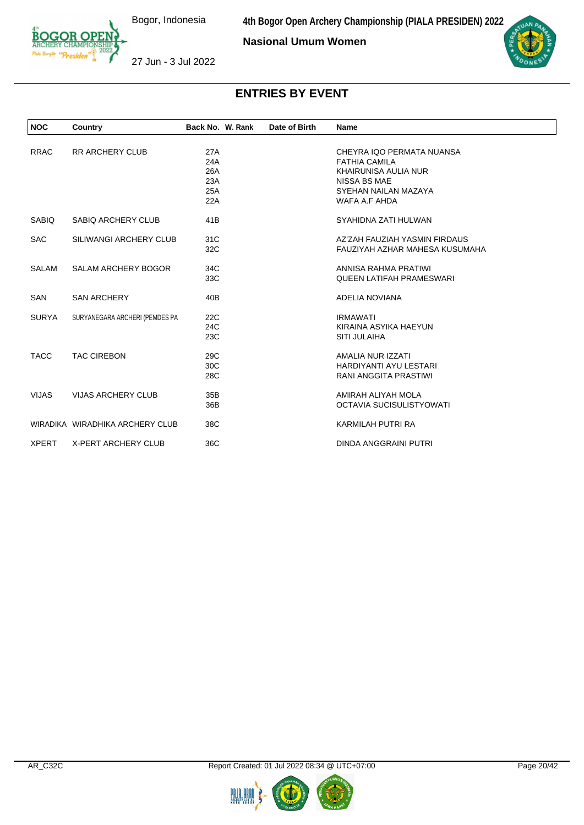**Nasional Umum Women**





#### 27 Jun - 3 Jul 2022

| <b>NOC</b>   | Country                         | Back No. W. Rank | Date of Birth | Name                            |
|--------------|---------------------------------|------------------|---------------|---------------------------------|
|              |                                 |                  |               |                                 |
| <b>RRAC</b>  | <b>RR ARCHERY CLUB</b>          | 27A              |               | CHEYRA IQO PERMATA NUANSA       |
|              |                                 | 24A              |               | <b>FATHIA CAMILA</b>            |
|              |                                 | 26A              |               | KHAIRUNISA AULIA NUR            |
|              |                                 | 23A              |               | <b>NISSA BS MAE</b>             |
|              |                                 | 25A              |               | SYEHAN NAILAN MAZAYA            |
|              |                                 | 22A              |               | WAFA A.F AHDA                   |
| <b>SABIQ</b> | SABIQ ARCHERY CLUB              | 41B              |               | SYAHIDNA ZATI HULWAN            |
| <b>SAC</b>   | SILIWANGI ARCHERY CLUB          | 31C              |               | AZ'ZAH FAUZIAH YASMIN FIRDAUS   |
|              |                                 | 32C              |               | FAUZIYAH AZHAR MAHESA KUSUMAHA  |
| <b>SALAM</b> | <b>SALAM ARCHERY BOGOR</b>      | 34C              |               | ANNISA RAHMA PRATIWI            |
|              |                                 | 33C              |               | <b>QUEEN LATIFAH PRAMESWARI</b> |
| <b>SAN</b>   | <b>SAN ARCHERY</b>              | 40B              |               | <b>ADELIA NOVIANA</b>           |
| <b>SURYA</b> | SURYANEGARA ARCHERI (PEMDES PA  | 22C              |               | <b>IRMAWATI</b>                 |
|              |                                 | 24C              |               | KIRAINA ASYIKA HAEYUN           |
|              |                                 | 23C              |               | <b>SITI JULAIHA</b>             |
| <b>TACC</b>  | <b>TAC CIREBON</b>              | 29C              |               | AMALIA NUR IZZATI               |
|              |                                 | 30C              |               | <b>HARDIYANTI AYU LESTARI</b>   |
|              |                                 | 28C              |               | <b>RANI ANGGITA PRASTIWI</b>    |
| <b>VIJAS</b> | <b>VIJAS ARCHERY CLUB</b>       | 35B              |               | AMIRAH ALIYAH MOLA              |
|              |                                 | 36B              |               | <b>OCTAVIA SUCISULISTYOWATI</b> |
|              | WIRADIKA WIRADHIKA ARCHERY CLUB | 38C              |               | KARMILAH PUTRI RA               |
| <b>XPERT</b> | <b>X-PERT ARCHERY CLUB</b>      | 36C              |               | <b>DINDA ANGGRAINI PUTRI</b>    |

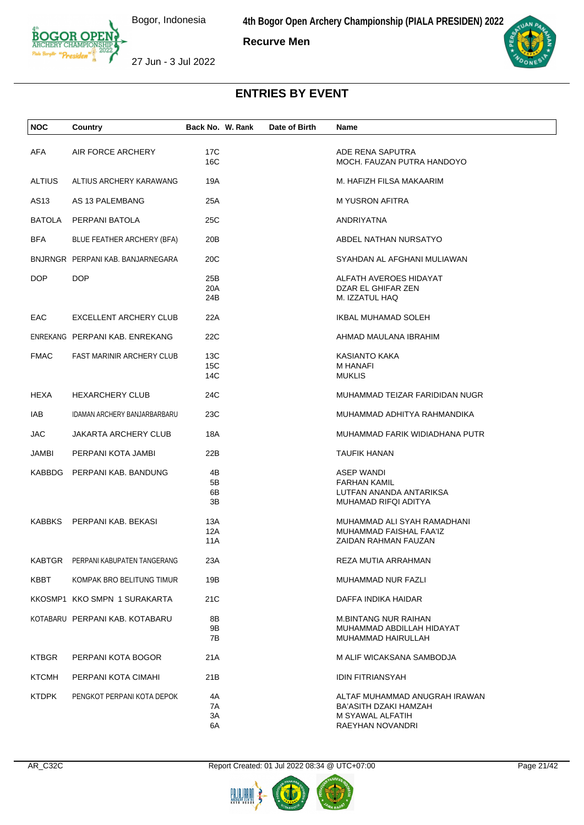**4th Bogor Open Archery Championship (PIALA PRESIDEN) 2022**

**Recurve Men**

27 Jun - 3 Jul 2022

| <b>NOC</b>    | Country                            | Back No. W. Rank     | Date of Birth | Name                                                                                           |
|---------------|------------------------------------|----------------------|---------------|------------------------------------------------------------------------------------------------|
| AFA           | AIR FORCE ARCHERY                  | 17C<br>16C           |               | ADE RENA SAPUTRA<br>MOCH. FAUZAN PUTRA HANDOYO                                                 |
| <b>ALTIUS</b> | ALTIUS ARCHERY KARAWANG            | 19A                  |               | M. HAFIZH FILSA MAKAARIM                                                                       |
| AS13          | AS 13 PALEMBANG                    | 25A                  |               | M YUSRON AFITRA                                                                                |
| <b>BATOLA</b> | PERPANI BATOLA                     | 25C                  |               | ANDRIYATNA                                                                                     |
| <b>BFA</b>    | BLUE FEATHER ARCHERY (BFA)         | 20B                  |               | ABDEL NATHAN NURSATYO                                                                          |
|               | BNJRNGR PERPANI KAB. BANJARNEGARA  | 20 <sub>C</sub>      |               | SYAHDAN AL AFGHANI MULIAWAN                                                                    |
| <b>DOP</b>    | <b>DOP</b>                         | 25B<br>20A<br>24B    |               | ALFATH AVEROES HIDAYAT<br>DZAR EL GHIFAR ZEN<br>M. IZZATUL HAQ                                 |
| EAC           | EXCELLENT ARCHERY CLUB             | 22A                  |               | IKBAL MUHAMAD SOLEH                                                                            |
|               | ENREKANG PERPANI KAB. ENREKANG     | 22C                  |               | AHMAD MAULANA IBRAHIM                                                                          |
| <b>FMAC</b>   | <b>FAST MARINIR ARCHERY CLUB</b>   | 13C<br>15C<br>14C    |               | KASIANTO KAKA<br>M HANAFI<br><b>MUKLIS</b>                                                     |
| HEXA          | <b>HEXARCHERY CLUB</b>             | 24C                  |               | MUHAMMAD TEIZAR FARIDIDAN NUGR                                                                 |
| IAB           | IDAMAN ARCHERY BANJARBARBARU       | 23C                  |               | MUHAMMAD ADHITYA RAHMANDIKA                                                                    |
| <b>JAC</b>    | <b>JAKARTA ARCHERY CLUB</b>        | 18A                  |               | MUHAMMAD FARIK WIDIADHANA PUTR                                                                 |
| JAMBI         | PERPANI KOTA JAMBI                 | 22B                  |               | <b>TAUFIK HANAN</b>                                                                            |
| KABBDG        | PERPANI KAB. BANDUNG               | 4B<br>5B<br>6B<br>3B |               | ASEP WANDI<br><b>FARHAN KAMIL</b><br>LUTFAN ANANDA ANTARIKSA<br>MUHAMAD RIFQI ADITYA           |
| <b>KABBKS</b> | PERPANI KAB. BEKASI                | 13A<br>12A<br>11A    |               | MUHAMMAD ALI SYAH RAMADHANI<br>MUHAMMAD FAISHAL FAA'IZ<br>ZAIDAN RAHMAN FAUZAN                 |
|               | KABTGR PERPANI KABUPATEN TANGERANG | 23A                  |               | REZA MUTIA ARRAHMAN                                                                            |
| KBBT          | KOMPAK BRO BELITUNG TIMUR          | 19B                  |               | MUHAMMAD NUR FAZLI                                                                             |
|               | KKOSMP1 KKO SMPN 1 SURAKARTA       | 21C                  |               | DAFFA INDIKA HAIDAR                                                                            |
|               | KOTABARU PERPANI KAB. KOTABARU     | 8Β<br>9Β<br>7B       |               | M.BINTANG NUR RAIHAN<br>MUHAMMAD ABDILLAH HIDAYAT<br>MUHAMMAD HAIRULLAH                        |
| <b>KTBGR</b>  | PERPANI KOTA BOGOR                 | 21A                  |               | M ALIF WICAKSANA SAMBODJA                                                                      |
| <b>KTCMH</b>  | PERPANI KOTA CIMAHI                | 21B                  |               | <b>IDIN FITRIANSYAH</b>                                                                        |
| <b>KTDPK</b>  | PENGKOT PERPANI KOTA DEPOK         | 4A<br>7A<br>ЗΑ<br>6A |               | ALTAF MUHAMMAD ANUGRAH IRAWAN<br>BA'ASITH DZAKI HAMZAH<br>M SYAWAL ALFATIH<br>RAEYHAN NOVANDRI |







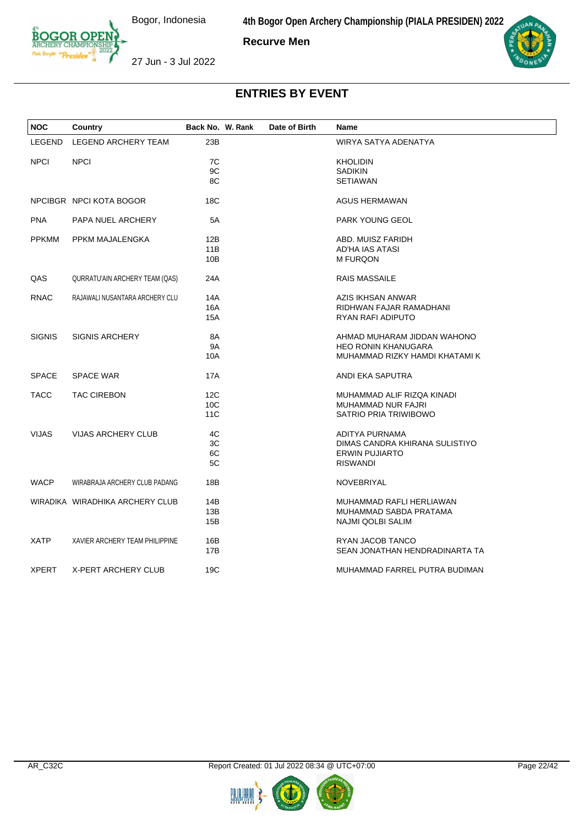**4th Bogor Open Archery Championship (PIALA PRESIDEN) 2022**

**Recurve Men**



27 Jun - 3 Jul 2022



| <b>NOC</b>    | Country                         | Back No. W. Rank | Date of Birth | Name                           |
|---------------|---------------------------------|------------------|---------------|--------------------------------|
| LEGEND        | <b>LEGEND ARCHERY TEAM</b>      | 23B              |               | WIRYA SATYA ADENATYA           |
| <b>NPCI</b>   | <b>NPCI</b>                     | 7C               |               | <b>KHOLIDIN</b>                |
|               |                                 | 9C               |               | <b>SADIKIN</b>                 |
|               |                                 | 8C               |               | <b>SETIAWAN</b>                |
|               |                                 |                  |               |                                |
|               | NPCIBGR NPCI KOTA BOGOR         | 18C              |               | AGUS HERMAWAN                  |
| <b>PNA</b>    | PAPA NUEL ARCHERY               | 5A               |               | PARK YOUNG GEOL                |
| <b>PPKMM</b>  | PPKM MAJALENGKA                 | 12B              |               | ABD. MUISZ FARIDH              |
|               |                                 | 11B              |               | AD'HA IAS ATASI                |
|               |                                 | 10B              |               | <b>M FURQON</b>                |
|               |                                 |                  |               |                                |
| QAS           | QURRATU'AIN ARCHERY TEAM (QAS)  | 24A              |               | <b>RAIS MASSAILE</b>           |
| <b>RNAC</b>   | RAJAWALI NUSANTARA ARCHERY CLU  | 14A              |               | AZIS IKHSAN ANWAR              |
|               |                                 | 16A              |               | RIDHWAN FAJAR RAMADHANI        |
|               |                                 | 15A              |               | RYAN RAFI ADIPUTO              |
|               |                                 |                  |               |                                |
| <b>SIGNIS</b> | <b>SIGNIS ARCHERY</b>           | 8A               |               | AHMAD MUHARAM JIDDAN WAHONO    |
|               |                                 | <b>9A</b>        |               | <b>HEO RONIN KHANUGARA</b>     |
|               |                                 | 10A              |               | MUHAMMAD RIZKY HAMDI KHATAMI K |
|               |                                 |                  |               |                                |
| <b>SPACE</b>  | <b>SPACE WAR</b>                | <b>17A</b>       |               | ANDI EKA SAPUTRA               |
| <b>TACC</b>   | <b>TAC CIREBON</b>              | 12C              |               | MUHAMMAD ALIF RIZQA KINADI     |
|               |                                 |                  |               |                                |
|               |                                 | 10C              |               | <b>MUHAMMAD NUR FAJRI</b>      |
|               |                                 | 11C              |               | SATRIO PRIA TRIWIBOWO          |
| <b>VIJAS</b>  | <b>VIJAS ARCHERY CLUB</b>       | 4C               |               | ADITYA PURNAMA                 |
|               |                                 | 3C               |               | DIMAS CANDRA KHIRANA SULISTIYO |
|               |                                 | 6C               |               | <b>ERWIN PUJIARTO</b>          |
|               |                                 | 5C               |               | <b>RISWANDI</b>                |
|               |                                 |                  |               |                                |
| <b>WACP</b>   | WIRABRAJA ARCHERY CLUB PADANG   | 18B              |               | <b>NOVEBRIYAL</b>              |
|               |                                 |                  |               |                                |
|               | WIRADIKA WIRADHIKA ARCHERY CLUB | 14B              |               | MUHAMMAD RAFLI HERLIAWAN       |
|               |                                 | 13B              |               | MUHAMMAD SABDA PRATAMA         |
|               |                                 | 15B              |               | NAJMI QOLBI SALIM              |
| <b>XATP</b>   | XAVIER ARCHERY TEAM PHILIPPINE  | 16B              |               | RYAN JACOB TANCO               |
|               |                                 | 17B              |               | SEAN JONATHAN HENDRADINARTA TA |
|               |                                 |                  |               |                                |
| <b>XPERT</b>  | X-PERT ARCHERY CLUB             | 19C              |               | MUHAMMAD FARREL PUTRA BUDIMAN  |

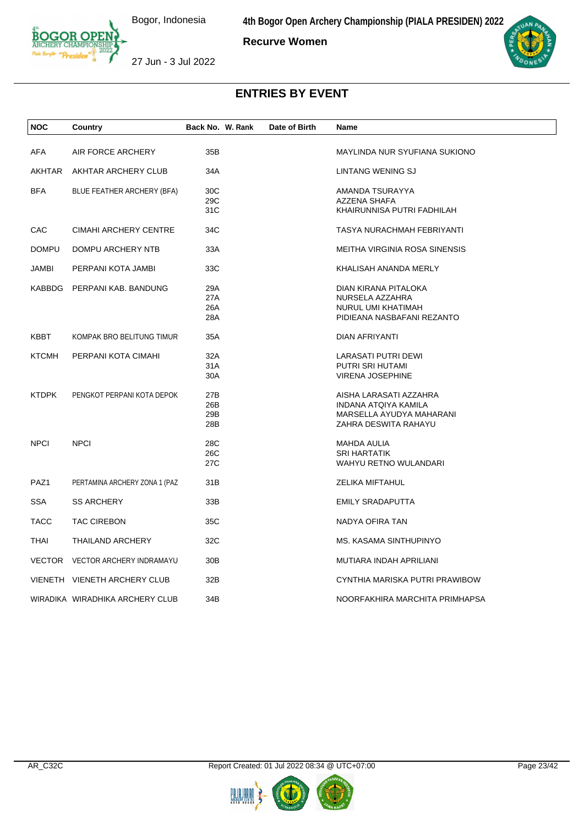**Recurve Women**



27 Jun - 3 Jul 2022

| <b>NOC</b>   | Country                         | Back No. W. Rank | Date of Birth | Name                           |
|--------------|---------------------------------|------------------|---------------|--------------------------------|
| AFA          | AIR FORCE ARCHERY               | 35B              |               | MAYLINDA NUR SYUFIANA SUKIONO  |
|              |                                 |                  |               |                                |
| AKHTAR       | AKHTAR ARCHERY CLUB             | 34A              |               | LINTANG WENING SJ              |
| <b>BFA</b>   | BLUE FEATHER ARCHERY (BFA)      | 30C              |               | AMANDA TSURAYYA                |
|              |                                 | 29C              |               | AZZENA SHAFA                   |
|              |                                 | 31C              |               | KHAIRUNNISA PUTRI FADHILAH     |
| <b>CAC</b>   | <b>CIMAHI ARCHERY CENTRE</b>    | 34C              |               | TASYA NURACHMAH FEBRIYANTI     |
| <b>DOMPU</b> | DOMPU ARCHERY NTB               | 33A              |               | MEITHA VIRGINIA ROSA SINENSIS  |
| JAMBI        | PERPANI KOTA JAMBI              | 33C              |               | KHALISAH ANANDA MERLY          |
|              | KABBDG PERPANI KAB. BANDUNG     | 29A              |               | DIAN KIRANA PITALOKA           |
|              |                                 | 27A              |               | NURSELA AZZAHRA                |
|              |                                 | 26A              |               | NURUL UMI KHATIMAH             |
|              |                                 | 28A              |               | PIDIEANA NASBAFANI REZANTO     |
| KBBT         | KOMPAK BRO BELITUNG TIMUR       | 35A              |               | DIAN AFRIYANTI                 |
| <b>KTCMH</b> | PERPANI KOTA CIMAHI             | 32A              |               | LARASATI PUTRI DEWI            |
|              |                                 | 31A              |               | PUTRI SRI HUTAMI               |
|              |                                 | 30A              |               | <b>VIRENA JOSEPHINE</b>        |
| <b>KTDPK</b> | PENGKOT PERPANI KOTA DEPOK      | 27B              |               | AISHA LARASATI AZZAHRA         |
|              |                                 | 26B              |               | INDANA ATQIYA KAMILA           |
|              |                                 | 29B              |               | MARSELLA AYUDYA MAHARANI       |
|              |                                 | 28B              |               | ZAHRA DESWITA RAHAYU           |
| <b>NPCI</b>  | <b>NPCI</b>                     | 28C              |               | MAHDA AULIA                    |
|              |                                 | 26C              |               | <b>SRI HARTATIK</b>            |
|              |                                 | 27C              |               | <b>WAHYU RETNO WULANDARI</b>   |
| PAZ1         | PERTAMINA ARCHERY ZONA 1 (PAZ   | 31B              |               | ZELIKA MIFTAHUL                |
| <b>SSA</b>   | <b>SS ARCHERY</b>               | 33B              |               | <b>EMILY SRADAPUTTA</b>        |
| <b>TACC</b>  | <b>TAC CIREBON</b>              | 35C              |               | NADYA OFIRA TAN                |
| <b>THAI</b>  | <b>THAILAND ARCHERY</b>         | 32C              |               | MS. KASAMA SINTHUPINYO         |
|              | VECTOR VECTOR ARCHERY INDRAMAYU | 30 <sub>B</sub>  |               | MUTIARA INDAH APRILIANI        |
|              | VIENETH VIENETH ARCHERY CLUB    | 32B              |               | CYNTHIA MARISKA PUTRI PRAWIBOW |
|              | WIRADIKA WIRADHIKA ARCHERY CLUB | 34B              |               | NOORFAKHIRA MARCHITA PRIMHAPSA |



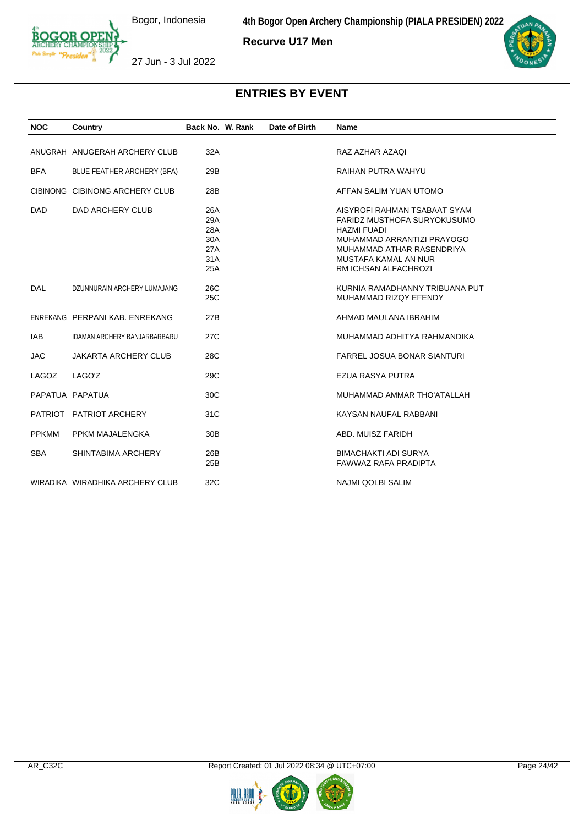**4th Bogor Open Archery Championship (PIALA PRESIDEN) 2022**

**Recurve U17 Men**



27 Jun - 3 Jul 2022

| <b>NOC</b>      | Country                             | Back No. W. Rank | Date of Birth | <b>Name</b>                                                |
|-----------------|-------------------------------------|------------------|---------------|------------------------------------------------------------|
|                 |                                     |                  |               |                                                            |
|                 | ANUGRAH ANUGERAH ARCHERY CLUB       | 32A              |               | RAZ AZHAR AZAQI                                            |
| <b>BFA</b>      | BLUE FEATHER ARCHERY (BFA)          | 29B              |               | RAIHAN PUTRA WAHYU                                         |
|                 | CIBINONG CIBINONG ARCHERY CLUB      | 28B              |               | AFFAN SALIM YUAN UTOMO                                     |
| DAD.            | DAD ARCHERY CLUB                    | 26A              |               | AISYROFI RAHMAN TSABAAT SYAM                               |
|                 |                                     | 29A              |               | FARIDZ MUSTHOFA SURYOKUSUMO                                |
|                 |                                     | 28A              |               | <b>HAZMI FUADI</b>                                         |
|                 |                                     | 30A<br>27A       |               | MUHAMMAD ARRANTIZI PRAYOGO<br>MUHAMMAD ATHAR RASENDRIYA    |
|                 |                                     | 31A              |               | MUSTAFA KAMAL AN NUR                                       |
|                 |                                     | 25A              |               | RM ICHSAN ALFACHROZI                                       |
|                 |                                     |                  |               |                                                            |
| <b>DAL</b>      | DZUNNURAIN ARCHERY LUMAJANG         | 26C              |               | KURNIA RAMADHANNY TRIBUANA PUT                             |
|                 |                                     | 25C              |               | MUHAMMAD RIZQY EFENDY                                      |
|                 | ENREKANG PERPANI KAB. ENREKANG      | 27B              |               | AHMAD MAULANA IBRAHIM                                      |
| <b>IAB</b>      | <b>IDAMAN ARCHERY BANJARBARBARU</b> | 27C              |               | MUHAMMAD ADHITYA RAHMANDIKA                                |
| <b>JAC</b>      | <b>JAKARTA ARCHERY CLUB</b>         | 28C              |               | <b>FARREL JOSUA BONAR SIANTURI</b>                         |
| LAGOZ           | LAGO'Z                              | 29C              |               | EZUA RASYA PUTRA                                           |
| PAPATUA PAPATUA |                                     | 30 <sub>C</sub>  |               | MUHAMMAD AMMAR THO'ATALLAH                                 |
|                 | PATRIOT PATRIOT ARCHERY             | 31C              |               | KAYSAN NAUFAL RABBANI                                      |
| <b>PPKMM</b>    | PPKM MAJALENGKA                     | 30B              |               | ABD, MUISZ FARIDH                                          |
| <b>SBA</b>      | SHINTABIMA ARCHERY                  | 26B<br>25B       |               | <b>BIMACHAKTI ADI SURYA</b><br><b>FAWWAZ RAFA PRADIPTA</b> |
|                 | WIRADIKA WIRADHIKA ARCHERY CLUB     | 32C              |               | <b>NAJMI QOLBI SALIM</b>                                   |
|                 |                                     |                  |               |                                                            |

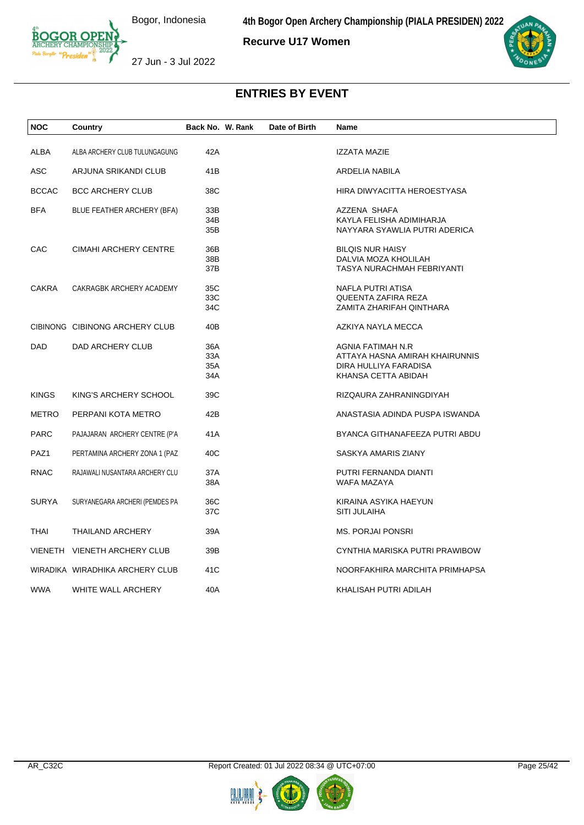**Recurve U17 Women**



27 Jun - 3 Jul 2022

| <b>NOC</b>   | Country                         | Back No. W. Rank         | Date of Birth | Name                                                                                                |
|--------------|---------------------------------|--------------------------|---------------|-----------------------------------------------------------------------------------------------------|
| ALBA         | ALBA ARCHERY CLUB TULUNGAGUNG   | 42A                      |               | IZZATA MAZIE                                                                                        |
| ASC          | ARJUNA SRIKANDI CLUB            | 41 <sub>B</sub>          |               | ARDELIA NABILA                                                                                      |
| <b>BCCAC</b> | <b>BCC ARCHERY CLUB</b>         | 38C                      |               | HIRA DIWYACITTA HEROESTYASA                                                                         |
| BFA          | BLUE FEATHER ARCHERY (BFA)      | 33B<br>34B<br>35B        |               | AZZENA SHAFA<br>KAYLA FELISHA ADIMIHARJA<br>NAYYARA SYAWLIA PUTRI ADERICA                           |
| CAC          | <b>CIMAHI ARCHERY CENTRE</b>    | 36B<br>38B<br>37B        |               | <b>BILQIS NUR HAISY</b><br>DALVIA MOZA KHOLILAH<br>TASYA NURACHMAH FEBRIYANTI                       |
| <b>CAKRA</b> | CAKRAGBK ARCHERY ACADEMY        | 35C<br>33C<br>34C        |               | NAFLA PUTRI ATISA<br>QUEENTA ZAFIRA REZA<br>ZAMITA ZHARIFAH QINTHARA                                |
|              | CIBINONG CIBINONG ARCHERY CLUB  | 40B                      |               | AZKIYA NAYLA MECCA                                                                                  |
| DAD          | DAD ARCHERY CLUB                | 36A<br>33A<br>35A<br>34A |               | AGNIA FATIMAH N.R<br>ATTAYA HASNA AMIRAH KHAIRUNNIS<br>DIRA HULLIYA FARADISA<br>KHANSA CETTA ABIDAH |
| <b>KINGS</b> | KING'S ARCHERY SCHOOL           | 39C                      |               | RIZQAURA ZAHRANINGDIYAH                                                                             |
| <b>METRO</b> | PERPANI KOTA METRO              | 42B                      |               | ANASTASIA ADINDA PUSPA ISWANDA                                                                      |
| <b>PARC</b>  | PAJAJARAN ARCHERY CENTRE (P'A   | 41A                      |               | BYANCA GITHANAFEEZA PUTRI ABDU                                                                      |
| PAZ1         | PERTAMINA ARCHERY ZONA 1 (PAZ   | 40C                      |               | SASKYA AMARIS ZIANY                                                                                 |
| RNAC         | RAJAWALI NUSANTARA ARCHERY CLU  | 37A<br>38A               |               | PUTRI FERNANDA DIANTI<br>WAFA MAZAYA                                                                |
| <b>SURYA</b> | SURYANEGARA ARCHERI (PEMDES PA  | 36C<br>37C               |               | KIRAINA ASYIKA HAEYUN<br><b>SITI JULAIHA</b>                                                        |
| THAI         | <b>THAILAND ARCHERY</b>         | 39A                      |               | <b>MS. PORJAI PONSRI</b>                                                                            |
|              | VIENETH VIENETH ARCHERY CLUB    | 39B                      |               | CYNTHIA MARISKA PUTRI PRAWIBOW                                                                      |
|              | WIRADIKA WIRADHIKA ARCHERY CLUB | 41C                      |               | NOORFAKHIRA MARCHITA PRIMHAPSA                                                                      |
| <b>WWA</b>   | WHITE WALL ARCHERY              | 40A                      |               | KHALISAH PUTRI ADILAH                                                                               |



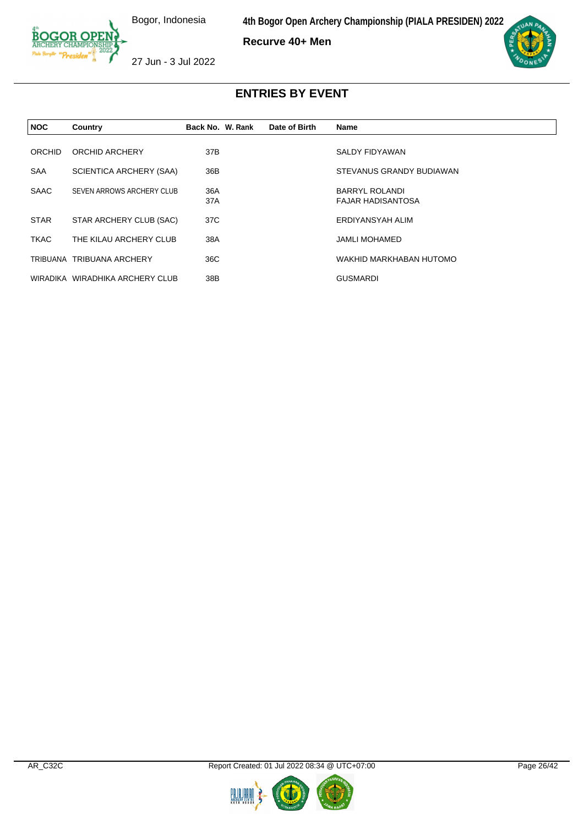**4th Bogor Open Archery Championship (PIALA PRESIDEN) 2022**

**Recurve 40+ Men**



27 Jun - 3 Jul 2022

| <b>NOC</b>  | Country                         | Back No. W. Rank | Date of Birth | <b>Name</b>                                       |
|-------------|---------------------------------|------------------|---------------|---------------------------------------------------|
| ORCHID      | ORCHID ARCHERY                  | 37B              |               | SALDY FIDYAWAN                                    |
| <b>SAA</b>  | SCIENTICA ARCHERY (SAA)         | 36B              |               | STEVANUS GRANDY BUDIAWAN                          |
| <b>SAAC</b> | SEVEN ARROWS ARCHERY CLUB       | 36A<br>37A       |               | <b>BARRYL ROLANDI</b><br><b>FAJAR HADISANTOSA</b> |
| <b>STAR</b> | STAR ARCHERY CLUB (SAC)         | 37C              |               | ERDIYANSYAH ALIM                                  |
| <b>TKAC</b> | THE KILAU ARCHERY CLUB          | 38A              |               | <b>JAMLI MOHAMED</b>                              |
|             | TRIBUANA TRIBUANA ARCHERY       | 36C              |               | WAKHID MARKHABAN HUTOMO                           |
|             | WIRADIKA WIRADHIKA ARCHERY CLUB | 38B              |               | <b>GUSMARDI</b>                                   |



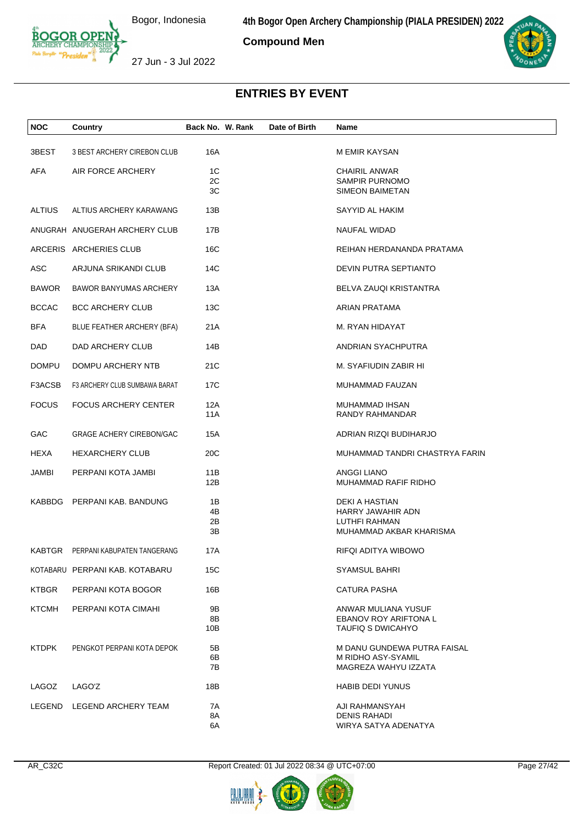**Compound Men**

27 Jun - 3 Jul 2022

| <b>NOC</b>    | Country                              | Back No. W. Rank     | Date of Birth | Name                                                                            |
|---------------|--------------------------------------|----------------------|---------------|---------------------------------------------------------------------------------|
| 3BEST         | 3 BEST ARCHERY CIREBON CLUB          | 16A                  |               | M EMIR KAYSAN                                                                   |
| AFA           | AIR FORCE ARCHERY                    | 1C<br>2C<br>ЗC       |               | <b>CHAIRIL ANWAR</b><br><b>SAMPIR PURNOMO</b><br><b>SIMEON BAIMETAN</b>         |
| <b>ALTIUS</b> | ALTIUS ARCHERY KARAWANG              | 13B                  |               | SAYYID AL HAKIM                                                                 |
|               | ANUGRAH ANUGERAH ARCHERY CLUB        | 17B                  |               | NAUFAL WIDAD                                                                    |
|               | ARCERIS ARCHERIES CLUB               | 16C                  |               | REIHAN HERDANANDA PRATAMA                                                       |
| ASC           | ARJUNA SRIKANDI CLUB                 | 14C                  |               | DEVIN PUTRA SEPTIANTO                                                           |
| <b>BAWOR</b>  | <b>BAWOR BANYUMAS ARCHERY</b>        | 13A                  |               | BELVA ZAUQI KRISTANTRA                                                          |
| <b>BCCAC</b>  | <b>BCC ARCHERY CLUB</b>              | 13C                  |               | ARIAN PRATAMA                                                                   |
| <b>BFA</b>    | BLUE FEATHER ARCHERY (BFA)           | 21 A                 |               | M. RYAN HIDAYAT                                                                 |
| DAD           | DAD ARCHERY CLUB                     | 14B                  |               | ANDRIAN SYACHPUTRA                                                              |
| <b>DOMPU</b>  | DOMPU ARCHERY NTB                    | 21C                  |               | M. SYAFIUDIN ZABIR HI                                                           |
| F3ACSB        | <b>F3 ARCHERY CLUB SUMBAWA BARAT</b> | 17C                  |               | MUHAMMAD FAUZAN                                                                 |
| <b>FOCUS</b>  | <b>FOCUS ARCHERY CENTER</b>          | 12A<br>11A           |               | MUHAMMAD IHSAN<br>RANDY RAHMANDAR                                               |
| <b>GAC</b>    | <b>GRAGE ACHERY CIREBON/GAC</b>      | 15A                  |               | ADRIAN RIZQI BUDIHARJO                                                          |
| HEXA          | <b>HEXARCHERY CLUB</b>               | 20 <sub>C</sub>      |               | MUHAMMAD TANDRI CHASTRYA FARIN                                                  |
| JAMBI         | PERPANI KOTA JAMBI                   | 11B<br>12B           |               | <b>ANGGI LIANO</b><br>MUHAMMAD RAFIF RIDHO                                      |
|               | KABBDG PERPANI KAB. BANDUNG          | 1B<br>4B<br>2B<br>3B |               | DEKI A HASTIAN<br>HARRY JAWAHIR ADN<br>LUTHFI RAHMAN<br>MUHAMMAD AKBAR KHARISMA |
|               | KABTGR PERPANI KABUPATEN TANGERANG   | 17A                  |               | RIFQI ADITYA WIBOWO                                                             |
|               | KOTABARU PERPANI KAB. KOTABARU       | 15C                  |               | <b>SYAMSUL BAHRI</b>                                                            |
| <b>KTBGR</b>  | PERPANI KOTA BOGOR                   | 16B                  |               | CATURA PASHA                                                                    |
| <b>KTCMH</b>  | PERPANI KOTA CIMAHI                  | 9Β<br>8B<br>10B      |               | ANWAR MULIANA YUSUF<br><b>EBANOV ROY ARIFTONA L</b><br><b>TAUFIQ S DWICAHYO</b> |
| <b>KTDPK</b>  | PENGKOT PERPANI KOTA DEPOK           | 5B<br>6B<br>7В       |               | M DANU GUNDEWA PUTRA FAISAL<br>M RIDHO ASY-SYAMIL<br>MAGREZA WAHYU IZZATA       |
| LAGOZ         | LAGO'Z                               | 18B                  |               | <b>HABIB DEDI YUNUS</b>                                                         |
|               | LEGEND LEGEND ARCHERY TEAM           | 7A<br>8A<br>6A       |               | AJI RAHMANSYAH<br><b>DENIS RAHADI</b><br>WIRYA SATYA ADENATYA                   |







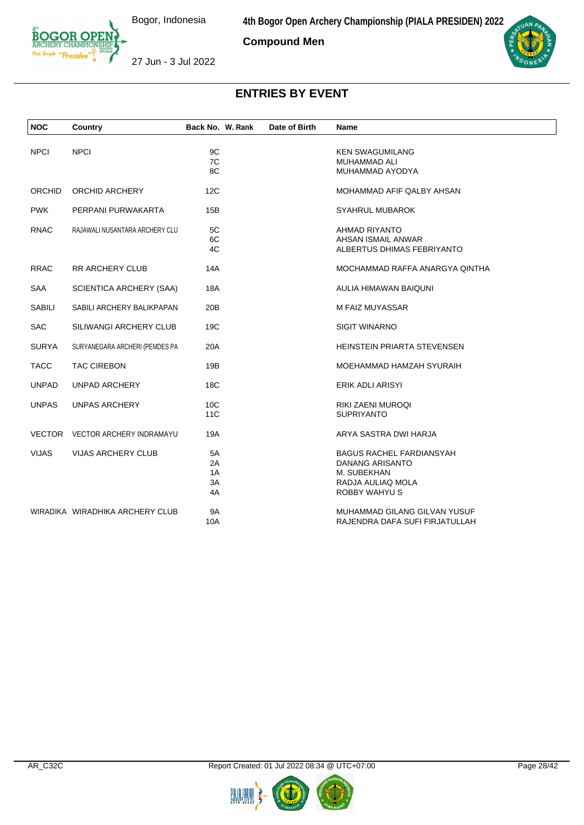**Compound Men**



27 Jun - 3 Jul 2022



| <b>NOC</b>    | Country                         | Back No. W. Rank | Date of Birth | <b>Name</b>                        |
|---------------|---------------------------------|------------------|---------------|------------------------------------|
| <b>NPCI</b>   | <b>NPCI</b>                     | 9C               |               | <b>KEN SWAGUMILANG</b>             |
|               |                                 | 7C               |               | <b>MUHAMMAD ALI</b>                |
|               |                                 | 8C               |               | MUHAMMAD AYODYA                    |
| ORCHID        | ORCHID ARCHERY                  | 12C              |               | MOHAMMAD AFIF QALBY AHSAN          |
| <b>PWK</b>    | PERPANI PURWAKARTA              | 15B              |               | <b>SYAHRUL MUBAROK</b>             |
| <b>RNAC</b>   | RAJAWALI NUSANTARA ARCHERY CLU  | 5C               |               | AHMAD RIYANTO                      |
|               |                                 | 6C               |               | AHSAN ISMAIL ANWAR                 |
|               |                                 | 4C               |               | ALBERTUS DHIMAS FEBRIYANTO         |
| <b>RRAC</b>   | <b>RR ARCHERY CLUB</b>          | 14A              |               | MOCHAMMAD RAFFA ANARGYA QINTHA     |
| SAA           | <b>SCIENTICA ARCHERY (SAA)</b>  | 18A              |               | AULIA HIMAWAN BAIQUNI              |
| <b>SABILI</b> | SABILI ARCHERY BALIKPAPAN       | 20B              |               | M FAIZ MUYASSAR                    |
| <b>SAC</b>    | <b>SILIWANGI ARCHERY CLUB</b>   | 19C              |               | <b>SIGIT WINARNO</b>               |
| <b>SURYA</b>  | SURYANEGARA ARCHERI (PEMDES PA  | 20A              |               | <b>HEINSTEIN PRIARTA STEVENSEN</b> |
| <b>TACC</b>   | <b>TAC CIREBON</b>              | 19B              |               | MOEHAMMAD HAMZAH SYURAIH           |
| <b>UNPAD</b>  | <b>UNPAD ARCHERY</b>            | 18C              |               | ERIK ADLI ARISYI                   |
| <b>UNPAS</b>  | <b>UNPAS ARCHERY</b>            | 10 <sub>C</sub>  |               | <b>RIKI ZAENI MUROQI</b>           |
|               |                                 | 11C              |               | <b>SUPRIYANTO</b>                  |
|               | VECTOR VECTOR ARCHERY INDRAMAYU | 19A              |               | ARYA SASTRA DWI HARJA              |
| <b>VIJAS</b>  | <b>VIJAS ARCHERY CLUB</b>       | 5A               |               | <b>BAGUS RACHEL FARDIANSYAH</b>    |
|               |                                 | 2A               |               | <b>DANANG ARISANTO</b>             |
|               |                                 | 1A               |               | M. SUBEKHAN                        |
|               |                                 | 3A               |               | RADJA AULIAQ MOLA                  |
|               |                                 | 4A               |               | <b>ROBBY WAHYU S</b>               |
|               | WIRADIKA WIRADHIKA ARCHERY CLUB | <b>9A</b>        |               | MUHAMMAD GILANG GILVAN YUSUF       |
|               |                                 | 10A              |               | RAJENDRA DAFA SUFI FIRJATULLAH     |



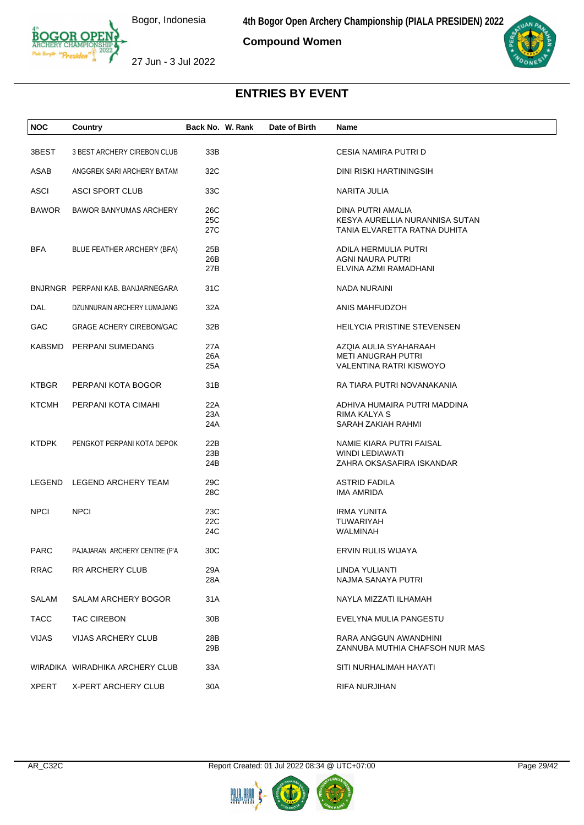**Compound Women**



27 Jun - 3 Jul 2022

| <b>NOC</b>   | Country                           | Back No. W. Rank | Date of Birth | Name                           |
|--------------|-----------------------------------|------------------|---------------|--------------------------------|
|              |                                   |                  |               |                                |
| 3BEST        | 3 BEST ARCHERY CIREBON CLUB       | 33B              |               | CESIA NAMIRA PUTRI D           |
| ASAB         | ANGGREK SARI ARCHERY BATAM        | 32C              |               | DINI RISKI HARTININGSIH        |
| ASCI         | ASCI SPORT CLUB                   | 33C              |               | NARITA JULIA                   |
| <b>BAWOR</b> | <b>BAWOR BANYUMAS ARCHERY</b>     | 26C              |               | DINA PUTRI AMALIA              |
|              |                                   | 25C              |               | KESYA AURELLIA NURANNISA SUTAN |
|              |                                   | 27C              |               | TANIA ELVARETTA RATNA DUHITA   |
| <b>BFA</b>   | BLUE FEATHER ARCHERY (BFA)        | 25B              |               | ADILA HERMULIA PUTRI           |
|              |                                   | 26B              |               | AGNI NAURA PUTRI               |
|              |                                   | 27B              |               | ELVINA AZMI RAMADHANI          |
|              | BNJRNGR PERPANI KAB. BANJARNEGARA | 31C              |               | <b>NADA NURAINI</b>            |
| DAL          | DZUNNURAIN ARCHERY LUMAJANG       | 32A              |               | ANIS MAHFUDZOH                 |
| GAC          | <b>GRAGE ACHERY CIREBON/GAC</b>   | 32B              |               | HEILYCIA PRISTINE STEVENSEN    |
|              | KABSMD PERPANI SUMEDANG           | 27A              |               | AZQIA AULIA SYAHARAAH          |
|              |                                   | 26A              |               | <b>METI ANUGRAH PUTRI</b>      |
|              |                                   | 25A              |               | VALENTINA RATRI KISWOYO        |
| <b>KTBGR</b> | PERPANI KOTA BOGOR                | 31B              |               | RA TIARA PUTRI NOVANAKANIA     |
| <b>KTCMH</b> | PERPANI KOTA CIMAHI               | 22A              |               | ADHIVA HUMAIRA PUTRI MADDINA   |
|              |                                   | 23A              |               | RIMA KALYA S                   |
|              |                                   | 24A              |               | SARAH ZAKIAH RAHMI             |
| <b>KTDPK</b> | PENGKOT PERPANI KOTA DEPOK        | 22B              |               | NAMIE KIARA PUTRI FAISAL       |
|              |                                   | 23B              |               | WINDI LEDIAWATI                |
|              |                                   | 24B              |               | ZAHRA OKSASAFIRA ISKANDAR      |
|              | LEGEND LEGEND ARCHERY TEAM        | 29C              |               | <b>ASTRID FADILA</b>           |
|              |                                   | 28C              |               | <b>IMA AMRIDA</b>              |
| <b>NPCI</b>  | <b>NPCI</b>                       | 23C              |               | <b>IRMA YUNITA</b>             |
|              |                                   | 22C              |               | <b>TUWARIYAH</b>               |
|              |                                   | 24C              |               | WALMINAH                       |
| <b>PARC</b>  | PAJAJARAN ARCHERY CENTRE (P'A     | 30C              |               | ERVIN RULIS WIJAYA             |
| <b>RRAC</b>  | <b>RR ARCHERY CLUB</b>            | 29A              |               | LINDA YULIANTI                 |
|              |                                   | 28A              |               | NAJMA SANAYA PUTRI             |
| SALAM        | SALAM ARCHERY BOGOR               | 31A              |               | NAYLA MIZZATI ILHAMAH          |
| <b>TACC</b>  | <b>TAC CIREBON</b>                | 30B              |               | EVELYNA MULIA PANGESTU         |
| <b>VIJAS</b> | VIJAS ARCHERY CLUB                | 28B              |               | RARA ANGGUN AWANDHINI          |
|              |                                   | 29B              |               | ZANNUBA MUTHIA CHAFSOH NUR MAS |
|              |                                   |                  |               |                                |
|              | WIRADIKA WIRADHIKA ARCHERY CLUB   | 33A              |               | SITI NURHALIMAH HAYATI         |
| <b>XPERT</b> | X-PERT ARCHERY CLUB               | 30A              |               | RIFA NURJIHAN                  |
|              |                                   |                  |               |                                |



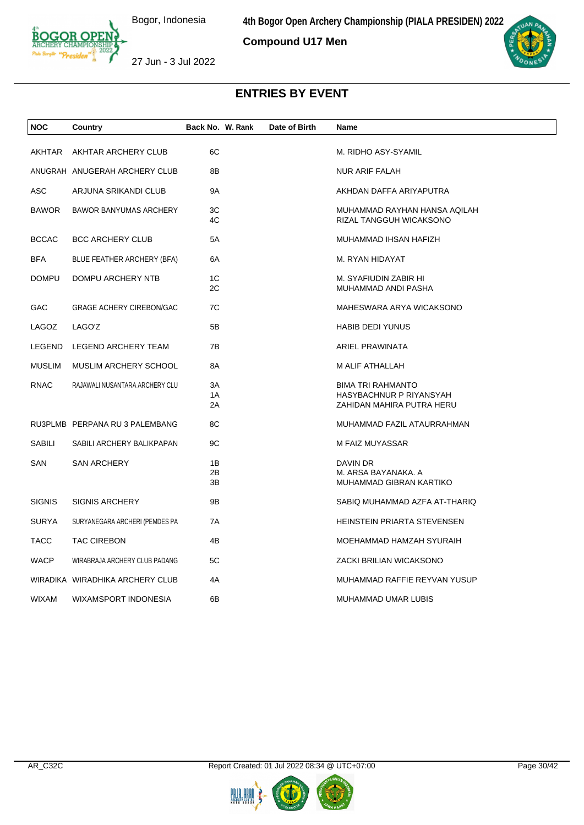**Compound U17 Men**



27 Jun - 3 Jul 2022

| <b>NOC</b>    | Country                         | Back No. W. Rank | Date of Birth | Name                                                                             |
|---------------|---------------------------------|------------------|---------------|----------------------------------------------------------------------------------|
| AKHTAR        | AKHTAR ARCHERY CLUB             | 6C               |               | M. RIDHO ASY-SYAMIL                                                              |
|               | ANUGRAH ANUGERAH ARCHERY CLUB   | 8B               |               | <b>NUR ARIF FALAH</b>                                                            |
| <b>ASC</b>    | ARJUNA SRIKANDI CLUB            | 9A               |               | AKHDAN DAFFA ARIYAPUTRA                                                          |
| <b>BAWOR</b>  | BAWOR BANYUMAS ARCHERY          | 3C<br>4C         |               | MUHAMMAD RAYHAN HANSA AQILAH<br>RIZAL TANGGUH WICAKSONO                          |
| <b>BCCAC</b>  | <b>BCC ARCHERY CLUB</b>         | 5A               |               | MUHAMMAD IHSAN HAFIZH                                                            |
| <b>BFA</b>    | BLUE FEATHER ARCHERY (BFA)      | 6A               |               | M. RYAN HIDAYAT                                                                  |
| <b>DOMPU</b>  | DOMPU ARCHERY NTB               | 1C<br>2C         |               | M. SYAFIUDIN ZABIR HI<br>MUHAMMAD ANDI PASHA                                     |
| GAC           | GRAGE ACHERY CIREBON/GAC        | 7C               |               | MAHESWARA ARYA WICAKSONO                                                         |
| LAGOZ         | LAGO'Z                          | 5B               |               | <b>HABIB DEDI YUNUS</b>                                                          |
| LEGEND        | LEGEND ARCHERY TEAM             | 7B               |               | ARIEL PRAWINATA                                                                  |
| <b>MUSLIM</b> | MUSLIM ARCHERY SCHOOL           | 8A               |               | M ALIF ATHALLAH                                                                  |
| <b>RNAC</b>   | RAJAWALI NUSANTARA ARCHERY CLU  | 3A<br>1A<br>2A   |               | <b>BIMA TRI RAHMANTO</b><br>HASYBACHNUR P RIYANSYAH<br>ZAHIDAN MAHIRA PUTRA HERU |
|               | RU3PLMB PERPANA RU 3 PALEMBANG  | 8C               |               | MUHAMMAD FAZIL ATAURRAHMAN                                                       |
| SABILI        | SABILI ARCHERY BALIKPAPAN       | 9C               |               | M FAIZ MUYASSAR                                                                  |
| SAN           | <b>SAN ARCHERY</b>              | 1B<br>2B<br>3B   |               | <b>DAVIN DR</b><br>M. ARSA BAYANAKA. A<br>MUHAMMAD GIBRAN KARTIKO                |
| <b>SIGNIS</b> | <b>SIGNIS ARCHERY</b>           | 9B               |               | SABIQ MUHAMMAD AZFA AT-THARIQ                                                    |
| <b>SURYA</b>  | SURYANEGARA ARCHERI (PEMDES PA  | 7A               |               | HEINSTEIN PRIARTA STEVENSEN                                                      |
| <b>TACC</b>   | <b>TAC CIREBON</b>              | 4B               |               | MOEHAMMAD HAMZAH SYURAIH                                                         |
| <b>WACP</b>   | WIRABRAJA ARCHERY CLUB PADANG   | 5C               |               | ZACKI BRILIAN WICAKSONO                                                          |
|               | WIRADIKA WIRADHIKA ARCHERY CLUB | 4A               |               | MUHAMMAD RAFFIE REYVAN YUSUP                                                     |
| WIXAM         | WIXAMSPORT INDONESIA            | 6B               |               | MUHAMMAD UMAR LUBIS                                                              |
|               |                                 |                  |               |                                                                                  |



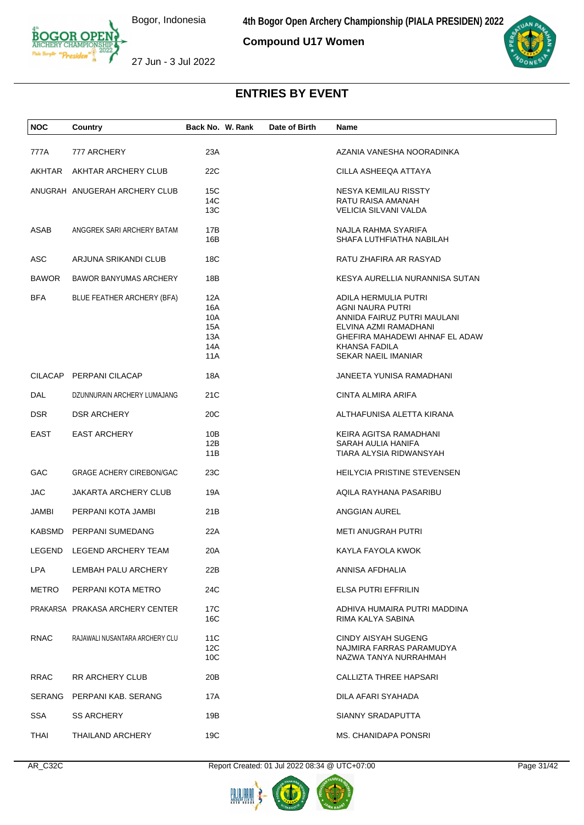**4th Bogor Open Archery Championship (PIALA PRESIDEN) 2022**

**Compound U17 Women**



27 Jun - 3 Jul 2022

# **ENTRIES BY EVENT**

| <b>NOC</b>    | Country                         | Back No. W. Rank                              | Date of Birth | Name                                                                                                                                                                              |  |
|---------------|---------------------------------|-----------------------------------------------|---------------|-----------------------------------------------------------------------------------------------------------------------------------------------------------------------------------|--|
| 777A          | 777 ARCHERY                     | 23A                                           |               | AZANIA VANESHA NOORADINKA                                                                                                                                                         |  |
| <b>AKHTAR</b> | AKHTAR ARCHERY CLUB             | 22C                                           |               | CILLA ASHEEQA ATTAYA                                                                                                                                                              |  |
|               | ANUGRAH ANUGERAH ARCHERY CLUB   | 15C<br>14C<br>13C                             |               | NESYA KEMILAU RISSTY<br>RATU RAISA AMANAH<br>VELICIA SILVANI VALDA                                                                                                                |  |
| ASAB          | ANGGREK SARI ARCHERY BATAM      | 17B<br>16B                                    |               | NAJLA RAHMA SYARIFA<br>SHAFA LUTHFIATHA NABILAH                                                                                                                                   |  |
| ASC           | ARJUNA SRIKANDI CLUB            | 18C                                           |               | RATU ZHAFIRA AR RASYAD                                                                                                                                                            |  |
| <b>BAWOR</b>  | <b>BAWOR BANYUMAS ARCHERY</b>   | 18B                                           |               | KESYA AURELLIA NURANNISA SUTAN                                                                                                                                                    |  |
| <b>BFA</b>    | BLUE FEATHER ARCHERY (BFA)      | 12A<br>16A<br>10A<br>15A<br>13A<br>14A<br>11A |               | ADILA HERMULIA PUTRI<br>AGNI NAURA PUTRI<br>ANNIDA FAIRUZ PUTRI MAULANI<br>ELVINA AZMI RAMADHANI<br>GHEFIRA MAHADEWI AHNAF EL ADAW<br>KHANSA FADILA<br><b>SEKAR NAEIL IMANIAR</b> |  |
|               | CILACAP PERPANI CILACAP         | 18A                                           |               | JANEETA YUNISA RAMADHANI                                                                                                                                                          |  |
| DAL           | DZUNNURAIN ARCHERY LUMAJANG     | 21C                                           |               | CINTA ALMIRA ARIFA                                                                                                                                                                |  |
| <b>DSR</b>    | <b>DSR ARCHERY</b>              | 20 <sub>C</sub>                               |               | ALTHAFUNISA ALETTA KIRANA                                                                                                                                                         |  |
| EAST          | <b>EAST ARCHERY</b>             | 10B<br>12B<br>11B                             |               | KEIRA AGITSA RAMADHANI<br>SARAH AULIA HANIFA<br>TIARA ALYSIA RIDWANSYAH                                                                                                           |  |
| <b>GAC</b>    | <b>GRAGE ACHERY CIREBON/GAC</b> | 23C                                           |               | HEILYCIA PRISTINE STEVENSEN                                                                                                                                                       |  |
| <b>JAC</b>    | JAKARTA ARCHERY CLUB            | 19A                                           |               | AQILA RAYHANA PASARIBU                                                                                                                                                            |  |
| JAMBI         | PERPANI KOTA JAMBI              | 21B                                           |               | ANGGIAN AUREL                                                                                                                                                                     |  |
| <b>KABSMD</b> | PERPANI SUMEDANG                | 22A                                           |               | METI ANUGRAH PUTRI                                                                                                                                                                |  |
|               | LEGEND LEGEND ARCHERY TEAM      | 20A                                           |               | KAYLA FAYOLA KWOK                                                                                                                                                                 |  |
| <b>LPA</b>    | LEMBAH PALU ARCHERY             | 22B                                           |               | ANNISA AFDHALIA                                                                                                                                                                   |  |
| <b>METRO</b>  | PERPANI KOTA METRO              | 24C                                           |               | ELSA PUTRI EFFRILIN                                                                                                                                                               |  |
|               | PRAKARSA PRAKASA ARCHERY CENTER | 17C<br>16C                                    |               | ADHIVA HUMAIRA PUTRI MADDINA<br>RIMA KALYA SABINA                                                                                                                                 |  |
| <b>RNAC</b>   | RAJAWALI NUSANTARA ARCHERY CLU  | 11C<br>12C<br>10C                             |               | <b>CINDY AISYAH SUGENG</b><br>NAJMIRA FARRAS PARAMUDYA<br>NAZWA TANYA NURRAHMAH                                                                                                   |  |
| <b>RRAC</b>   | RR ARCHERY CLUB                 | 20 <sub>B</sub>                               |               | <b>CALLIZTA THREE HAPSARI</b>                                                                                                                                                     |  |
|               | SERANG PERPANI KAB. SERANG      | 17A                                           |               | DILA AFARI SYAHADA                                                                                                                                                                |  |
| <b>SSA</b>    | <b>SS ARCHERY</b>               | 19B                                           |               | SIANNY SRADAPUTTA                                                                                                                                                                 |  |
| THAI          | THAILAND ARCHERY                | 19C                                           |               | MS. CHANIDAPA PONSRI                                                                                                                                                              |  |

AR\_C32C Report Created: 01 Jul 2022 08:34 @ UTC+07:00 Page 31/42

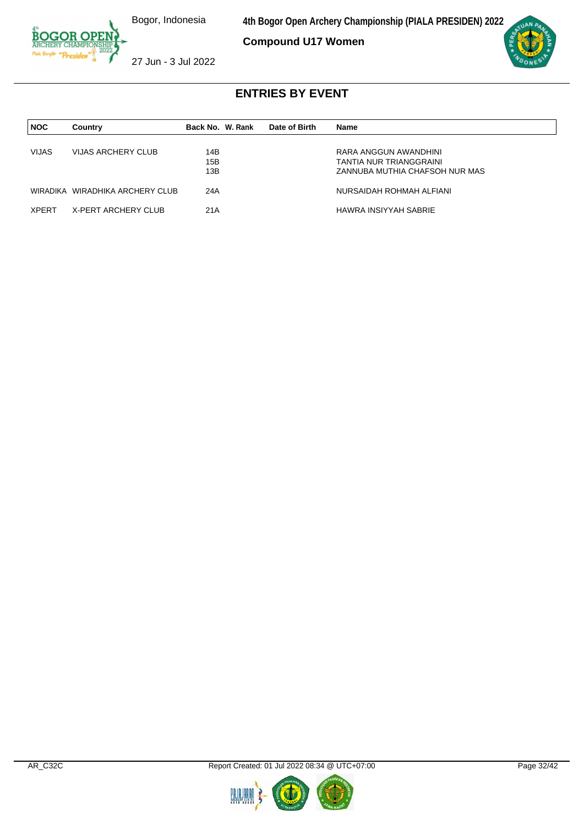**4th Bogor Open Archery Championship (PIALA PRESIDEN) 2022**

**Compound U17 Women**



27 Jun - 3 Jul 2022

| <b>NOC</b>   | Country                         | Back No. W. Rank | Date of Birth | Name                           |
|--------------|---------------------------------|------------------|---------------|--------------------------------|
|              |                                 |                  |               |                                |
| <b>VIJAS</b> | VIJAS ARCHERY CLUB              | 14B              |               | RARA ANGGUN AWANDHINI          |
|              |                                 | 15B              |               | TANTIA NUR TRIANGGRAINI        |
|              |                                 | 13B              |               | ZANNUBA MUTHIA CHAFSOH NUR MAS |
|              | WIRADIKA WIRADHIKA ARCHERY CLUB | 24A              |               | NURSAIDAH ROHMAH ALFIANI       |
| XPERT        | X-PERT ARCHERY CLUB             | 21A              |               | HAWRA INSIYYAH SABRIE          |

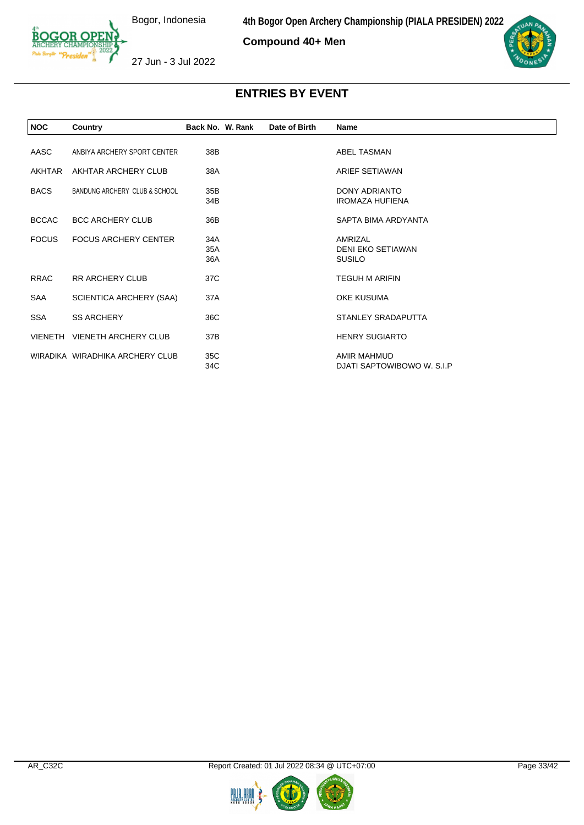**Compound 40+ Men**



27 Jun - 3 Jul 2022

| <b>NOC</b>   | Country                         | Back No. W. Rank  | Date of Birth | <b>Name</b>                                    |
|--------------|---------------------------------|-------------------|---------------|------------------------------------------------|
| AASC         | ANBIYA ARCHERY SPORT CENTER     | 38B               |               | ABEL TASMAN                                    |
| AKHTAR       | AKHTAR ARCHERY CLUB             | 38A               |               | ARIEF SETIAWAN                                 |
| <b>BACS</b>  | BANDUNG ARCHERY CLUB & SCHOOL   | 35B<br>34B        |               | <b>DONY ADRIANTO</b><br><b>IROMAZA HUFIENA</b> |
| <b>BCCAC</b> | <b>BCC ARCHERY CLUB</b>         | 36B               |               | SAPTA BIMA ARDYANTA                            |
| <b>FOCUS</b> | <b>FOCUS ARCHERY CENTER</b>     | 34A<br>35A<br>36A |               | AMRIZAL<br>DENI EKO SETIAWAN<br><b>SUSILO</b>  |
| <b>RRAC</b>  | <b>RR ARCHERY CLUB</b>          | 37C               |               | <b>TEGUH M ARIFIN</b>                          |
| SAA          | SCIENTICA ARCHERY (SAA)         | 37A               |               | <b>OKE KUSUMA</b>                              |
| <b>SSA</b>   | <b>SS ARCHERY</b>               | 36C               |               | STANLEY SRADAPUTTA                             |
|              | VIENETH VIENETH ARCHERY CLUB    | 37B               |               | <b>HENRY SUGIARTO</b>                          |
|              | WIRADIKA WIRADHIKA ARCHERY CLUB | 35C<br>34C        |               | AMIR MAHMUD<br>DJATI SAPTOWIBOWO W. S.I.P      |



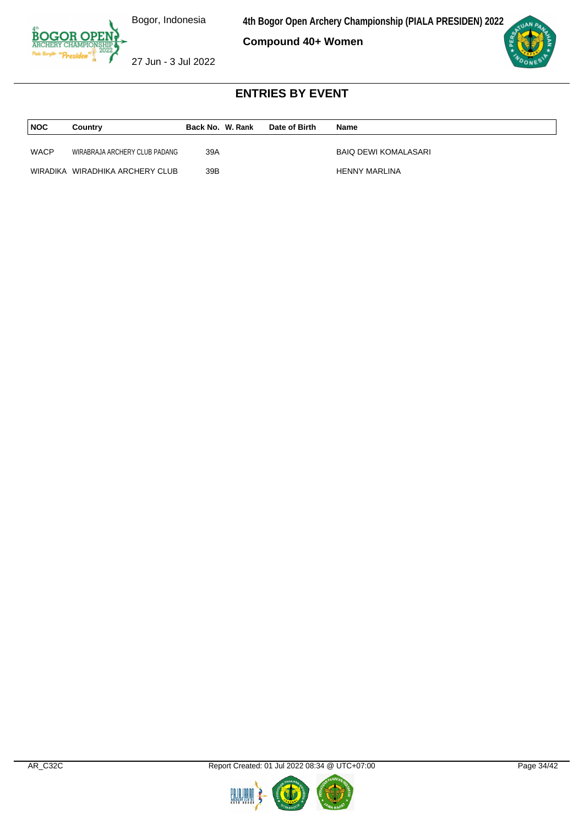**4th Bogor Open Archery Championship (PIALA PRESIDEN) 2022**

**Compound 40+ Women**



27 Jun - 3 Jul 2022

| <b>NOC</b>  | Country                         | Back No. W. Rank | Date of Birth | <b>Name</b>          |
|-------------|---------------------------------|------------------|---------------|----------------------|
| <b>WACP</b> | WIRABRAJA ARCHERY CLUB PADANG   | 39A              |               | BAIQ DEWI KOMALASARI |
|             | WIRADIKA WIRADHIKA ARCHERY CLUB | 39B              |               | <b>HENNY MARLINA</b> |



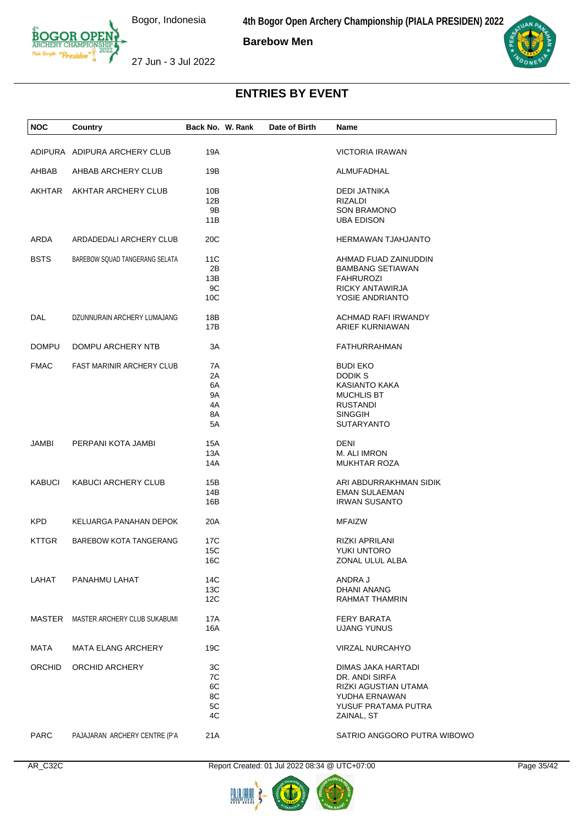**4th Bogor Open Archery Championship (PIALA PRESIDEN) 2022**

**Barebow Men**





27 Jun - 3 Jul 2022

# **ENTRIES BY EVENT**

| <b>NOC</b>    | Country                             | Back No. W. Rank | Date of Birth | Name                        |
|---------------|-------------------------------------|------------------|---------------|-----------------------------|
|               |                                     |                  |               |                             |
|               | ADIPURA ADIPURA ARCHERY CLUB        | 19A              |               | <b>VICTORIA IRAWAN</b>      |
| AHBAB         | AHBAB ARCHERY CLUB                  | 19B              |               | ALMUFADHAL                  |
| AKHTAR        | AKHTAR ARCHERY CLUB                 | 10B              |               | <b>DEDI JATNIKA</b>         |
|               |                                     | 12B              |               | RIZALDI                     |
|               |                                     | 9B               |               | <b>SON BRAMONO</b>          |
|               |                                     | 11B              |               | <b>UBA EDISON</b>           |
| ARDA          | ARDADEDALI ARCHERY CLUB             | 20C              |               | <b>HERMAWAN TJAHJANTO</b>   |
|               |                                     |                  |               |                             |
| <b>BSTS</b>   | BAREBOW SQUAD TANGERANG SELATA      | 11C              |               | AHMAD FUAD ZAINUDDIN        |
|               |                                     | 2Β               |               | <b>BAMBANG SETIAWAN</b>     |
|               |                                     | 13B              |               | <b>FAHRUROZI</b>            |
|               |                                     | 9C               |               | RICKY ANTAWIRJA             |
|               |                                     | 10 <sub>C</sub>  |               | YOSIE ANDRIANTO             |
| DAL           | DZUNNURAIN ARCHERY LUMAJANG         | 18B              |               | ACHMAD RAFI IRWANDY         |
|               |                                     | 17B              |               | ARIEF KURNIAWAN             |
| <b>DOMPU</b>  | DOMPU ARCHERY NTB                   | 3A               |               | <b>FATHURRAHMAN</b>         |
|               |                                     |                  |               |                             |
| <b>FMAC</b>   | <b>FAST MARINIR ARCHERY CLUB</b>    | 7A               |               | <b>BUDI EKO</b>             |
|               |                                     | 2A               |               | <b>DODIKS</b>               |
|               |                                     | 6A               |               | KASIANTO KAKA               |
|               |                                     | 9Α               |               | <b>MUCHLIS BT</b>           |
|               |                                     | 4A               |               | <b>RUSTANDI</b>             |
|               |                                     | 8A               |               | <b>SINGGIH</b>              |
|               |                                     | 5A               |               | <b>SUTARYANTO</b>           |
| JAMBI         | PERPANI KOTA JAMBI                  | 15A              |               | <b>DENI</b>                 |
|               |                                     | 13A              |               | M. ALI IMRON                |
|               |                                     | 14A              |               | <b>MUKHTAR ROZA</b>         |
| <b>KABUCI</b> | <b>KABUCI ARCHERY CLUB</b>          | 15B              |               | ARI ABDURRAKHMAN SIDIK      |
|               |                                     | 14B              |               | <b>EMAN SULAEMAN</b>        |
|               |                                     | 16B              |               | <b>IRWAN SUSANTO</b>        |
|               |                                     |                  |               |                             |
| KPD           | KELUARGA PANAHAN DEPOK              | 20A              |               | <b>MFAIZW</b>               |
| <b>KTTGR</b>  | <b>BAREBOW KOTA TANGERANG</b>       | 17C              |               | RIZKI APRILANI              |
|               |                                     | <b>15C</b>       |               | YUKI UNTORO                 |
|               |                                     | 16C              |               | ZONAL ULUL ALBA             |
| LAHAT         | PANAHMU LAHAT                       | 14C              |               | ANDRA J                     |
|               |                                     | 13C              |               | DHANI ANANG                 |
|               |                                     | 12C              |               | RAHMAT THAMRIN              |
|               | MASTER MASTER ARCHERY CLUB SUKABUMI | 17A              |               | <b>FERY BARATA</b>          |
|               |                                     | 16A              |               | <b>UJANG YUNUS</b>          |
|               |                                     |                  |               |                             |
| MATA          | <b>MATA ELANG ARCHERY</b>           | 19C              |               | VIRZAL NURCAHYO             |
| ORCHID        | <b>ORCHID ARCHERY</b>               | 3C               |               | DIMAS JAKA HARTADI          |
|               |                                     | 7C               |               | DR. ANDI SIRFA              |
|               |                                     | 6C               |               | RIZKI AGUSTIAN UTAMA        |
|               |                                     | 8C               |               | YUDHA ERNAWAN               |
|               |                                     | 5C               |               | YUSUF PRATAMA PUTRA         |
|               |                                     | 4C               |               | ZAINAL, ST                  |
| <b>PARC</b>   | PAJAJARAN ARCHERY CENTRE (P'A       | 21A              |               | SATRIO ANGGORO PUTRA WIBOWO |

AR\_C32C Report Created: 01 Jul 2022 08:34 @ UTC+07:00 Page 35/42

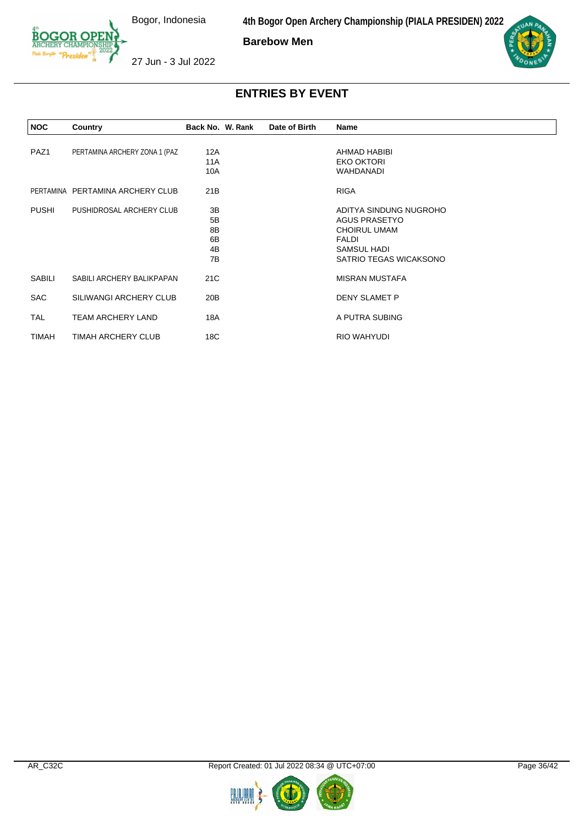**4th Bogor Open Archery Championship (PIALA PRESIDEN) 2022**

**Barebow Men**



27 Jun - 3 Jul 2022

| <b>NOC</b>       | Country                          | Back No. W. Rank                 | Date of Birth | Name                                                                                                                           |  |
|------------------|----------------------------------|----------------------------------|---------------|--------------------------------------------------------------------------------------------------------------------------------|--|
| PAZ <sub>1</sub> | PERTAMINA ARCHERY ZONA 1 (PAZ    | 12A<br>11A<br>10A                |               | AHMAD HABIBI<br><b>EKO OKTORI</b><br><b>WAHDANADI</b>                                                                          |  |
|                  | PERTAMINA PERTAMINA ARCHERY CLUB | 21B                              |               | <b>RIGA</b>                                                                                                                    |  |
| PUSHI            | PUSHIDROSAL ARCHERY CLUB         | 3B<br>5B<br>8B<br>6B<br>4B<br>7B |               | ADITYA SINDUNG NUGROHO<br><b>AGUS PRASETYO</b><br><b>CHOIRUL UMAM</b><br><b>FALDI</b><br>SAMSUL HADI<br>SATRIO TEGAS WICAKSONO |  |
| SABILI           | SABILI ARCHERY BALIKPAPAN        | 21C                              |               | <b>MISRAN MUSTAFA</b>                                                                                                          |  |
| <b>SAC</b>       | SILIWANGI ARCHERY CLUB           | 20 <sub>B</sub>                  |               | DENY SLAMET P                                                                                                                  |  |
| <b>TAL</b>       | <b>TEAM ARCHERY LAND</b>         | 18A                              |               | A PUTRA SUBING                                                                                                                 |  |
| TIMAH            | TIMAH ARCHERY CLUB               | 18C                              |               | RIO WAHYUDI                                                                                                                    |  |

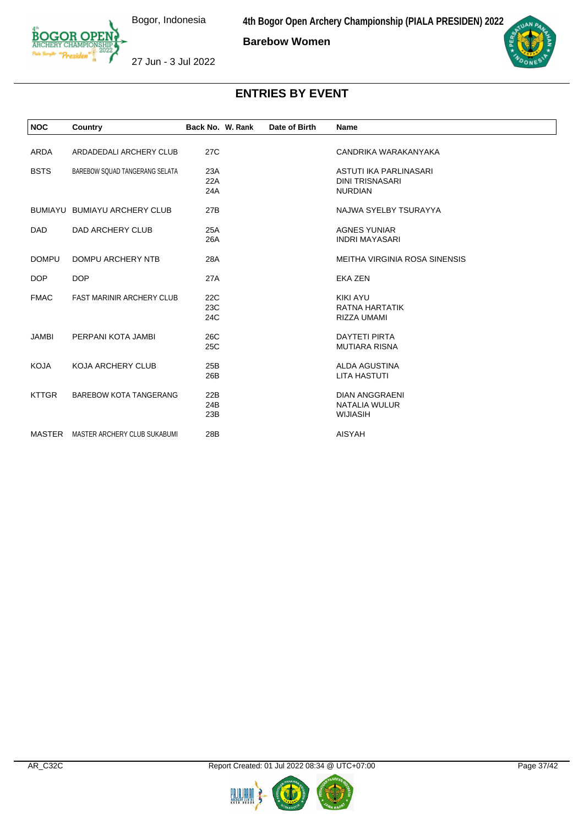**4th Bogor Open Archery Championship (PIALA PRESIDEN) 2022**

**Barebow Women**



27 Jun - 3 Jul 2022

| <b>NOC</b>   | Country                          | Back No. W. Rank | Date of Birth | Name                          |
|--------------|----------------------------------|------------------|---------------|-------------------------------|
|              |                                  |                  |               |                               |
| <b>ARDA</b>  | ARDADEDALI ARCHERY CLUB          | 27C              |               | CANDRIKA WARAKANYAKA          |
| <b>BSTS</b>  | BAREBOW SQUAD TANGERANG SELATA   | 23A              |               | ASTUTI IKA PARLINASARI        |
|              |                                  | 22A              |               | <b>DINI TRISNASARI</b>        |
|              |                                  | 24A              |               | <b>NURDIAN</b>                |
|              |                                  |                  |               |                               |
|              | BUMIAYU BUMIAYU ARCHERY CLUB     | 27B              |               | NAJWA SYELBY TSURAYYA         |
|              |                                  |                  |               |                               |
| <b>DAD</b>   | DAD ARCHERY CLUB                 | 25A              |               | <b>AGNES YUNIAR</b>           |
|              |                                  | 26A              |               | <b>INDRI MAYASARI</b>         |
| <b>DOMPU</b> | DOMPU ARCHERY NTB                | 28A              |               | MEITHA VIRGINIA ROSA SINENSIS |
|              |                                  |                  |               |                               |
| <b>DOP</b>   | <b>DOP</b>                       | 27A              |               | <b>EKA ZEN</b>                |
|              |                                  |                  |               | <b>KIKI AYU</b>               |
| <b>FMAC</b>  | <b>FAST MARINIR ARCHERY CLUB</b> | 22C<br>23C       |               | RATNA HARTATIK                |
|              |                                  | 24C              |               | RIZZA UMAMI                   |
|              |                                  |                  |               |                               |
| <b>JAMBI</b> | PERPANI KOTA JAMBI               | 26C              |               | <b>DAYTETI PIRTA</b>          |
|              |                                  | 25C              |               | <b>MUTIARA RISNA</b>          |
|              |                                  |                  |               |                               |
| <b>KOJA</b>  | <b>KOJA ARCHERY CLUB</b>         | 25B              |               | ALDA AGUSTINA                 |
|              |                                  | 26B              |               | <b>LITA HASTUTI</b>           |
| <b>KTTGR</b> | <b>BAREBOW KOTA TANGERANG</b>    | 22B              |               | <b>DIAN ANGGRAENI</b>         |
|              |                                  | 24B              |               | NATALIA WULUR                 |
|              |                                  | 23B              |               | <b>WIJIASIH</b>               |
|              |                                  |                  |               |                               |
| MASTER       | MASTER ARCHERY CLUB SUKABUMI     | 28B              |               | <b>AISYAH</b>                 |
|              |                                  |                  |               |                               |



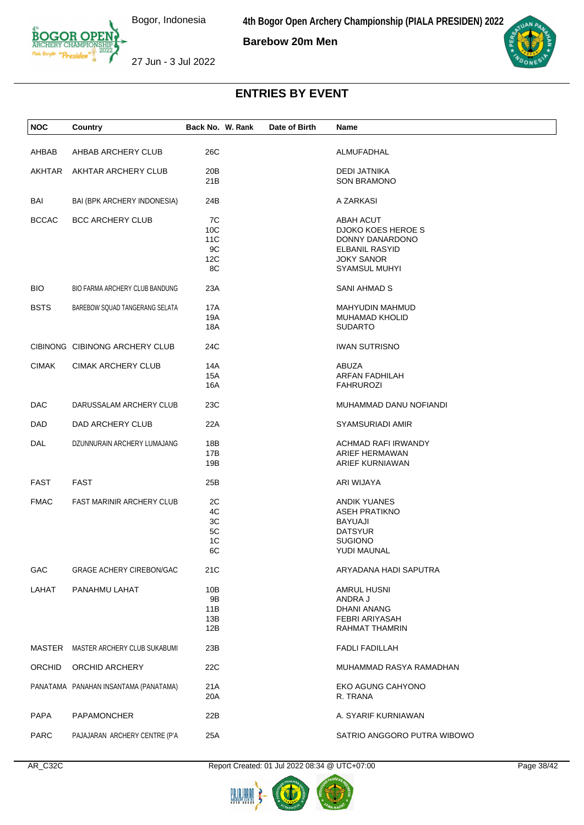**4th Bogor Open Archery Championship (PIALA PRESIDEN) 2022**

**Barebow 20m Men**



27 Jun - 3 Jul 2022

**NOC Country Back No. W. Rank Date of Birth Name**

# **ENTRIES BY EVENT**

| AHBAB        | AHBAB ARCHERY CLUB                    | 26C                                 | ALMUFADHAL                                                                                                               |
|--------------|---------------------------------------|-------------------------------------|--------------------------------------------------------------------------------------------------------------------------|
|              | AKHTAR AKHTAR ARCHERY CLUB            | 20B<br>21B                          | <b>DEDI JATNIKA</b><br><b>SON BRAMONO</b>                                                                                |
| BAI          | BAI (BPK ARCHERY INDONESIA)           | 24B                                 | A ZARKASI                                                                                                                |
| <b>BCCAC</b> | <b>BCC ARCHERY CLUB</b>               | 7C<br>10C<br>11C<br>9C<br>12C<br>8C | ABAH ACUT<br>DJOKO KOES HEROE S<br>DONNY DANARDONO<br><b>ELBANIL RASYID</b><br><b>JOKY SANOR</b><br><b>SYAMSUL MUHYI</b> |
| <b>BIO</b>   | BIO FARMA ARCHERY CLUB BANDUNG        | 23A                                 | SANI AHMAD S                                                                                                             |
| <b>BSTS</b>  | BAREBOW SQUAD TANGERANG SELATA        | 17A<br>19A<br>18A                   | MAHYUDIN MAHMUD<br><b>MUHAMAD KHOLID</b><br><b>SUDARTO</b>                                                               |
|              | CIBINONG CIBINONG ARCHERY CLUB        | 24C                                 | <b>IWAN SUTRISNO</b>                                                                                                     |
| <b>CIMAK</b> | <b>CIMAK ARCHERY CLUB</b>             | 14A<br>15A<br>16A                   | <b>ABUZA</b><br>ARFAN FADHILAH<br><b>FAHRUROZI</b>                                                                       |
| DAC          | DARUSSALAM ARCHERY CLUB               | 23C                                 | MUHAMMAD DANU NOFIANDI                                                                                                   |
| DAD          | DAD ARCHERY CLUB                      | 22A                                 | SYAMSURIADI AMIR                                                                                                         |
| DAL          | DZUNNURAIN ARCHERY LUMAJANG           | 18B<br>17B<br>19B                   | ACHMAD RAFI IRWANDY<br>ARIEF HERMAWAN<br>ARIEF KURNIAWAN                                                                 |
| FAST         | <b>FAST</b>                           | 25B                                 | ARI WIJAYA                                                                                                               |
| <b>FMAC</b>  | <b>FAST MARINIR ARCHERY CLUB</b>      | 2C<br>4C<br>ЗC<br>5C<br>1C<br>6C    | <b>ANDIK YUANES</b><br><b>ASEH PRATIKNO</b><br><b>BAYUAJI</b><br><b>DATSYUR</b><br><b>SUGIONO</b><br>YUDI MAUNAL         |
| GAC          | <b>GRAGE ACHERY CIREBON/GAC</b>       | 21C                                 | ARYADANA HADI SAPUTRA                                                                                                    |
| LAHAT        | PANAHMU LAHAT                         | 10B<br>9B<br>11B<br>13B<br>12B      | <b>AMRUL HUSNI</b><br>ANDRA J<br><b>DHANI ANANG</b><br>FEBRI ARIYASAH<br>RAHMAT THAMRIN                                  |
| MASTER       | MASTER ARCHERY CLUB SUKABUMI          | 23B                                 | <b>FADLI FADILLAH</b>                                                                                                    |
| ORCHID       | ORCHID ARCHERY                        | 22C                                 | MUHAMMAD RASYA RAMADHAN                                                                                                  |
|              | PANATAMA PANAHAN INSANTAMA (PANATAMA) | 21A<br>20A                          | EKO AGUNG CAHYONO<br>R. TRANA                                                                                            |
| PAPA         | <b>PAPAMONCHER</b>                    | 22B                                 | A. SYARIF KURNIAWAN                                                                                                      |
| PARC         | PAJAJARAN ARCHERY CENTRE (P'A         | 25A                                 | SATRIO ANGGORO PUTRA WIBOWO                                                                                              |

AR\_C32C Report Created: 01 Jul 2022 08:34 @ UTC+07:00 Page 38/42



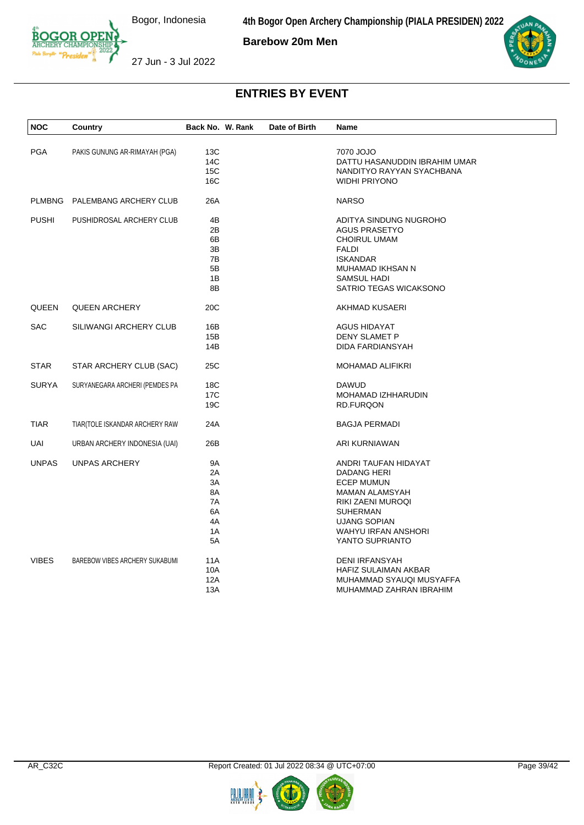

**Barebow 20m Men**





27 Jun - 3 Jul 2022

| <b>PGA</b><br>13C<br>7070 JOJO<br>PAKIS GUNUNG AR-RIMAYAH (PGA)<br>14C<br>DATTU HASANUDDIN IBRAHIM UMAR<br>15C<br>NANDITYO RAYYAN SYACHBANA<br>16C<br><b>WIDHI PRIYONO</b><br><b>NARSO</b><br>PLMBNG PALEMBANG ARCHERY CLUB<br>26A<br><b>PUSHI</b><br>4B<br>PUSHIDROSAL ARCHERY CLUB<br>ADITYA SINDUNG NUGROHO<br>2B<br><b>AGUS PRASETYO</b><br>6B<br><b>CHOIRUL UMAM</b><br>3B<br><b>FALDI</b><br>7B<br><b>ISKANDAR</b><br>5B<br>MUHAMAD IKHSAN N<br>1B<br>SAMSUL HADI<br>8B<br>SATRIO TEGAS WICAKSONO<br>QUEEN<br>20C<br><b>QUEEN ARCHERY</b><br>AKHMAD KUSAERI<br><b>SAC</b><br>SILIWANGI ARCHERY CLUB<br>16B<br><b>AGUS HIDAYAT</b><br><b>DENY SLAMET P</b><br>15B<br>14B<br>DIDA FARDIANSYAH<br><b>STAR</b><br>25C<br>MOHAMAD ALIFIKRI<br>STAR ARCHERY CLUB (SAC)<br><b>SURYA</b><br>SURYANEGARA ARCHERI (PEMDES PA<br>18 <sub>C</sub><br><b>DAWUD</b><br>17 <sub>C</sub><br>MOHAMAD IZHHARUDIN<br>19C<br><b>RD.FURQON</b><br><b>TIAR</b><br>TIAR(TOLE ISKANDAR ARCHERY RAW<br>24A<br><b>BAGJA PERMADI</b><br>UAI<br>URBAN ARCHERY INDONESIA (UAI)<br>26B<br>ARI KURNIAWAN<br><b>UNPAS</b><br>UNPAS ARCHERY<br>9A<br>ANDRI TAUFAN HIDAYAT<br>2A<br>DADANG HERI<br>3A<br>ECEP MUMUN<br>8A<br><b>MAMAN ALAMSYAH</b><br>7A<br>RIKI ZAENI MUROQI<br>6A<br>SUHERMAN<br>4A<br><b>UJANG SOPIAN</b><br>1A<br><b>WAHYU IRFAN ANSHORI</b><br>5A<br>YANTO SUPRIANTO<br><b>VIBES</b><br>BAREBOW VIBES ARCHERY SUKABUMI<br>11A<br><b>DENI IRFANSYAH</b><br>10A<br>HAFIZ SULAIMAN AKBAR<br>12A<br>MUHAMMAD SYAUQI MUSYAFFA<br>13A<br>MUHAMMAD ZAHRAN IBRAHIM | <b>NOC</b> | Country | Back No. W. Rank | Date of Birth | Name |  |
|-----------------------------------------------------------------------------------------------------------------------------------------------------------------------------------------------------------------------------------------------------------------------------------------------------------------------------------------------------------------------------------------------------------------------------------------------------------------------------------------------------------------------------------------------------------------------------------------------------------------------------------------------------------------------------------------------------------------------------------------------------------------------------------------------------------------------------------------------------------------------------------------------------------------------------------------------------------------------------------------------------------------------------------------------------------------------------------------------------------------------------------------------------------------------------------------------------------------------------------------------------------------------------------------------------------------------------------------------------------------------------------------------------------------------------------------------------------------------------------------------------------------------------------------------------|------------|---------|------------------|---------------|------|--|
|                                                                                                                                                                                                                                                                                                                                                                                                                                                                                                                                                                                                                                                                                                                                                                                                                                                                                                                                                                                                                                                                                                                                                                                                                                                                                                                                                                                                                                                                                                                                                     |            |         |                  |               |      |  |
|                                                                                                                                                                                                                                                                                                                                                                                                                                                                                                                                                                                                                                                                                                                                                                                                                                                                                                                                                                                                                                                                                                                                                                                                                                                                                                                                                                                                                                                                                                                                                     |            |         |                  |               |      |  |
|                                                                                                                                                                                                                                                                                                                                                                                                                                                                                                                                                                                                                                                                                                                                                                                                                                                                                                                                                                                                                                                                                                                                                                                                                                                                                                                                                                                                                                                                                                                                                     |            |         |                  |               |      |  |
|                                                                                                                                                                                                                                                                                                                                                                                                                                                                                                                                                                                                                                                                                                                                                                                                                                                                                                                                                                                                                                                                                                                                                                                                                                                                                                                                                                                                                                                                                                                                                     |            |         |                  |               |      |  |
|                                                                                                                                                                                                                                                                                                                                                                                                                                                                                                                                                                                                                                                                                                                                                                                                                                                                                                                                                                                                                                                                                                                                                                                                                                                                                                                                                                                                                                                                                                                                                     |            |         |                  |               |      |  |
|                                                                                                                                                                                                                                                                                                                                                                                                                                                                                                                                                                                                                                                                                                                                                                                                                                                                                                                                                                                                                                                                                                                                                                                                                                                                                                                                                                                                                                                                                                                                                     |            |         |                  |               |      |  |
|                                                                                                                                                                                                                                                                                                                                                                                                                                                                                                                                                                                                                                                                                                                                                                                                                                                                                                                                                                                                                                                                                                                                                                                                                                                                                                                                                                                                                                                                                                                                                     |            |         |                  |               |      |  |
|                                                                                                                                                                                                                                                                                                                                                                                                                                                                                                                                                                                                                                                                                                                                                                                                                                                                                                                                                                                                                                                                                                                                                                                                                                                                                                                                                                                                                                                                                                                                                     |            |         |                  |               |      |  |
|                                                                                                                                                                                                                                                                                                                                                                                                                                                                                                                                                                                                                                                                                                                                                                                                                                                                                                                                                                                                                                                                                                                                                                                                                                                                                                                                                                                                                                                                                                                                                     |            |         |                  |               |      |  |
|                                                                                                                                                                                                                                                                                                                                                                                                                                                                                                                                                                                                                                                                                                                                                                                                                                                                                                                                                                                                                                                                                                                                                                                                                                                                                                                                                                                                                                                                                                                                                     |            |         |                  |               |      |  |
|                                                                                                                                                                                                                                                                                                                                                                                                                                                                                                                                                                                                                                                                                                                                                                                                                                                                                                                                                                                                                                                                                                                                                                                                                                                                                                                                                                                                                                                                                                                                                     |            |         |                  |               |      |  |
|                                                                                                                                                                                                                                                                                                                                                                                                                                                                                                                                                                                                                                                                                                                                                                                                                                                                                                                                                                                                                                                                                                                                                                                                                                                                                                                                                                                                                                                                                                                                                     |            |         |                  |               |      |  |
|                                                                                                                                                                                                                                                                                                                                                                                                                                                                                                                                                                                                                                                                                                                                                                                                                                                                                                                                                                                                                                                                                                                                                                                                                                                                                                                                                                                                                                                                                                                                                     |            |         |                  |               |      |  |
|                                                                                                                                                                                                                                                                                                                                                                                                                                                                                                                                                                                                                                                                                                                                                                                                                                                                                                                                                                                                                                                                                                                                                                                                                                                                                                                                                                                                                                                                                                                                                     |            |         |                  |               |      |  |
|                                                                                                                                                                                                                                                                                                                                                                                                                                                                                                                                                                                                                                                                                                                                                                                                                                                                                                                                                                                                                                                                                                                                                                                                                                                                                                                                                                                                                                                                                                                                                     |            |         |                  |               |      |  |
|                                                                                                                                                                                                                                                                                                                                                                                                                                                                                                                                                                                                                                                                                                                                                                                                                                                                                                                                                                                                                                                                                                                                                                                                                                                                                                                                                                                                                                                                                                                                                     |            |         |                  |               |      |  |
|                                                                                                                                                                                                                                                                                                                                                                                                                                                                                                                                                                                                                                                                                                                                                                                                                                                                                                                                                                                                                                                                                                                                                                                                                                                                                                                                                                                                                                                                                                                                                     |            |         |                  |               |      |  |
|                                                                                                                                                                                                                                                                                                                                                                                                                                                                                                                                                                                                                                                                                                                                                                                                                                                                                                                                                                                                                                                                                                                                                                                                                                                                                                                                                                                                                                                                                                                                                     |            |         |                  |               |      |  |
|                                                                                                                                                                                                                                                                                                                                                                                                                                                                                                                                                                                                                                                                                                                                                                                                                                                                                                                                                                                                                                                                                                                                                                                                                                                                                                                                                                                                                                                                                                                                                     |            |         |                  |               |      |  |
|                                                                                                                                                                                                                                                                                                                                                                                                                                                                                                                                                                                                                                                                                                                                                                                                                                                                                                                                                                                                                                                                                                                                                                                                                                                                                                                                                                                                                                                                                                                                                     |            |         |                  |               |      |  |
|                                                                                                                                                                                                                                                                                                                                                                                                                                                                                                                                                                                                                                                                                                                                                                                                                                                                                                                                                                                                                                                                                                                                                                                                                                                                                                                                                                                                                                                                                                                                                     |            |         |                  |               |      |  |
|                                                                                                                                                                                                                                                                                                                                                                                                                                                                                                                                                                                                                                                                                                                                                                                                                                                                                                                                                                                                                                                                                                                                                                                                                                                                                                                                                                                                                                                                                                                                                     |            |         |                  |               |      |  |
|                                                                                                                                                                                                                                                                                                                                                                                                                                                                                                                                                                                                                                                                                                                                                                                                                                                                                                                                                                                                                                                                                                                                                                                                                                                                                                                                                                                                                                                                                                                                                     |            |         |                  |               |      |  |
|                                                                                                                                                                                                                                                                                                                                                                                                                                                                                                                                                                                                                                                                                                                                                                                                                                                                                                                                                                                                                                                                                                                                                                                                                                                                                                                                                                                                                                                                                                                                                     |            |         |                  |               |      |  |
|                                                                                                                                                                                                                                                                                                                                                                                                                                                                                                                                                                                                                                                                                                                                                                                                                                                                                                                                                                                                                                                                                                                                                                                                                                                                                                                                                                                                                                                                                                                                                     |            |         |                  |               |      |  |
|                                                                                                                                                                                                                                                                                                                                                                                                                                                                                                                                                                                                                                                                                                                                                                                                                                                                                                                                                                                                                                                                                                                                                                                                                                                                                                                                                                                                                                                                                                                                                     |            |         |                  |               |      |  |
|                                                                                                                                                                                                                                                                                                                                                                                                                                                                                                                                                                                                                                                                                                                                                                                                                                                                                                                                                                                                                                                                                                                                                                                                                                                                                                                                                                                                                                                                                                                                                     |            |         |                  |               |      |  |
|                                                                                                                                                                                                                                                                                                                                                                                                                                                                                                                                                                                                                                                                                                                                                                                                                                                                                                                                                                                                                                                                                                                                                                                                                                                                                                                                                                                                                                                                                                                                                     |            |         |                  |               |      |  |
|                                                                                                                                                                                                                                                                                                                                                                                                                                                                                                                                                                                                                                                                                                                                                                                                                                                                                                                                                                                                                                                                                                                                                                                                                                                                                                                                                                                                                                                                                                                                                     |            |         |                  |               |      |  |
|                                                                                                                                                                                                                                                                                                                                                                                                                                                                                                                                                                                                                                                                                                                                                                                                                                                                                                                                                                                                                                                                                                                                                                                                                                                                                                                                                                                                                                                                                                                                                     |            |         |                  |               |      |  |
|                                                                                                                                                                                                                                                                                                                                                                                                                                                                                                                                                                                                                                                                                                                                                                                                                                                                                                                                                                                                                                                                                                                                                                                                                                                                                                                                                                                                                                                                                                                                                     |            |         |                  |               |      |  |
|                                                                                                                                                                                                                                                                                                                                                                                                                                                                                                                                                                                                                                                                                                                                                                                                                                                                                                                                                                                                                                                                                                                                                                                                                                                                                                                                                                                                                                                                                                                                                     |            |         |                  |               |      |  |
|                                                                                                                                                                                                                                                                                                                                                                                                                                                                                                                                                                                                                                                                                                                                                                                                                                                                                                                                                                                                                                                                                                                                                                                                                                                                                                                                                                                                                                                                                                                                                     |            |         |                  |               |      |  |
|                                                                                                                                                                                                                                                                                                                                                                                                                                                                                                                                                                                                                                                                                                                                                                                                                                                                                                                                                                                                                                                                                                                                                                                                                                                                                                                                                                                                                                                                                                                                                     |            |         |                  |               |      |  |
|                                                                                                                                                                                                                                                                                                                                                                                                                                                                                                                                                                                                                                                                                                                                                                                                                                                                                                                                                                                                                                                                                                                                                                                                                                                                                                                                                                                                                                                                                                                                                     |            |         |                  |               |      |  |
|                                                                                                                                                                                                                                                                                                                                                                                                                                                                                                                                                                                                                                                                                                                                                                                                                                                                                                                                                                                                                                                                                                                                                                                                                                                                                                                                                                                                                                                                                                                                                     |            |         |                  |               |      |  |
|                                                                                                                                                                                                                                                                                                                                                                                                                                                                                                                                                                                                                                                                                                                                                                                                                                                                                                                                                                                                                                                                                                                                                                                                                                                                                                                                                                                                                                                                                                                                                     |            |         |                  |               |      |  |
|                                                                                                                                                                                                                                                                                                                                                                                                                                                                                                                                                                                                                                                                                                                                                                                                                                                                                                                                                                                                                                                                                                                                                                                                                                                                                                                                                                                                                                                                                                                                                     |            |         |                  |               |      |  |
|                                                                                                                                                                                                                                                                                                                                                                                                                                                                                                                                                                                                                                                                                                                                                                                                                                                                                                                                                                                                                                                                                                                                                                                                                                                                                                                                                                                                                                                                                                                                                     |            |         |                  |               |      |  |
|                                                                                                                                                                                                                                                                                                                                                                                                                                                                                                                                                                                                                                                                                                                                                                                                                                                                                                                                                                                                                                                                                                                                                                                                                                                                                                                                                                                                                                                                                                                                                     |            |         |                  |               |      |  |
|                                                                                                                                                                                                                                                                                                                                                                                                                                                                                                                                                                                                                                                                                                                                                                                                                                                                                                                                                                                                                                                                                                                                                                                                                                                                                                                                                                                                                                                                                                                                                     |            |         |                  |               |      |  |
|                                                                                                                                                                                                                                                                                                                                                                                                                                                                                                                                                                                                                                                                                                                                                                                                                                                                                                                                                                                                                                                                                                                                                                                                                                                                                                                                                                                                                                                                                                                                                     |            |         |                  |               |      |  |



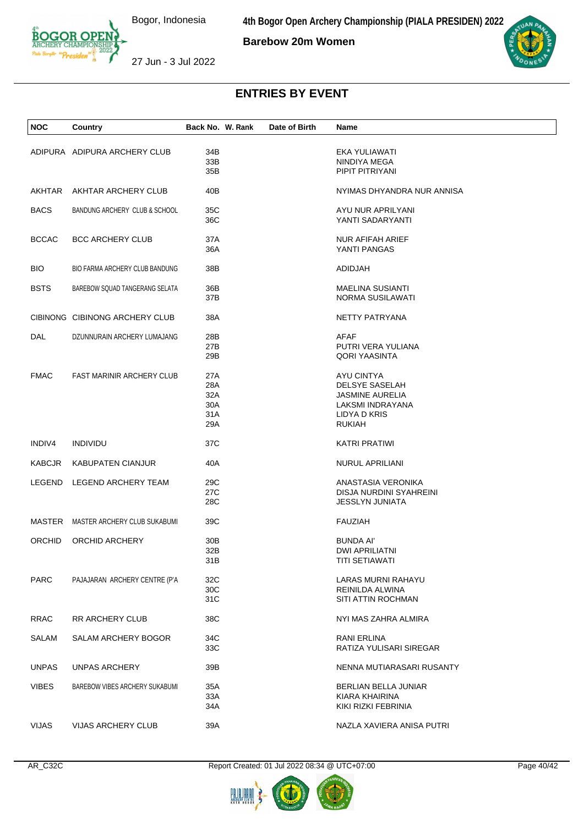**4th Bogor Open Archery Championship (PIALA PRESIDEN) 2022**

**Barebow 20m Women**



27 Jun - 3 Jul 2022

| <b>NOC</b>    | Country                             | Back No. W. Rank | Date of Birth | Name                       |  |
|---------------|-------------------------------------|------------------|---------------|----------------------------|--|
|               |                                     |                  |               |                            |  |
|               | ADIPURA ADIPURA ARCHERY CLUB        | 34B              |               | EKA YULIAWATI              |  |
|               |                                     | 33B              |               | NINDIYA MEGA               |  |
|               |                                     | 35B              |               | PIPIT PITRIYANI            |  |
|               |                                     |                  |               |                            |  |
| AKHTAR        | AKHTAR ARCHERY CLUB                 | 40 <sub>B</sub>  |               | NYIMAS DHYANDRA NUR ANNISA |  |
| <b>BACS</b>   | BANDUNG ARCHERY CLUB & SCHOOL       | 35C              |               | AYU NUR APRILYANI          |  |
|               |                                     | 36C              |               | YANTI SADARYANTI           |  |
|               |                                     |                  |               |                            |  |
| <b>BCCAC</b>  | <b>BCC ARCHERY CLUB</b>             | 37A              |               | <b>NUR AFIFAH ARIEF</b>    |  |
|               |                                     | 36A              |               | YANTI PANGAS               |  |
|               |                                     |                  |               |                            |  |
| BIO.          | BIO FARMA ARCHERY CLUB BANDUNG      | 38B              |               | ADIDJAH                    |  |
|               |                                     |                  |               |                            |  |
| <b>BSTS</b>   | BAREBOW SQUAD TANGERANG SELATA      | 36B              |               | <b>MAELINA SUSIANTI</b>    |  |
|               |                                     | 37B              |               | NORMA SUSILAWATI           |  |
|               | CIBINONG CIBINONG ARCHERY CLUB      | 38A              |               | NETTY PATRYANA             |  |
|               |                                     |                  |               |                            |  |
| DAL           | DZUNNURAIN ARCHERY LUMAJANG         | 28B              |               | AFAF                       |  |
|               |                                     | 27B              |               | PUTRI VERA YULIANA         |  |
|               |                                     | 29B              |               | <b>QORI YAASINTA</b>       |  |
|               |                                     |                  |               |                            |  |
| <b>FMAC</b>   | <b>FAST MARINIR ARCHERY CLUB</b>    | 27A              |               | AYU CINTYA                 |  |
|               |                                     | 28A              |               | <b>DELSYE SASELAH</b>      |  |
|               |                                     | 32A              |               | <b>JASMINE AURELIA</b>     |  |
|               |                                     | 30A              |               | LAKSMI INDRAYANA           |  |
|               |                                     | 31A              |               | LIDYA D KRIS               |  |
|               |                                     | 29A              |               | <b>RUKIAH</b>              |  |
| INDIV4        | <b>INDIVIDU</b>                     | 37C              |               | <b>KATRI PRATIWI</b>       |  |
|               |                                     |                  |               |                            |  |
| <b>KABCJR</b> | <b>KABUPATEN CIANJUR</b>            | 40A              |               | <b>NURUL APRILIANI</b>     |  |
|               |                                     |                  |               |                            |  |
| LEGEND        | LEGEND ARCHERY TEAM                 | 29C              |               | ANASTASIA VERONIKA         |  |
|               |                                     | 27C              |               | DISJA NURDINI SYAHREINI    |  |
|               |                                     | 28C              |               | <b>JESSLYN JUNIATA</b>     |  |
|               |                                     |                  |               |                            |  |
|               | MASTER MASTER ARCHERY CLUB SUKABUMI | 39C              |               | <b>FAUZIAH</b>             |  |
| <b>ORCHID</b> | ORCHID ARCHERY                      | 30 <sub>B</sub>  |               | <b>BUNDA AI'</b>           |  |
|               |                                     | 32B              |               | <b>DWI APRILIATNI</b>      |  |
|               |                                     | 31B              |               | TITI SETIAWATI             |  |
|               |                                     |                  |               |                            |  |
| <b>PARC</b>   | PAJAJARAN ARCHERY CENTRE (P'A       | 32C              |               | LARAS MURNI RAHAYU         |  |
|               |                                     | 30C              |               | REINILDA ALWINA            |  |
|               |                                     | 31C              |               | SITI ATTIN ROCHMAN         |  |
|               |                                     |                  |               |                            |  |
| <b>RRAC</b>   | RR ARCHERY CLUB                     | 38C              |               | NYI MAS ZAHRA ALMIRA       |  |
|               |                                     |                  |               |                            |  |
| <b>SALAM</b>  | <b>SALAM ARCHERY BOGOR</b>          | 34C              |               | <b>RANI ERLINA</b>         |  |
|               |                                     | 33C              |               | RATIZA YULISARI SIREGAR    |  |
| <b>UNPAS</b>  | UNPAS ARCHERY                       | 39B              |               | NENNA MUTIARASARI RUSANTY  |  |
|               |                                     |                  |               |                            |  |
| <b>VIBES</b>  | BAREBOW VIBES ARCHERY SUKABUMI      | 35A              |               | BERLIAN BELLA JUNIAR       |  |
|               |                                     | 33A              |               | KIARA KHAIRINA             |  |
|               |                                     | 34A              |               | KIKI RIZKI FEBRINIA        |  |
|               |                                     |                  |               |                            |  |
| <b>VIJAS</b>  | VIJAS ARCHERY CLUB                  | 39A              |               | NAZLA XAVIERA ANISA PUTRI  |  |



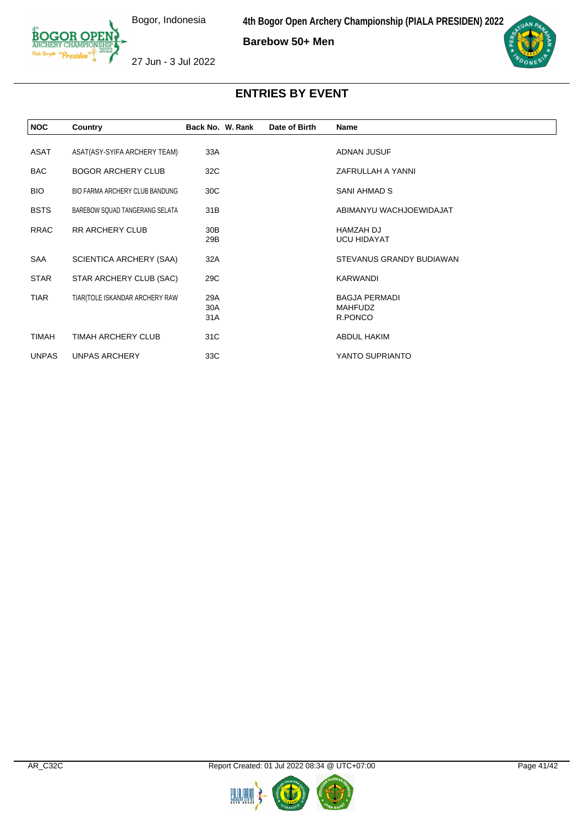**Barebow 50+ Men**



27 Jun - 3 Jul 2022

| <b>NOC</b>   | Country                               | Back No. W. Rank       | Date of Birth | Name                                              |
|--------------|---------------------------------------|------------------------|---------------|---------------------------------------------------|
| ASAT         | ASAT(ASY-SYIFA ARCHERY TEAM)          | 33A                    |               | ADNAN JUSUF                                       |
| <b>BAC</b>   | <b>BOGOR ARCHERY CLUB</b>             | 32C                    |               | ZAFRULLAH A YANNI                                 |
| <b>BIO</b>   | <b>BIO FARMA ARCHERY CLUB BANDUNG</b> | 30C                    |               | SANI AHMAD S                                      |
| <b>BSTS</b>  | BAREBOW SQUAD TANGERANG SELATA        | 31B                    |               | ABIMANYU WACHJOEWIDAJAT                           |
| <b>RRAC</b>  | <b>RR ARCHERY CLUB</b>                | 30 <sub>B</sub><br>29B |               | <b>HAMZAH DJ</b><br><b>UCU HIDAYAT</b>            |
| SAA          | SCIENTICA ARCHERY (SAA)               | 32A                    |               | STEVANUS GRANDY BUDIAWAN                          |
| <b>STAR</b>  | STAR ARCHERY CLUB (SAC)               | 29C                    |               | KARWANDI                                          |
| TIAR         | TIAR(TOLE ISKANDAR ARCHERY RAW        | 29A<br>30A<br>31A      |               | <b>BAGJA PERMADI</b><br><b>MAHFUDZ</b><br>R.PONCO |
| <b>TIMAH</b> | <b>TIMAH ARCHERY CLUB</b>             | 31C                    |               | <b>ABDUL HAKIM</b>                                |
| <b>UNPAS</b> | UNPAS ARCHERY                         | 33C                    |               | YANTO SUPRIANTO                                   |